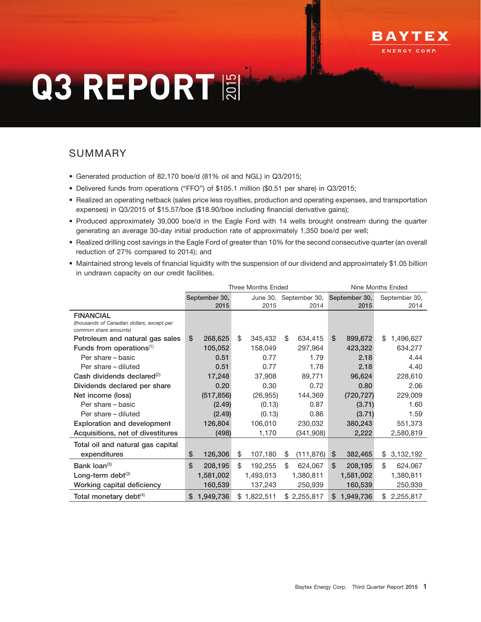# **Q3 REPORTE**

# SUMMARY

- Generated production of 82,170 boe/d (81% oil and NGL) in Q3/2015;
- Delivered funds from operations ("FFO") of \$105.1 million (\$0.51 per share) in Q3/2015;
- Realized an operating netback (sales price less royalties, production and operating expenses, and transportation expenses) in Q3/2015 of \$15.57/boe (\$18.90/boe including financial derivative gains);
- Produced approximately 39,000 boe/d in the Eagle Ford with 14 wells brought onstream during the quarter generating an average 30-day initial production rate of approximately 1,350 boe/d per well;
- Realized drilling cost savings in the Eagle Ford of greater than 10% for the second consecutive quarter (an overall reduction of 27% compared to 2014); and
- Maintained strong levels of financial liquidity with the suspension of our dividend and approximately \$1.05 billion in undrawn capacity on our credit facilities.

|                                                                     |                | <b>Three Months Ended</b> |                        | Nine Months Ended |                 |  |
|---------------------------------------------------------------------|----------------|---------------------------|------------------------|-------------------|-----------------|--|
|                                                                     | September 30,  |                           | June 30, September 30, | September 30,     | September 30,   |  |
|                                                                     | 2015           | 2015                      | 2014                   | 2015              | 2014            |  |
| <b>FINANCIAL</b>                                                    |                |                           |                        |                   |                 |  |
| (thousands of Canadian dollars, except per<br>common share amounts) |                |                           |                        |                   |                 |  |
| Petroleum and natural gas sales                                     | \$<br>268,625  | \$<br>345,432             | \$<br>634,415          | \$<br>899,672     | \$<br>1,496,627 |  |
| Funds from operations $(1)$                                         | 105,052        | 158,049                   | 297,964                | 423,322           | 634,277         |  |
| Per share - basic                                                   | 0.51           | 0.77                      | 1.79                   | 2.18              | 4.44            |  |
| Per share – diluted                                                 | 0.51           | 0.77                      | 1.78                   | 2.18              | 4.40            |  |
| Cash dividends declared $^{(2)}$                                    | 17,248         | 37,908                    | 89,771                 | 96,624            | 228,610         |  |
| Dividends declared per share                                        | 0.20           | 0.30                      | 0.72                   | 0.80              | 2.06            |  |
| Net income (loss)                                                   | (517, 856)     | (26, 955)                 | 144,369                | (720, 727)        | 229,009         |  |
| Per share – basic                                                   | (2.49)         | (0.13)                    | 0.87                   | (3.71)            | 1.60            |  |
| Per share - diluted                                                 | (2.49)         | (0.13)                    | 0.86                   | (3.71)            | 1.59            |  |
| <b>Exploration and development</b>                                  | 126,804        | 106,010                   | 230,032                | 380,243           | 551,373         |  |
| Acquisitions, net of divestitures                                   | (498)          | 1,170                     | (341,908)              | 2,222             | 2,580,819       |  |
| Total oil and natural gas capital                                   |                |                           |                        |                   |                 |  |
| expenditures                                                        | \$<br>126,306  | \$<br>107,180             | \$<br>(111, 876)       | \$<br>382,465     | \$<br>3,132,192 |  |
| Bank $\text{Ioan}^{(3)}$                                            | \$<br>208,195  | \$<br>192,255             | \$<br>624,067          | \$<br>208,195     | \$<br>624,067   |  |
| Long-term debt $(3)$                                                | 1,581,002      | 1,493,013                 | 1,380,811              | 1,581,002         | 1,380,811       |  |
| Working capital deficiency                                          | 160,539        | 137,243                   | 250,939                | 160,539           | 250,939         |  |
| Total monetary debt <sup>(4)</sup>                                  | 1,949,736<br>S | \$<br>1,822,511           | \$2,255,817            | 1,949,736<br>S    | \$<br>2,255,817 |  |

6NOV2015172510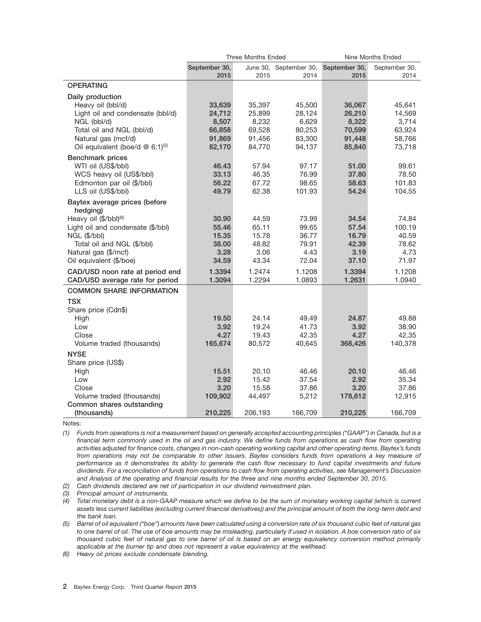|                                   |               | <b>Three Months Ended</b> |                        |               | Nine Months Ended |
|-----------------------------------|---------------|---------------------------|------------------------|---------------|-------------------|
|                                   | September 30, |                           | June 30, September 30, | September 30, | September 30,     |
|                                   | 2015          | 2015                      | 2014                   | 2015          | 2014              |
| <b>OPERATING</b>                  |               |                           |                        |               |                   |
| Daily production                  |               |                           |                        |               |                   |
| Heavy oil (bbl/d)                 | 33,639        | 35,397                    | 45,500                 | 36,067        | 45,641            |
| Light oil and condensate (bbl/d)  | 24,712        | 25,899                    | 28,124                 | 26,210        | 14,569            |
| NGL (bbl/d)                       | 8,507         | 8,232                     | 6,629                  | 8,322         | 3,714             |
| Total oil and NGL (bbl/d)         | 66,858        | 69,528                    | 80,253                 | 70,599        | 63,924            |
| Natural gas (mcf/d)               | 91,869        | 91,456                    | 83,300                 | 91,448        | 58,766            |
| Oil equivalent (boe/d @ 6:1)(5)   | 82,170        | 84,770                    | 94,137                 | 85,840        | 73,718            |
| <b>Benchmark prices</b>           |               |                           |                        |               |                   |
| WTI oil (US\$/bbl)                | 46.43         | 57.94                     | 97.17                  | 51.00         | 99.61             |
| WCS heavy oil (US\$/bbl)          | 33.13         | 46.35                     | 76.99                  | 37.80         | 78.50             |
| Edmonton par oil (\$/bbl)         | 56.22         | 67.72                     | 98.65                  | 58.63         | 101.83            |
| LLS oil (US\$/bbl)                | 49.79         | 62.38                     | 101.93                 | 54.24         | 104.55            |
| Baytex average prices (before     |               |                           |                        |               |                   |
| hedging)                          |               |                           |                        |               |                   |
| Heavy oil (\$/bbl) <sup>(6)</sup> | 30.90         | 44.59                     | 73.99                  | 34.54         | 74.84             |
| Light oil and condensate (\$/bbl) | 55.46         | 65.11                     | 99.65                  | 57.54         | 100.19            |
| NGL (\$/bbl)                      | 15.35         | 15.78                     | 36.77                  | 16.79         | 40.59             |
| Total oil and NGL (\$/bbl)        | 38.00         | 48.82                     | 79.91                  | 42.39         | 78.62             |
| Natural gas (\$/mcf)              | 3.28          | 3.06                      | 4.43                   | 3.19          | 4.73              |
| Oil equivalent (\$/boe)           | 34.59         | 43.34                     | 72.04                  | 37.10         | 71.97             |
| CAD/USD noon rate at period end   | 1.3394        | 1.2474                    | 1.1208                 | 1.3394        | 1.1208            |
| CAD/USD average rate for period   | 1.3094        | 1.2294                    | 1.0893                 | 1.2631        | 1.0940            |
| <b>COMMON SHARE INFORMATION</b>   |               |                           |                        |               |                   |
| TSX                               |               |                           |                        |               |                   |
| Share price (Cdn\$)               |               |                           |                        |               |                   |
| High                              | 19.50         | 24.14                     | 49.49                  | 24.87         | 49.88             |
| Low                               | 3.92          | 19.24                     | 41.73                  | 3.92          | 38.90             |
| Close                             | 4.27          | 19.43                     | 42.35                  | 4.27          | 42.35             |
| Volume traded (thousands)         | 165,674       | 80,572                    | 40,645                 | 368,426       | 140,378           |
| <b>NYSE</b>                       |               |                           |                        |               |                   |
| Share price (US\$)                |               |                           |                        |               |                   |
| High                              | 15.51         | 20.10                     | 46.46                  | 20.10         | 46.46             |
| Low                               | 2.92          | 15.42                     | 37.54                  | 2.92          | 35.34             |
| Close                             | 3.20          | 15.58                     | 37.86                  | 3.20          | 37.86             |
| Volume traded (thousands)         | 109,902       | 44,497                    | 5,212                  | 178,612       | 12,915            |
| Common shares outstanding         |               |                           |                        |               |                   |
| (thousands)                       | 210,225       | 206,193                   | 166,709                | 210,225       | 166,709           |

Notes:

*(1) Funds from operations is not a measurement based on generally accepted accounting principles (''GAAP'') in Canada, but is a financial term commonly used in the oil and gas industry. We define funds from operations as cash flow from operating activities adjusted for finance costs, changes in non-cash operating working capital and other operating items. Baytex's funds from operations may not be comparable to other issuers. Baytex considers funds from operations a key measure of performance as it demonstrates its ability to generate the cash flow necessary to fund capital investments and future dividends. For a reconciliation of funds from operations to cash flow from operating activities, see Management's Discussion and Analysis of the operating and financial results for the three and nine months ended September 30, 2015.*

*(2) Cash dividends declared are net of participation in our dividend reinvestment plan.*

*(3) Principal amount of instruments.*

*(4) Total monetary debt is a non-GAAP measure which we define to be the sum of monetary working capital (which is current assets less current liabilities (excluding current financial derivatives)) and the principal amount of both the long-term debt and the bank loan.*

*(5) Barrel of oil equivalent (''boe'') amounts have been calculated using a conversion rate of six thousand cubic feet of natural gas to one barrel of oil. The use of boe amounts may be misleading, particularly if used in isolation. A boe conversion ratio of six thousand cubic feet of natural gas to one barrel of oil is based on an energy equivalency conversion method primarily applicable at the burner tip and does not represent a value equivalency at the wellhead.*

*(6) Heavy oil prices exclude condensate blending.*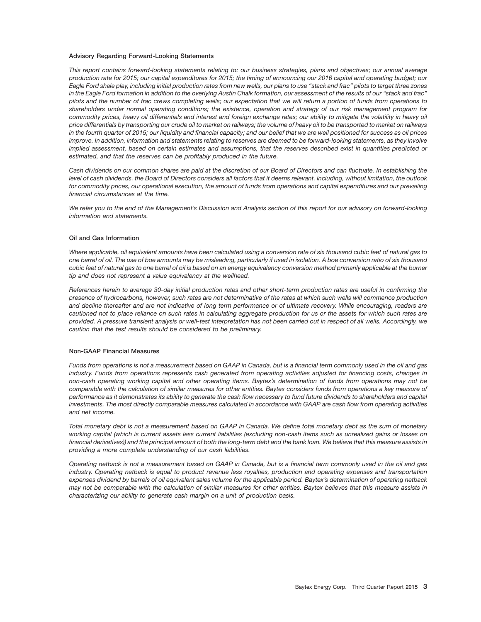#### **Advisory Regarding Forward-Looking Statements**

*This report contains forward-looking statements relating to: our business strategies, plans and objectives; our annual average production rate for 2015; our capital expenditures for 2015; the timing of announcing our 2016 capital and operating budget; our Eagle Ford shale play, including initial production rates from new wells, our plans to use ''stack and frac'' pilots to target three zones in the Eagle Ford formation in addition to the overlying Austin Chalk formation, our assessment of the results of our ''stack and frac'' pilots and the number of frac crews completing wells; our expectation that we will return a portion of funds from operations to shareholders under normal operating conditions; the existence, operation and strategy of our risk management program for commodity prices, heavy oil differentials and interest and foreign exchange rates; our ability to mitigate the volatility in heavy oil price differentials by transporting our crude oil to market on railways; the volume of heavy oil to be transported to market on railways in the fourth quarter of 2015; our liquidity and financial capacity; and our belief that we are well positioned for success as oil prices improve. In addition, information and statements relating to reserves are deemed to be forward-looking statements, as they involve implied assessment, based on certain estimates and assumptions, that the reserves described exist in quantities predicted or estimated, and that the reserves can be profitably produced in the future.*

*Cash dividends on our common shares are paid at the discretion of our Board of Directors and can fluctuate. In establishing the level of cash dividends, the Board of Directors considers all factors that it deems relevant, including, without limitation, the outlook for commodity prices, our operational execution, the amount of funds from operations and capital expenditures and our prevailing financial circumstances at the time.*

*We refer you to the end of the Management's Discussion and Analysis section of this report for our advisory on forward-looking information and statements.*

#### **Oil and Gas Information**

*Where applicable, oil equivalent amounts have been calculated using a conversion rate of six thousand cubic feet of natural gas to one barrel of oil. The use of boe amounts may be misleading, particularly if used in isolation. A boe conversion ratio of six thousand cubic feet of natural gas to one barrel of oil is based on an energy equivalency conversion method primarily applicable at the burner tip and does not represent a value equivalency at the wellhead.*

*References herein to average 30-day initial production rates and other short-term production rates are useful in confirming the presence of hydrocarbons, however, such rates are not determinative of the rates at which such wells will commence production and decline thereafter and are not indicative of long term performance or of ultimate recovery. While encouraging, readers are cautioned not to place reliance on such rates in calculating aggregate production for us or the assets for which such rates are provided. A pressure transient analysis or well-test interpretation has not been carried out in respect of all wells. Accordingly, we caution that the test results should be considered to be preliminary.*

#### **Non-GAAP Financial Measures**

*Funds from operations is not a measurement based on GAAP in Canada, but is a financial term commonly used in the oil and gas industry. Funds from operations represents cash generated from operating activities adjusted for financing costs, changes in non-cash operating working capital and other operating items. Baytex's determination of funds from operations may not be comparable with the calculation of similar measures for other entities. Baytex considers funds from operations a key measure of performance as it demonstrates its ability to generate the cash flow necessary to fund future dividends to shareholders and capital investments. The most directly comparable measures calculated in accordance with GAAP are cash flow from operating activities and net income.*

*Total monetary debt is not a measurement based on GAAP in Canada. We define total monetary debt as the sum of monetary working capital (which is current assets less current liabilities (excluding non-cash items such as unrealized gains or losses on financial derivatives)) and the principal amount of both the long-term debt and the bank loan. We believe that this measure assists in providing a more complete understanding of our cash liabilities.*

*Operating netback is not a measurement based on GAAP in Canada, but is a financial term commonly used in the oil and gas industry. Operating netback is equal to product revenue less royalties, production and operating expenses and transportation expenses dividend by barrels of oil equivalent sales volume for the applicable period. Baytex's determination of operating netback may not be comparable with the calculation of similar measures for other entities. Baytex believes that this measure assists in characterizing our ability to generate cash margin on a unit of production basis.*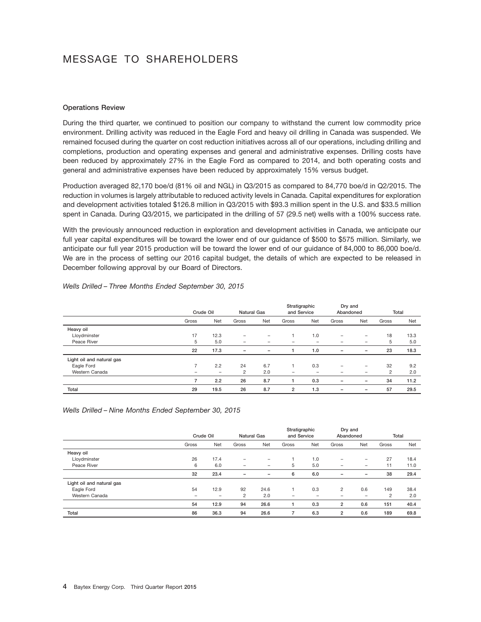# MESSAGE TO SHAREHOLDERS

#### **Operations Review**

During the third quarter, we continued to position our company to withstand the current low commodity price environment. Drilling activity was reduced in the Eagle Ford and heavy oil drilling in Canada was suspended. We remained focused during the quarter on cost reduction initiatives across all of our operations, including drilling and completions, production and operating expenses and general and administrative expenses. Drilling costs have been reduced by approximately 27% in the Eagle Ford as compared to 2014, and both operating costs and general and administrative expenses have been reduced by approximately 15% versus budget.

Production averaged 82,170 boe/d (81% oil and NGL) in Q3/2015 as compared to 84,770 boe/d in Q2/2015. The reduction in volumes is largely attributable to reduced activity levels in Canada. Capital expenditures for exploration and development activities totaled \$126.8 million in Q3/2015 with \$93.3 million spent in the U.S. and \$33.5 million spent in Canada. During Q3/2015, we participated in the drilling of 57 (29.5 net) wells with a 100% success rate.

With the previously announced reduction in exploration and development activities in Canada, we anticipate our full year capital expenditures will be toward the lower end of our guidance of \$500 to \$575 million. Similarly, we anticipate our full year 2015 production will be toward the lower end of our guidance of 84,000 to 86,000 boe/d. We are in the process of setting our 2016 capital budget, the details of which are expected to be released in December following approval by our Board of Directors.

|                           |       |                   |       |                          |                          | Stratigraphic<br>Dry and |                          |                          |                |      |
|---------------------------|-------|-------------------|-------|--------------------------|--------------------------|--------------------------|--------------------------|--------------------------|----------------|------|
|                           |       | Crude Oil         |       | <b>Natural Gas</b>       | and Service              |                          | Abandoned                |                          | Total          |      |
|                           | Gross | Net               | Gross | Net                      | Gross                    | Net                      | Gross                    | Net                      | Gross          | Net  |
| Heavy oil                 |       |                   |       |                          |                          |                          |                          |                          |                |      |
| Lloydminster              | 17    | 12.3              | -     | $\overline{\phantom{0}}$ |                          | 1.0                      | $\overline{\phantom{0}}$ | -                        | 18             | 13.3 |
| Peace River               | 5     | 5.0               | -     | -                        |                          | $\qquad \qquad$          |                          | -                        | 5              | 5.0  |
|                           | 22    | 17.3              | -     | $\qquad \qquad -$        |                          | 1.0                      | $\overline{\phantom{a}}$ | -                        | 23             | 18.3 |
| Light oil and natural gas |       |                   |       |                          |                          |                          |                          |                          |                |      |
| Eagle Ford                |       | 2.2               | 24    | 6.7                      |                          | 0.3                      | -                        | -                        | 32             | 9.2  |
| Western Canada            |       | $\qquad \qquad -$ | 2     | 2.0                      | $\overline{\phantom{0}}$ | $\overline{\phantom{0}}$ |                          | $\overline{\phantom{0}}$ | $\overline{2}$ | 2.0  |
|                           |       | 2.2               | 26    | 8.7                      |                          | 0.3                      | $\overline{\phantom{a}}$ | -                        | 34             | 11.2 |
| Total                     | 29    | 19.5              | 26    | 8.7                      | $\overline{2}$           | 1.3                      | $\overline{\phantom{0}}$ | -                        | 57             | 29.5 |

#### *Wells Drilled – Three Months Ended September 30, 2015*

#### *Wells Drilled – Nine Months Ended September 30, 2015*

|                           |                              |                          |                    |                 | Stratigraphic |                          | Dry and                  |                          |       |      |
|---------------------------|------------------------------|--------------------------|--------------------|-----------------|---------------|--------------------------|--------------------------|--------------------------|-------|------|
|                           | Crude Oil                    |                          | <b>Natural Gas</b> |                 | and Service   |                          | Abandoned                |                          | Total |      |
|                           | Gross                        | Net                      | Gross              | Net             | Gross         | Net                      | Gross                    | Net                      | Gross | Net  |
| Heavy oil                 |                              |                          |                    |                 |               |                          |                          |                          |       |      |
| Lloydminster              | 26                           | 17.4                     | -                  | $\qquad \qquad$ |               | 1.0                      | $\qquad \qquad$          | $\overline{\phantom{m}}$ | 27    | 18.4 |
| Peace River               | 6                            | 6.0                      | -                  | -               | 5             | 5.0                      | -                        | -                        | 11    | 11.0 |
|                           | 32                           | 23.4                     | -                  | -               | 6             | 6.0                      | $\overline{\phantom{0}}$ | $\overline{\phantom{0}}$ | 38    | 29.4 |
| Light oil and natural gas |                              |                          |                    |                 |               |                          |                          |                          |       |      |
| Eagle Ford                | 54                           | 12.9                     | 92                 | 24.6            |               | 0.3                      | 2                        | 0.6                      | 149   | 38.4 |
| Western Canada            | $\qquad \qquad \blacksquare$ | $\overline{\phantom{m}}$ | 2                  | 2.0             | ۰             | $\overline{\phantom{0}}$ |                          | $\overline{\phantom{0}}$ | 2     | 2.0  |
|                           | 54                           | 12.9                     | 94                 | 26.6            |               | 0.3                      | $\overline{2}$           | 0.6                      | 151   | 40.4 |
| Total                     | 86                           | 36.3                     | 94                 | 26.6            |               | 6.3                      | $\overline{2}$           | 0.6                      | 189   | 69.8 |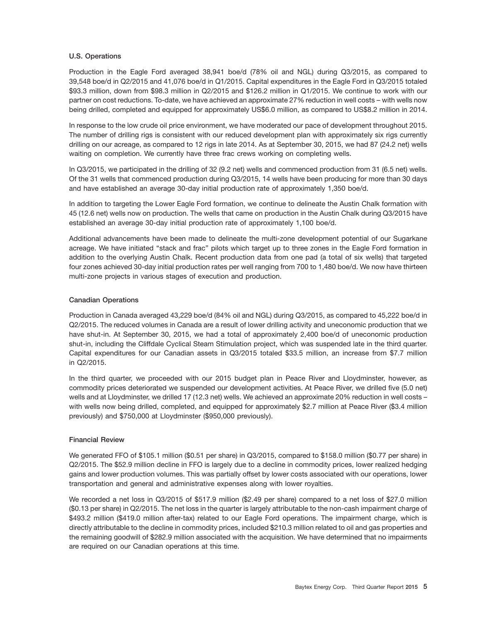#### **U.S. Operations**

Production in the Eagle Ford averaged 38,941 boe/d (78% oil and NGL) during Q3/2015, as compared to 39,548 boe/d in Q2/2015 and 41,076 boe/d in Q1/2015. Capital expenditures in the Eagle Ford in Q3/2015 totaled \$93.3 million, down from \$98.3 million in Q2/2015 and \$126.2 million in Q1/2015. We continue to work with our partner on cost reductions. To-date, we have achieved an approximate 27% reduction in well costs – with wells now being drilled, completed and equipped for approximately US\$6.0 million, as compared to US\$8.2 million in 2014.

In response to the low crude oil price environment, we have moderated our pace of development throughout 2015. The number of drilling rigs is consistent with our reduced development plan with approximately six rigs currently drilling on our acreage, as compared to 12 rigs in late 2014. As at September 30, 2015, we had 87 (24.2 net) wells waiting on completion. We currently have three frac crews working on completing wells.

In Q3/2015, we participated in the drilling of 32 (9.2 net) wells and commenced production from 31 (6.5 net) wells. Of the 31 wells that commenced production during Q3/2015, 14 wells have been producing for more than 30 days and have established an average 30-day initial production rate of approximately 1,350 boe/d.

In addition to targeting the Lower Eagle Ford formation, we continue to delineate the Austin Chalk formation with 45 (12.6 net) wells now on production. The wells that came on production in the Austin Chalk during Q3/2015 have established an average 30-day initial production rate of approximately 1,100 boe/d.

Additional advancements have been made to delineate the multi-zone development potential of our Sugarkane acreage. We have initiated ''stack and frac'' pilots which target up to three zones in the Eagle Ford formation in addition to the overlying Austin Chalk. Recent production data from one pad (a total of six wells) that targeted four zones achieved 30-day initial production rates per well ranging from 700 to 1,480 boe/d. We now have thirteen multi-zone projects in various stages of execution and production.

#### **Canadian Operations**

Production in Canada averaged 43,229 boe/d (84% oil and NGL) during Q3/2015, as compared to 45,222 boe/d in Q2/2015. The reduced volumes in Canada are a result of lower drilling activity and uneconomic production that we have shut-in. At September 30, 2015, we had a total of approximately 2,400 boe/d of uneconomic production shut-in, including the Cliffdale Cyclical Steam Stimulation project, which was suspended late in the third quarter. Capital expenditures for our Canadian assets in Q3/2015 totaled \$33.5 million, an increase from \$7.7 million in Q2/2015.

In the third quarter, we proceeded with our 2015 budget plan in Peace River and Lloydminster, however, as commodity prices deteriorated we suspended our development activities. At Peace River, we drilled five (5.0 net) wells and at Lloydminster, we drilled 17 (12.3 net) wells. We achieved an approximate 20% reduction in well costs – with wells now being drilled, completed, and equipped for approximately \$2.7 million at Peace River (\$3.4 million previously) and \$750,000 at Lloydminster (\$950,000 previously).

#### **Financial Review**

We generated FFO of \$105.1 million (\$0.51 per share) in Q3/2015, compared to \$158.0 million (\$0.77 per share) in Q2/2015. The \$52.9 million decline in FFO is largely due to a decline in commodity prices, lower realized hedging gains and lower production volumes. This was partially offset by lower costs associated with our operations, lower transportation and general and administrative expenses along with lower royalties.

We recorded a net loss in Q3/2015 of \$517.9 million (\$2.49 per share) compared to a net loss of \$27.0 million (\$0.13 per share) in Q2/2015. The net loss in the quarter is largely attributable to the non-cash impairment charge of \$493.2 million (\$419.0 million after-tax) related to our Eagle Ford operations. The impairment charge, which is directly attributable to the decline in commodity prices, included \$210.3 million related to oil and gas properties and the remaining goodwill of \$282.9 million associated with the acquisition. We have determined that no impairments are required on our Canadian operations at this time.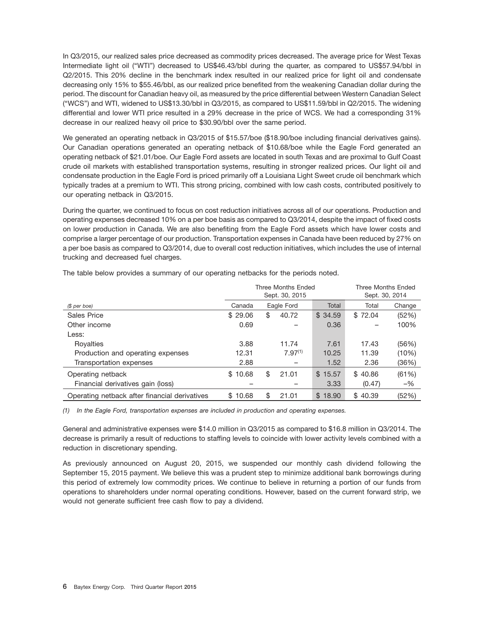In Q3/2015, our realized sales price decreased as commodity prices decreased. The average price for West Texas Intermediate light oil (''WTI'') decreased to US\$46.43/bbl during the quarter, as compared to US\$57.94/bbl in Q2/2015. This 20% decline in the benchmark index resulted in our realized price for light oil and condensate decreasing only 15% to \$55.46/bbl, as our realized price benefited from the weakening Canadian dollar during the period. The discount for Canadian heavy oil, as measured by the price differential between Western Canadian Select (''WCS'') and WTI, widened to US\$13.30/bbl in Q3/2015, as compared to US\$11.59/bbl in Q2/2015. The widening differential and lower WTI price resulted in a 29% decrease in the price of WCS. We had a corresponding 31% decrease in our realized heavy oil price to \$30.90/bbl over the same period.

We generated an operating netback in Q3/2015 of \$15.57/boe (\$18.90/boe including financial derivatives gains). Our Canadian operations generated an operating netback of \$10.68/boe while the Eagle Ford generated an operating netback of \$21.01/boe. Our Eagle Ford assets are located in south Texas and are proximal to Gulf Coast crude oil markets with established transportation systems, resulting in stronger realized prices. Our light oil and condensate production in the Eagle Ford is priced primarily off a Louisiana Light Sweet crude oil benchmark which typically trades at a premium to WTI. This strong pricing, combined with low cash costs, contributed positively to our operating netback in Q3/2015.

During the quarter, we continued to focus on cost reduction initiatives across all of our operations. Production and operating expenses decreased 10% on a per boe basis as compared to Q3/2014, despite the impact of fixed costs on lower production in Canada. We are also benefiting from the Eagle Ford assets which have lower costs and comprise a larger percentage of our production. Transportation expenses in Canada have been reduced by 27% on a per boe basis as compared to Q3/2014, due to overall cost reduction initiatives, which includes the use of internal trucking and decreased fuel charges.

|                                               |         | Three Months Ended<br>Sept. 30, 2015 |         | Three Months Ended<br>Sept. 30, 2014 |        |  |
|-----------------------------------------------|---------|--------------------------------------|---------|--------------------------------------|--------|--|
| (\$ per boe)                                  | Canada  | Eagle Ford                           | Total   | Total                                | Change |  |
| Sales Price                                   | \$29.06 | \$<br>40.72                          | \$34.59 | \$72.04                              | (52%)  |  |
| Other income                                  | 0.69    |                                      | 0.36    |                                      | 100%   |  |
| Less:                                         |         |                                      |         |                                      |        |  |
| Royalties                                     | 3.88    | 11.74                                | 7.61    | 17.43                                | (56%)  |  |
| Production and operating expenses             | 12.31   | $7.97^{(1)}$                         | 10.25   | 11.39                                | (10%)  |  |
| Transportation expenses                       | 2.88    |                                      | 1.52    | 2.36                                 | (36%)  |  |
| Operating netback                             | \$10.68 | \$<br>21.01                          | \$15.57 | \$40.86                              | (61%)  |  |
| Financial derivatives gain (loss)             |         |                                      | 3.33    | (0.47)                               | $-$ %  |  |
| Operating netback after financial derivatives | \$10.68 | \$<br>21.01                          | \$18.90 | \$40.39                              | (52%)  |  |

The table below provides a summary of our operating netbacks for the periods noted.

*(1) In the Eagle Ford, transportation expenses are included in production and operating expenses.*

General and administrative expenses were \$14.0 million in Q3/2015 as compared to \$16.8 million in Q3/2014. The decrease is primarily a result of reductions to staffing levels to coincide with lower activity levels combined with a reduction in discretionary spending.

As previously announced on August 20, 2015, we suspended our monthly cash dividend following the September 15, 2015 payment. We believe this was a prudent step to minimize additional bank borrowings during this period of extremely low commodity prices. We continue to believe in returning a portion of our funds from operations to shareholders under normal operating conditions. However, based on the current forward strip, we would not generate sufficient free cash flow to pay a dividend.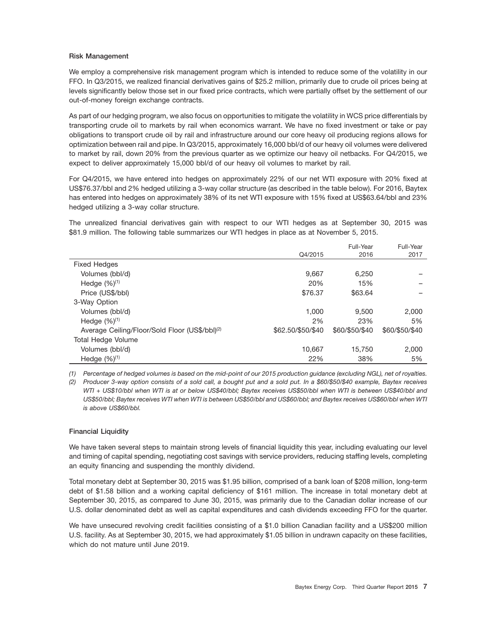#### **Risk Management**

We employ a comprehensive risk management program which is intended to reduce some of the volatility in our FFO. In Q3/2015, we realized financial derivatives gains of \$25.2 million, primarily due to crude oil prices being at levels significantly below those set in our fixed price contracts, which were partially offset by the settlement of our out-of-money foreign exchange contracts.

As part of our hedging program, we also focus on opportunities to mitigate the volatility in WCS price differentials by transporting crude oil to markets by rail when economics warrant. We have no fixed investment or take or pay obligations to transport crude oil by rail and infrastructure around our core heavy oil producing regions allows for optimization between rail and pipe. In Q3/2015, approximately 16,000 bbl/d of our heavy oil volumes were delivered to market by rail, down 20% from the previous quarter as we optimize our heavy oil netbacks. For Q4/2015, we expect to deliver approximately 15,000 bbl/d of our heavy oil volumes to market by rail.

For Q4/2015, we have entered into hedges on approximately 22% of our net WTI exposure with 20% fixed at US\$76.37/bbl and 2% hedged utilizing a 3-way collar structure (as described in the table below). For 2016, Baytex has entered into hedges on approximately 38% of its net WTI exposure with 15% fixed at US\$63.64/bbl and 23% hedged utilizing a 3-way collar structure.

The unrealized financial derivatives gain with respect to our WTI hedges as at September 30, 2015 was \$81.9 million. The following table summarizes our WTI hedges in place as at November 5, 2015.

|                                                            |                   | Full-Year      | Full-Year      |
|------------------------------------------------------------|-------------------|----------------|----------------|
|                                                            | Q4/2015           | 2016           | 2017           |
| <b>Fixed Hedges</b>                                        |                   |                |                |
| Volumes (bbl/d)                                            | 9,667             | 6,250          |                |
| Hedge $(\frac{9}{1})^{(1)}$                                | 20%               | 15%            |                |
| Price (US\$/bbl)                                           | \$76.37           | \$63.64        |                |
| 3-Way Option                                               |                   |                |                |
| Volumes (bbl/d)                                            | 1.000             | 9.500          | 2,000          |
| Hedge $(\frac{9}{1})^{(1)}$                                | 2%                | 23%            | 5%             |
| Average Ceiling/Floor/Sold Floor (US\$/bbl) <sup>(2)</sup> | \$62,50/\$50/\$40 | \$60/\$50/\$40 | \$60/\$50/\$40 |
| <b>Total Hedge Volume</b>                                  |                   |                |                |
| Volumes (bbl/d)                                            | 10,667            | 15.750         | 2,000          |
| Hedge $(\frac{9}{1})^{(1)}$                                | 22%               | 38%            | 5%             |

*(1) Percentage of hedged volumes is based on the mid-point of our 2015 production guidance (excluding NGL), net of royalties.*

*(2) Producer 3-way option consists of a sold call, a bought put and a sold put. In a \$60/\$50/\$40 example, Baytex receives WTI + US\$10/bbl when WTI is at or below US\$40/bbl; Baytex receives US\$50/bbl when WTI is between US\$40/bbl and US\$50/bbl; Baytex receives WTI when WTI is between US\$50/bbl and US\$60/bbl; and Baytex receives US\$60/bbl when WTI is above US\$60/bbl.*

#### **Financial Liquidity**

We have taken several steps to maintain strong levels of financial liquidity this year, including evaluating our level and timing of capital spending, negotiating cost savings with service providers, reducing staffing levels, completing an equity financing and suspending the monthly dividend.

Total monetary debt at September 30, 2015 was \$1.95 billion, comprised of a bank loan of \$208 million, long-term debt of \$1.58 billion and a working capital deficiency of \$161 million. The increase in total monetary debt at September 30, 2015, as compared to June 30, 2015, was primarily due to the Canadian dollar increase of our U.S. dollar denominated debt as well as capital expenditures and cash dividends exceeding FFO for the quarter.

We have unsecured revolving credit facilities consisting of a \$1.0 billion Canadian facility and a US\$200 million U.S. facility. As at September 30, 2015, we had approximately \$1.05 billion in undrawn capacity on these facilities, which do not mature until June 2019.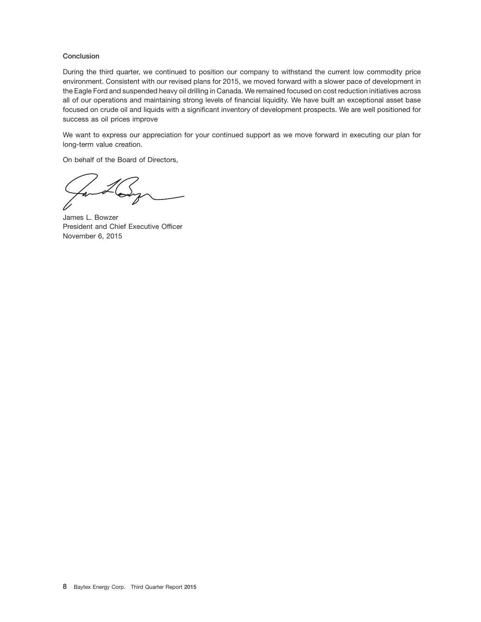#### **Conclusion**

During the third quarter, we continued to position our company to withstand the current low commodity price environment. Consistent with our revised plans for 2015, we moved forward with a slower pace of development in the Eagle Ford and suspended heavy oil drilling in Canada. We remained focused on cost reduction initiatives across all of our operations and maintaining strong levels of financial liquidity. We have built an exceptional asset base focused on crude oil and liquids with a significant inventory of development prospects. We are well positioned for success as oil prices improve

We want to express our appreciation for your continued support as we move forward in executing our plan for long-term value creation.

On behalf of the Board of Directors,

James L. Bowzer President and Chief Executive Officer November 6, 2015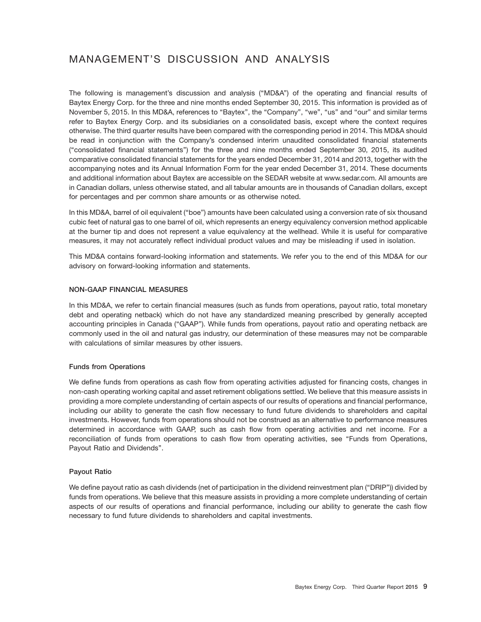# MANAGEMENT'S DISCUSSION AND ANALYSIS

The following is management's discussion and analysis (''MD&A'') of the operating and financial results of Baytex Energy Corp. for the three and nine months ended September 30, 2015. This information is provided as of November 5, 2015. In this MD&A, references to "Baytex", the "Company", "we", "us" and "our" and similar terms refer to Baytex Energy Corp. and its subsidiaries on a consolidated basis, except where the context requires otherwise. The third quarter results have been compared with the corresponding period in 2014. This MD&A should be read in conjunction with the Company's condensed interim unaudited consolidated financial statements (''consolidated financial statements'') for the three and nine months ended September 30, 2015, its audited comparative consolidated financial statements for the years ended December 31, 2014 and 2013, together with the accompanying notes and its Annual Information Form for the year ended December 31, 2014. These documents and additional information about Baytex are accessible on the SEDAR website at www.sedar.com. All amounts are in Canadian dollars, unless otherwise stated, and all tabular amounts are in thousands of Canadian dollars, except for percentages and per common share amounts or as otherwise noted.

In this MD&A, barrel of oil equivalent (''boe'') amounts have been calculated using a conversion rate of six thousand cubic feet of natural gas to one barrel of oil, which represents an energy equivalency conversion method applicable at the burner tip and does not represent a value equivalency at the wellhead. While it is useful for comparative measures, it may not accurately reflect individual product values and may be misleading if used in isolation.

This MD&A contains forward-looking information and statements. We refer you to the end of this MD&A for our advisory on forward-looking information and statements.

#### **NON-GAAP FINANCIAL MEASURES**

In this MD&A, we refer to certain financial measures (such as funds from operations, payout ratio, total monetary debt and operating netback) which do not have any standardized meaning prescribed by generally accepted accounting principles in Canada (''GAAP''). While funds from operations, payout ratio and operating netback are commonly used in the oil and natural gas industry, our determination of these measures may not be comparable with calculations of similar measures by other issuers.

#### **Funds from Operations**

We define funds from operations as cash flow from operating activities adjusted for financing costs, changes in non-cash operating working capital and asset retirement obligations settled. We believe that this measure assists in providing a more complete understanding of certain aspects of our results of operations and financial performance, including our ability to generate the cash flow necessary to fund future dividends to shareholders and capital investments. However, funds from operations should not be construed as an alternative to performance measures determined in accordance with GAAP, such as cash flow from operating activities and net income. For a reconciliation of funds from operations to cash flow from operating activities, see "Funds from Operations, Payout Ratio and Dividends''.

#### **Payout Ratio**

We define payout ratio as cash dividends (net of participation in the dividend reinvestment plan ("DRIP")) divided by funds from operations. We believe that this measure assists in providing a more complete understanding of certain aspects of our results of operations and financial performance, including our ability to generate the cash flow necessary to fund future dividends to shareholders and capital investments.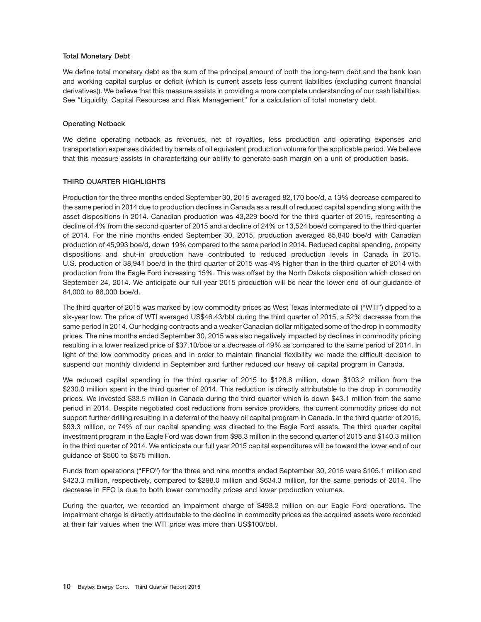#### **Total Monetary Debt**

We define total monetary debt as the sum of the principal amount of both the long-term debt and the bank loan and working capital surplus or deficit (which is current assets less current liabilities (excluding current financial derivatives)). We believe that this measure assists in providing a more complete understanding of our cash liabilities. See "Liquidity, Capital Resources and Risk Management" for a calculation of total monetary debt.

#### **Operating Netback**

We define operating netback as revenues, net of royalties, less production and operating expenses and transportation expenses divided by barrels of oil equivalent production volume for the applicable period. We believe that this measure assists in characterizing our ability to generate cash margin on a unit of production basis.

#### **THIRD QUARTER HIGHLIGHTS**

Production for the three months ended September 30, 2015 averaged 82,170 boe/d, a 13% decrease compared to the same period in 2014 due to production declines in Canada as a result of reduced capital spending along with the asset dispositions in 2014. Canadian production was 43,229 boe/d for the third quarter of 2015, representing a decline of 4% from the second quarter of 2015 and a decline of 24% or 13,524 boe/d compared to the third quarter of 2014. For the nine months ended September 30, 2015, production averaged 85,840 boe/d with Canadian production of 45,993 boe/d, down 19% compared to the same period in 2014. Reduced capital spending, property dispositions and shut-in production have contributed to reduced production levels in Canada in 2015. U.S. production of 38,941 boe/d in the third quarter of 2015 was 4% higher than in the third quarter of 2014 with production from the Eagle Ford increasing 15%. This was offset by the North Dakota disposition which closed on September 24, 2014. We anticipate our full year 2015 production will be near the lower end of our guidance of 84,000 to 86,000 boe/d.

The third quarter of 2015 was marked by low commodity prices as West Texas Intermediate oil (''WTI'') dipped to a six-year low. The price of WTI averaged US\$46.43/bbl during the third quarter of 2015, a 52% decrease from the same period in 2014. Our hedging contracts and a weaker Canadian dollar mitigated some of the drop in commodity prices. The nine months ended September 30, 2015 was also negatively impacted by declines in commodity pricing resulting in a lower realized price of \$37.10/boe or a decrease of 49% as compared to the same period of 2014. In light of the low commodity prices and in order to maintain financial flexibility we made the difficult decision to suspend our monthly dividend in September and further reduced our heavy oil capital program in Canada.

We reduced capital spending in the third quarter of 2015 to \$126.8 million, down \$103.2 million from the \$230.0 million spent in the third quarter of 2014. This reduction is directly attributable to the drop in commodity prices. We invested \$33.5 million in Canada during the third quarter which is down \$43.1 million from the same period in 2014. Despite negotiated cost reductions from service providers, the current commodity prices do not support further drilling resulting in a deferral of the heavy oil capital program in Canada. In the third quarter of 2015, \$93.3 million, or 74% of our capital spending was directed to the Eagle Ford assets. The third quarter capital investment program in the Eagle Ford was down from \$98.3 million in the second quarter of 2015 and \$140.3 million in the third quarter of 2014. We anticipate our full year 2015 capital expenditures will be toward the lower end of our guidance of \$500 to \$575 million.

Funds from operations ("FFO") for the three and nine months ended September 30, 2015 were \$105.1 million and \$423.3 million, respectively, compared to \$298.0 million and \$634.3 million, for the same periods of 2014. The decrease in FFO is due to both lower commodity prices and lower production volumes.

During the quarter, we recorded an impairment charge of \$493.2 million on our Eagle Ford operations. The impairment charge is directly attributable to the decline in commodity prices as the acquired assets were recorded at their fair values when the WTI price was more than US\$100/bbl.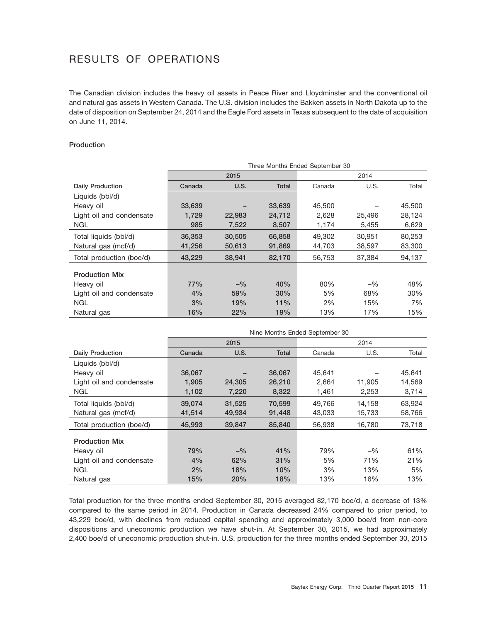# RESULTS OF OPERATIONS

The Canadian division includes the heavy oil assets in Peace River and Lloydminster and the conventional oil and natural gas assets in Western Canada. The U.S. division includes the Bakken assets in North Dakota up to the date of disposition on September 24, 2014 and the Eagle Ford assets in Texas subsequent to the date of acquisition on June 11, 2014.

#### **Production**

|                          | Three Months Ended September 30 |                 |              |        |        |        |  |  |
|--------------------------|---------------------------------|-----------------|--------------|--------|--------|--------|--|--|
|                          |                                 | 2015            |              |        | 2014   |        |  |  |
| <b>Daily Production</b>  | Canada                          | U.S.            | <b>Total</b> | Canada | U.S.   | Total  |  |  |
| Liquids (bbl/d)          |                                 |                 |              |        |        |        |  |  |
| Heavy oil                | 33,639                          |                 | 33,639       | 45,500 |        | 45,500 |  |  |
| Light oil and condensate | 1,729                           | 22,983          | 24,712       | 2,628  | 25,496 | 28,124 |  |  |
| <b>NGL</b>               | 985                             | 7,522           | 8,507        | 1,174  | 5,455  | 6,629  |  |  |
| Total liquids (bbl/d)    | 36,353                          | 30,505          | 66,858       | 49,302 | 30,951 | 80,253 |  |  |
| Natural gas (mcf/d)      | 41,256                          | 50,613          | 91,869       | 44,703 | 38,597 | 83,300 |  |  |
| Total production (boe/d) | 43,229                          | 38,941          | 82,170       | 56,753 | 37,384 | 94,137 |  |  |
| <b>Production Mix</b>    |                                 |                 |              |        |        |        |  |  |
| Heavy oil                | <b>77%</b>                      | $- \frac{9}{6}$ | 40%          | 80%    | $-$ %  | 48%    |  |  |
| Light oil and condensate | 4%                              | 59%             | 30%          | 5%     | 68%    | 30%    |  |  |
| <b>NGL</b>               | 3%                              | 19%             | 11%          | 2%     | 15%    | 7%     |  |  |
| Natural gas              | 16%                             | 22%             | 19%          | 13%    | 17%    | 15%    |  |  |

|                          | Nine Months Ended September 30 |        |              |        |        |        |  |  |  |
|--------------------------|--------------------------------|--------|--------------|--------|--------|--------|--|--|--|
|                          |                                | 2015   |              |        | 2014   |        |  |  |  |
| <b>Daily Production</b>  | Canada                         | U.S.   | <b>Total</b> | Canada | U.S.   | Total  |  |  |  |
| Liquids (bbl/d)          |                                |        |              |        |        |        |  |  |  |
| Heavy oil                | 36,067                         |        | 36,067       | 45.641 |        | 45,641 |  |  |  |
| Light oil and condensate | 1,905                          | 24,305 | 26,210       | 2,664  | 11,905 | 14,569 |  |  |  |
| <b>NGL</b>               | 1,102                          | 7,220  | 8,322        | 1,461  | 2,253  | 3,714  |  |  |  |
| Total liquids (bbl/d)    | 39,074                         | 31,525 | 70,599       | 49,766 | 14,158 | 63,924 |  |  |  |
| Natural gas (mcf/d)      | 41,514                         | 49,934 | 91,448       | 43,033 | 15,733 | 58,766 |  |  |  |
| Total production (boe/d) | 45,993                         | 39,847 | 85,840       | 56,938 | 16,780 | 73,718 |  |  |  |
| <b>Production Mix</b>    |                                |        |              |        |        |        |  |  |  |
|                          | 79%                            | $-$ %  | 41%          | 79%    | $-$ %  | 61%    |  |  |  |
| Heavy oil                |                                |        |              |        |        |        |  |  |  |
| Light oil and condensate | 4%                             | 62%    | 31%          | 5%     | 71%    | 21%    |  |  |  |
| <b>NGL</b>               | 2%                             | 18%    | 10%          | 3%     | 13%    | 5%     |  |  |  |
| Natural gas              | 15%                            | 20%    | 18%          | 13%    | 16%    | 13%    |  |  |  |

Total production for the three months ended September 30, 2015 averaged 82,170 boe/d, a decrease of 13% compared to the same period in 2014. Production in Canada decreased 24% compared to prior period, to 43,229 boe/d, with declines from reduced capital spending and approximately 3,000 boe/d from non-core dispositions and uneconomic production we have shut-in. At September 30, 2015, we had approximately 2,400 boe/d of uneconomic production shut-in. U.S. production for the three months ended September 30, 2015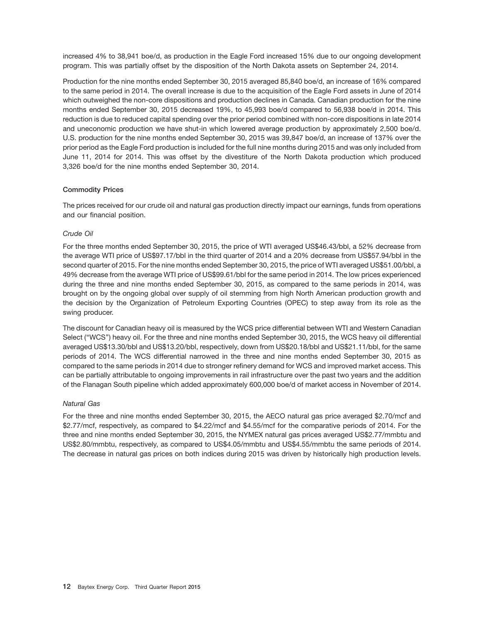increased 4% to 38,941 boe/d, as production in the Eagle Ford increased 15% due to our ongoing development program. This was partially offset by the disposition of the North Dakota assets on September 24, 2014.

Production for the nine months ended September 30, 2015 averaged 85,840 boe/d, an increase of 16% compared to the same period in 2014. The overall increase is due to the acquisition of the Eagle Ford assets in June of 2014 which outweighed the non-core dispositions and production declines in Canada. Canadian production for the nine months ended September 30, 2015 decreased 19%, to 45,993 boe/d compared to 56,938 boe/d in 2014. This reduction is due to reduced capital spending over the prior period combined with non-core dispositions in late 2014 and uneconomic production we have shut-in which lowered average production by approximately 2,500 boe/d. U.S. production for the nine months ended September 30, 2015 was 39,847 boe/d, an increase of 137% over the prior period as the Eagle Ford production is included for the full nine months during 2015 and was only included from June 11, 2014 for 2014. This was offset by the divestiture of the North Dakota production which produced 3,326 boe/d for the nine months ended September 30, 2014.

#### **Commodity Prices**

The prices received for our crude oil and natural gas production directly impact our earnings, funds from operations and our financial position.

#### *Crude Oil*

For the three months ended September 30, 2015, the price of WTI averaged US\$46.43/bbl, a 52% decrease from the average WTI price of US\$97.17/bbl in the third quarter of 2014 and a 20% decrease from US\$57.94/bbl in the second quarter of 2015. For the nine months ended September 30, 2015, the price of WTI averaged US\$51.00/bbl, a 49% decrease from the average WTI price of US\$99.61/bbl for the same period in 2014. The low prices experienced during the three and nine months ended September 30, 2015, as compared to the same periods in 2014, was brought on by the ongoing global over supply of oil stemming from high North American production growth and the decision by the Organization of Petroleum Exporting Countries (OPEC) to step away from its role as the swing producer.

The discount for Canadian heavy oil is measured by the WCS price differential between WTI and Western Canadian Select (''WCS'') heavy oil. For the three and nine months ended September 30, 2015, the WCS heavy oil differential averaged US\$13.30/bbl and US\$13.20/bbl, respectively, down from US\$20.18/bbl and US\$21.11/bbl, for the same periods of 2014. The WCS differential narrowed in the three and nine months ended September 30, 2015 as compared to the same periods in 2014 due to stronger refinery demand for WCS and improved market access. This can be partially attributable to ongoing improvements in rail infrastructure over the past two years and the addition of the Flanagan South pipeline which added approximately 600,000 boe/d of market access in November of 2014.

#### *Natural Gas*

For the three and nine months ended September 30, 2015, the AECO natural gas price averaged \$2.70/mcf and \$2.77/mcf, respectively, as compared to \$4.22/mcf and \$4.55/mcf for the comparative periods of 2014. For the three and nine months ended September 30, 2015, the NYMEX natural gas prices averaged US\$2.77/mmbtu and US\$2.80/mmbtu, respectively, as compared to US\$4.05/mmbtu and US\$4.55/mmbtu the same periods of 2014. The decrease in natural gas prices on both indices during 2015 was driven by historically high production levels.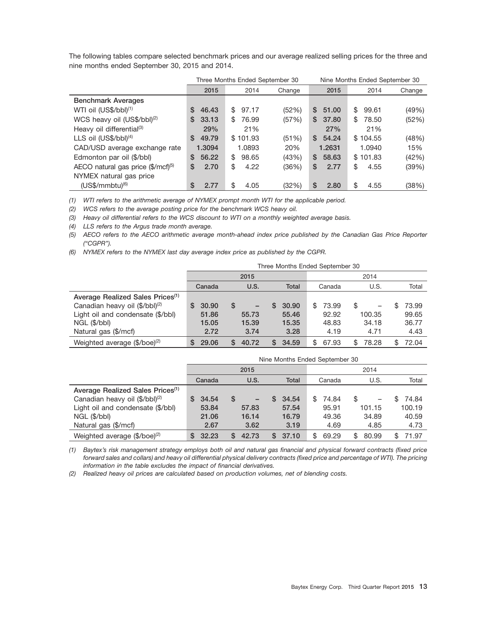The following tables compare selected benchmark prices and our average realized selling prices for the three and nine months ended September 30, 2015 and 2014.

|                                                |             | Three Months Ended September 30 |        | Nine Months Ended September 30 |             |        |  |
|------------------------------------------------|-------------|---------------------------------|--------|--------------------------------|-------------|--------|--|
|                                                | 2015        | 2014                            | Change | 2015                           | 2014        | Change |  |
| <b>Benchmark Averages</b>                      |             |                                 |        |                                |             |        |  |
| $WTI$ oil $(US$/bbI)^{(1)}$                    | \$<br>46.43 | \$<br>97.17                     | (52%)  | S.<br>51.00                    | 99.61<br>\$ | (49%)  |  |
| WCS heavy oil (US\$/bbl) <sup>(2)</sup>        | \$<br>33.13 | 76.99<br>\$.                    | (57%)  | 37.80<br>S.                    | 78.50<br>\$ | (52%)  |  |
| Heavy oil differential <sup>(3)</sup>          | 29%         | 21%                             |        | 27%                            | 21%         |        |  |
| LLS oil (US\$/bbl) <sup>(4)</sup>              | \$<br>49.79 | \$101.93                        | (51%)  | 54.24<br>S.                    | \$104.55    | (48%)  |  |
| CAD/USD average exchange rate                  | 1.3094      | 1.0893                          | 20%    | 1.2631                         | 1.0940      | 15%    |  |
| Edmonton par oil (\$/bbl)                      | \$<br>56.22 | \$<br>98.65                     | (43%)  | \$<br>58.63                    | \$101.83    | (42%)  |  |
| AECO natural gas price (\$/mcf) <sup>(5)</sup> | \$<br>2.70  | \$<br>4.22                      | (36%)  | \$<br>2.77                     | \$<br>4.55  | (39%)  |  |
| NYMEX natural gas price                        |             |                                 |        |                                |             |        |  |
| $(USS/mmbtu)^{(6)}$                            | S<br>2.77   | \$<br>4.05                      | (32%)  | S<br>2.80                      | \$<br>4.55  | (38%)  |  |

*(1) WTI refers to the arithmetic average of NYMEX prompt month WTI for the applicable period.*

*(2) WCS refers to the average posting price for the benchmark WCS heavy oil.*

*(3) Heavy oil differential refers to the WCS discount to WTI on a monthly weighted average basis.*

*(4) LLS refers to the Argus trade month average.*

*(5) AECO refers to the AECO arithmetic average month-ahead index price published by the Canadian Gas Price Reporter (''CGPR'').*

*(6) NYMEX refers to the NYMEX last day average index price as published by the CGPR.*

|                                              |             | Three Months Ended September 30 |             |              |              |             |  |  |
|----------------------------------------------|-------------|---------------------------------|-------------|--------------|--------------|-------------|--|--|
|                                              |             | 2015                            |             | 2014         |              |             |  |  |
|                                              | Canada      | U.S.                            | Total       | Canada       | U.S.         | Total       |  |  |
| Average Realized Sales Prices <sup>(1)</sup> |             |                                 |             |              |              |             |  |  |
| Canadian heavy oil (\$/bbl) <sup>(2)</sup>   | 30.90<br>S. | S<br>-                          | 30.90<br>S. | 73.99<br>\$. | \$           | 73.99<br>\$ |  |  |
| Light oil and condensate (\$/bbl)            | 51.86       | 55.73                           | 55.46       | 92.92        | 100.35       | 99.65       |  |  |
| NGL (\$/bbl)                                 | 15.05       | 15.39                           | 15.35       | 48.83        | 34.18        | 36.77       |  |  |
| Natural gas (\$/mcf)                         | 2.72        | 3.74                            | 3.28        | 4.19         | 4.71         | 4.43        |  |  |
| Weighted average $(\frac{6}{b}$ oe $)^{(2)}$ | 29.06       | 40.72<br>\$.                    | 34.59       | 67.93<br>\$  | 78.28<br>\$. | 72.04       |  |  |

|                                                |             | Nine Months Ended September 30 |              |              |                                |              |  |  |
|------------------------------------------------|-------------|--------------------------------|--------------|--------------|--------------------------------|--------------|--|--|
|                                                |             | 2015                           |              | 2014         |                                |              |  |  |
|                                                | Canada      | U.S.                           | <b>Total</b> | Canada       | U.S.                           | Total        |  |  |
| Average Realized Sales Prices <sup>(1)</sup>   |             |                                |              |              |                                |              |  |  |
| Canadian heavy oil (\$/bbl) <sup>(2)</sup>     | 34.54<br>S. | \$<br>-                        | 34.54<br>S.  | 74.84<br>\$. | \$<br>$\overline{\phantom{0}}$ | 74.84<br>\$. |  |  |
| Light oil and condensate (\$/bbl)              | 53.84       | 57.83                          | 57.54        | 95.91        | 101.15                         | 100.19       |  |  |
| NGL (\$/bbl)                                   | 21.06       | 16.14                          | 16.79        | 49.36        | 34.89                          | 40.59        |  |  |
| Natural gas (\$/mcf)                           | 2.67        | 3.62                           | 3.19         | 4.69         | 4.85                           | 4.73         |  |  |
| Weighted average $(\frac{4}{5})$ boe $)^{(2)}$ | 32.23<br>S  | 42.73<br>S.                    | 37.10<br>S.  | 69.29<br>\$  | 80.99<br>\$.                   | 71.97<br>\$  |  |  |

*(1) Baytex's risk management strategy employs both oil and natural gas financial and physical forward contracts (fixed price forward sales and collars) and heavy oil differential physical delivery contracts (fixed price and percentage of WTI). The pricing information in the table excludes the impact of financial derivatives.*

*(2) Realized heavy oil prices are calculated based on production volumes, net of blending costs.*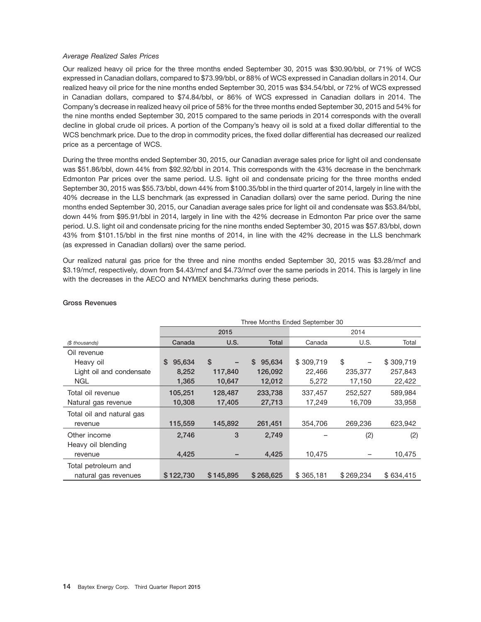#### *Average Realized Sales Prices*

Our realized heavy oil price for the three months ended September 30, 2015 was \$30.90/bbl, or 71% of WCS expressed in Canadian dollars, compared to \$73.99/bbl, or 88% of WCS expressed in Canadian dollars in 2014. Our realized heavy oil price for the nine months ended September 30, 2015 was \$34.54/bbl, or 72% of WCS expressed in Canadian dollars, compared to \$74.84/bbl, or 86% of WCS expressed in Canadian dollars in 2014. The Company's decrease in realized heavy oil price of 58% for the three months ended September 30, 2015 and 54% for the nine months ended September 30, 2015 compared to the same periods in 2014 corresponds with the overall decline in global crude oil prices. A portion of the Company's heavy oil is sold at a fixed dollar differential to the WCS benchmark price. Due to the drop in commodity prices, the fixed dollar differential has decreased our realized price as a percentage of WCS.

During the three months ended September 30, 2015, our Canadian average sales price for light oil and condensate was \$51.86/bbl, down 44% from \$92.92/bbl in 2014. This corresponds with the 43% decrease in the benchmark Edmonton Par prices over the same period. U.S. light oil and condensate pricing for the three months ended September 30, 2015 was \$55.73/bbl, down 44% from \$100.35/bbl in the third quarter of 2014, largely in line with the 40% decrease in the LLS benchmark (as expressed in Canadian dollars) over the same period. During the nine months ended September 30, 2015, our Canadian average sales price for light oil and condensate was \$53.84/bbl, down 44% from \$95.91/bbl in 2014, largely in line with the 42% decrease in Edmonton Par price over the same period. U.S. light oil and condensate pricing for the nine months ended September 30, 2015 was \$57.83/bbl, down 43% from \$101.15/bbl in the first nine months of 2014, in line with the 42% decrease in the LLS benchmark (as expressed in Canadian dollars) over the same period.

Our realized natural gas price for the three and nine months ended September 30, 2015 was \$3.28/mcf and \$3.19/mcf, respectively, down from \$4.43/mcf and \$4.73/mcf over the same periods in 2014. This is largely in line with the decreases in the AECO and NYMEX benchmarks during these periods.

|                           | Three Months Ended September 30 |           |              |           |           |           |  |  |  |
|---------------------------|---------------------------------|-----------|--------------|-----------|-----------|-----------|--|--|--|
|                           |                                 | 2015      |              |           | 2014      |           |  |  |  |
| (\$ thousands)            | Canada                          | U.S.      | <b>Total</b> | Canada    | U.S.      | Total     |  |  |  |
| Oil revenue               |                                 |           |              |           |           |           |  |  |  |
| Heavy oil                 | \$<br>95,634                    | \$        | 95,634<br>S  | \$309,719 | \$        | \$309,719 |  |  |  |
| Light oil and condensate  | 8,252                           | 117,840   | 126,092      | 22,466    | 235,377   | 257,843   |  |  |  |
| NGL                       | 1,365                           | 10,647    | 12,012       | 5,272     | 17,150    | 22,422    |  |  |  |
| Total oil revenue         | 105,251                         | 128,487   | 233,738      | 337,457   | 252,527   | 589,984   |  |  |  |
| Natural gas revenue       | 10,308                          | 17,405    | 27,713       | 17,249    | 16,709    | 33,958    |  |  |  |
| Total oil and natural gas |                                 |           |              |           |           |           |  |  |  |
| revenue                   | 115,559                         | 145,892   | 261,451      | 354,706   | 269,236   | 623.942   |  |  |  |
| Other income              | 2,746                           | 3         | 2,749        |           | (2)       | (2)       |  |  |  |
| Heavy oil blending        |                                 |           |              |           |           |           |  |  |  |
| revenue                   | 4,425                           |           | 4,425        | 10,475    |           | 10,475    |  |  |  |
| Total petroleum and       |                                 |           |              |           |           |           |  |  |  |
| natural gas revenues      | \$122,730                       | \$145.895 | \$268,625    | \$365,181 | \$269.234 | \$634,415 |  |  |  |

#### **Gross Revenues**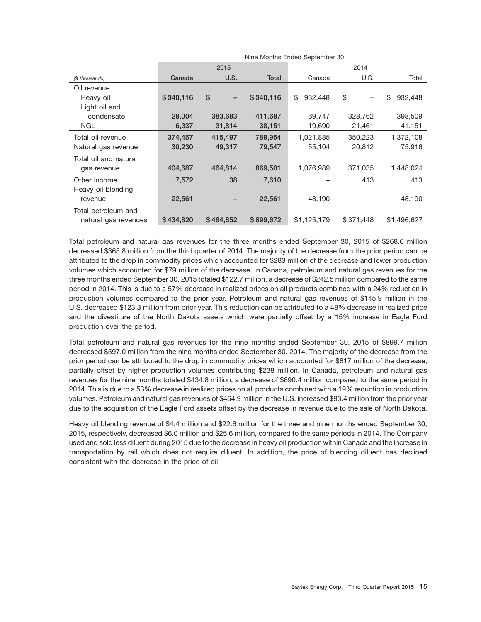|                       |           | Nine Months Ended September 30 |              |               |           |               |  |  |  |  |  |  |  |
|-----------------------|-----------|--------------------------------|--------------|---------------|-----------|---------------|--|--|--|--|--|--|--|
|                       |           | 2015                           |              | 2014          |           |               |  |  |  |  |  |  |  |
| (\$ thousands)        | Canada    | U.S.                           | <b>Total</b> | Canada        | U.S.      | Total         |  |  |  |  |  |  |  |
| Oil revenue           |           |                                |              |               |           |               |  |  |  |  |  |  |  |
| Heavy oil             | \$340,116 | \$                             | \$340,116    | \$<br>932,448 | \$        | \$<br>932,448 |  |  |  |  |  |  |  |
| Light oil and         |           |                                |              |               |           |               |  |  |  |  |  |  |  |
| condensate            | 28,004    | 383,683                        | 411,687      | 69,747        | 328,762   | 398,509       |  |  |  |  |  |  |  |
| NGL                   | 6,337     | 31,814                         | 38,151       | 19,690        | 21,461    | 41,151        |  |  |  |  |  |  |  |
| Total oil revenue     | 374,457   | 415,497                        | 789,954      | 1,021,885     | 350,223   | 1,372,108     |  |  |  |  |  |  |  |
| Natural gas revenue   | 30,230    | 49,317                         | 79,547       | 55,104        | 20,812    | 75,916        |  |  |  |  |  |  |  |
| Total oil and natural |           |                                |              |               |           |               |  |  |  |  |  |  |  |
| gas revenue           | 404,687   | 464,814                        | 869,501      | 1,076,989     | 371,035   | 1,448,024     |  |  |  |  |  |  |  |
| Other income          | 7,572     | 38                             | 7,610        |               | 413       | 413           |  |  |  |  |  |  |  |
| Heavy oil blending    |           |                                |              |               |           |               |  |  |  |  |  |  |  |
| revenue               | 22,561    |                                | 22,561       | 48,190        |           | 48,190        |  |  |  |  |  |  |  |
| Total petroleum and   |           |                                |              |               |           |               |  |  |  |  |  |  |  |
| natural gas revenues  | \$434.820 | \$464.852                      | \$899,672    | \$1,125,179   | \$371.448 | \$1,496,627   |  |  |  |  |  |  |  |

Total petroleum and natural gas revenues for the three months ended September 30, 2015 of \$268.6 million decreased \$365.8 million from the third quarter of 2014. The majority of the decrease from the prior period can be attributed to the drop in commodity prices which accounted for \$283 million of the decrease and lower production volumes which accounted for \$79 million of the decrease. In Canada, petroleum and natural gas revenues for the three months ended September 30, 2015 totaled \$122.7 million, a decrease of \$242.5 million compared to the same period in 2014. This is due to a 57% decrease in realized prices on all products combined with a 24% reduction in production volumes compared to the prior year. Petroleum and natural gas revenues of \$145.9 million in the U.S. decreased \$123.3 million from prior year. This reduction can be attributed to a 48% decrease in realized price and the divestiture of the North Dakota assets which were partially offset by a 15% increase in Eagle Ford production over the period.

Total petroleum and natural gas revenues for the nine months ended September 30, 2015 of \$899.7 million decreased \$597.0 million from the nine months ended September 30, 2014. The majority of the decrease from the prior period can be attributed to the drop in commodity prices which accounted for \$817 million of the decrease, partially offset by higher production volumes contributing \$238 million. In Canada, petroleum and natural gas revenues for the nine months totaled \$434.8 million, a decrease of \$690.4 million compared to the same period in 2014. This is due to a 53% decrease in realized prices on all products combined with a 19% reduction in production volumes. Petroleum and natural gas revenues of \$464.9 million in the U.S. increased \$93.4 million from the prior year due to the acquisition of the Eagle Ford assets offset by the decrease in revenue due to the sale of North Dakota.

Heavy oil blending revenue of \$4.4 million and \$22.6 million for the three and nine months ended September 30, 2015, respectively, decreased \$6.0 million and \$25.6 million, compared to the same periods in 2014. The Company used and sold less diluent during 2015 due to the decrease in heavy oil production within Canada and the increase in transportation by rail which does not require diluent. In addition, the price of blending diluent has declined consistent with the decrease in the price of oil.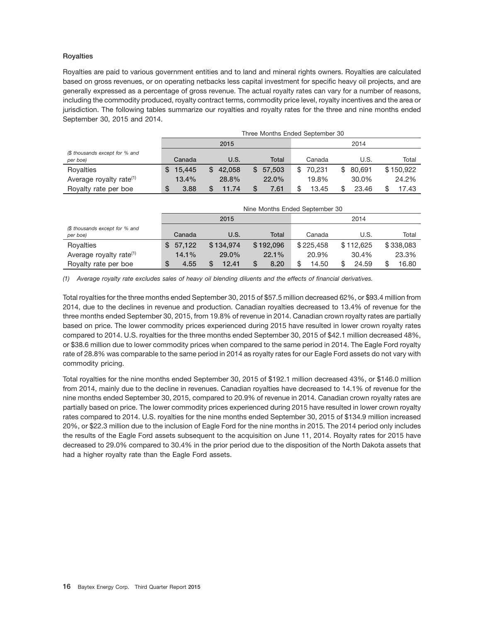#### **Royalties**

Royalties are paid to various government entities and to land and mineral rights owners. Royalties are calculated based on gross revenues, or on operating netbacks less capital investment for specific heavy oil projects, and are generally expressed as a percentage of gross revenue. The actual royalty rates can vary for a number of reasons, including the commodity produced, royalty contract terms, commodity price level, royalty incentives and the area or jurisdiction. The following tables summarize our royalties and royalty rates for the three and nine months ended September 30, 2015 and 2014.

|                                            |              | Three Months Ended September 30 |              |              |               |           |  |  |  |  |  |  |  |
|--------------------------------------------|--------------|---------------------------------|--------------|--------------|---------------|-----------|--|--|--|--|--|--|--|
|                                            |              | 2015                            |              |              | 2014          |           |  |  |  |  |  |  |  |
| (\$ thousands except for % and<br>per boe) | Canada       | U.S.                            | Total        | Canada       | U.S.          | Total     |  |  |  |  |  |  |  |
| Royalties                                  | 15.445<br>S. | 42.058<br>S.                    | 57,503<br>S. | 70.231<br>\$ | 80.691<br>\$. | \$150.922 |  |  |  |  |  |  |  |
| Average royalty rate <sup>(1)</sup>        | 13.4%        | 28.8%                           | 22.0%        | 19.8%        | 30.0%         | 24.2%     |  |  |  |  |  |  |  |
| Royalty rate per boe                       | 3.88<br>S    | 11.74                           | S.<br>7.61   | 13.45        | 23.46         | 17.43     |  |  |  |  |  |  |  |

|                                            |              | Nine Months Ended September 30 |           |             |             |           |  |  |  |  |  |  |  |
|--------------------------------------------|--------------|--------------------------------|-----------|-------------|-------------|-----------|--|--|--|--|--|--|--|
|                                            |              | 2015                           |           |             | 2014        |           |  |  |  |  |  |  |  |
| (\$ thousands except for % and<br>per boe) | Canada       | U.S.                           | Total     | Canada      | U.S.        | Total     |  |  |  |  |  |  |  |
| Royalties                                  | 57,122<br>S. | \$134.974                      | \$192,096 | \$225.458   | \$112.625   | \$338,083 |  |  |  |  |  |  |  |
| Average royalty rate <sup>(1)</sup>        | 14.1%        | 29.0%                          | 22.1%     | 20.9%       | 30.4%       | 23.3%     |  |  |  |  |  |  |  |
| Royalty rate per boe                       | \$<br>4.55   | 12.41                          | 8.20<br>S | 14.50<br>\$ | \$<br>24.59 | 16.80     |  |  |  |  |  |  |  |

*(1) Average royalty rate excludes sales of heavy oil blending diluents and the effects of financial derivatives.*

Total royalties for the three months ended September 30, 2015 of \$57.5 million decreased 62%, or \$93.4 million from 2014, due to the declines in revenue and production. Canadian royalties decreased to 13.4% of revenue for the three months ended September 30, 2015, from 19.8% of revenue in 2014. Canadian crown royalty rates are partially based on price. The lower commodity prices experienced during 2015 have resulted in lower crown royalty rates compared to 2014. U.S. royalties for the three months ended September 30, 2015 of \$42.1 million decreased 48%, or \$38.6 million due to lower commodity prices when compared to the same period in 2014. The Eagle Ford royalty rate of 28.8% was comparable to the same period in 2014 as royalty rates for our Eagle Ford assets do not vary with commodity pricing.

Total royalties for the nine months ended September 30, 2015 of \$192.1 million decreased 43%, or \$146.0 million from 2014, mainly due to the decline in revenues. Canadian royalties have decreased to 14.1% of revenue for the nine months ended September 30, 2015, compared to 20.9% of revenue in 2014. Canadian crown royalty rates are partially based on price. The lower commodity prices experienced during 2015 have resulted in lower crown royalty rates compared to 2014. U.S. royalties for the nine months ended September 30, 2015 of \$134.9 million increased 20%, or \$22.3 million due to the inclusion of Eagle Ford for the nine months in 2015. The 2014 period only includes the results of the Eagle Ford assets subsequent to the acquisition on June 11, 2014. Royalty rates for 2015 have decreased to 29.0% compared to 30.4% in the prior period due to the disposition of the North Dakota assets that had a higher royalty rate than the Eagle Ford assets.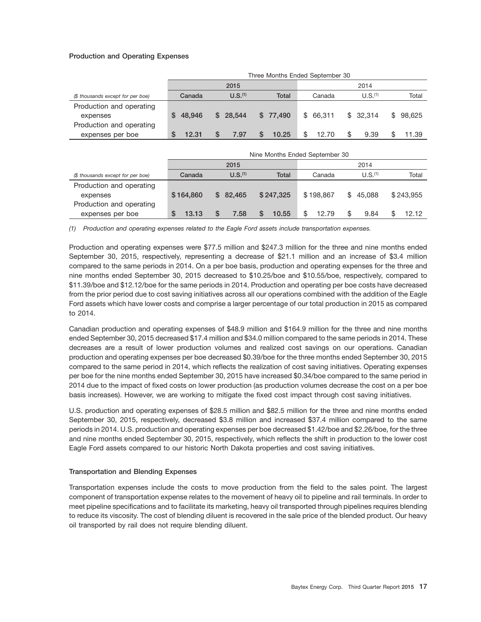#### **Production and Operating Expenses**

|                                   |                    | Three Months Ended September 30 |          |          |                     |               |  |  |  |  |  |  |
|-----------------------------------|--------------------|---------------------------------|----------|----------|---------------------|---------------|--|--|--|--|--|--|
|                                   |                    | 2015                            |          | 2014     |                     |               |  |  |  |  |  |  |
| (\$ thousands except for per boe) | Canada             | U.S. <sup>(1)</sup>             | Total    | Canada   | U.S. <sup>(1)</sup> | Total         |  |  |  |  |  |  |
| Production and operating          |                    |                                 |          |          |                     |               |  |  |  |  |  |  |
| expenses                          | 48,946<br><b>S</b> | \$28.544                        | \$77.490 | \$66.311 | \$32.314            | 98.625<br>SS. |  |  |  |  |  |  |
| Production and operating          |                    |                                 |          |          |                     |               |  |  |  |  |  |  |
| expenses per boe                  | 12.31              | 7.97                            | 10.25    | 12.70    | \$<br>9.39          | 11.39         |  |  |  |  |  |  |

|                                   |            | Nine Months Ended September 30 |              |           |                     |           |  |  |  |  |  |  |  |
|-----------------------------------|------------|--------------------------------|--------------|-----------|---------------------|-----------|--|--|--|--|--|--|--|
|                                   |            | 2015                           |              | 2014      |                     |           |  |  |  |  |  |  |  |
| (\$ thousands except for per boe) | Canada     | U.S. <sup>(1)</sup>            | <b>Total</b> | Canada    | U.S. <sup>(1)</sup> | Total     |  |  |  |  |  |  |  |
| Production and operating          |            |                                |              |           |                     |           |  |  |  |  |  |  |  |
| expenses                          | \$164,860  | \$82,465                       | \$247,325    | \$198,867 | 45.088<br>\$.       | \$243,955 |  |  |  |  |  |  |  |
| Production and operating          |            |                                |              |           |                     |           |  |  |  |  |  |  |  |
| expenses per boe                  | 13.13<br>S | 7.58                           | 10.55        | 12.79     | \$<br>9.84          | 12.12     |  |  |  |  |  |  |  |

*(1) Production and operating expenses related to the Eagle Ford assets include transportation expenses.*

Production and operating expenses were \$77.5 million and \$247.3 million for the three and nine months ended September 30, 2015, respectively, representing a decrease of \$21.1 million and an increase of \$3.4 million compared to the same periods in 2014. On a per boe basis, production and operating expenses for the three and nine months ended September 30, 2015 decreased to \$10.25/boe and \$10.55/boe, respectively, compared to \$11.39/boe and \$12.12/boe for the same periods in 2014. Production and operating per boe costs have decreased from the prior period due to cost saving initiatives across all our operations combined with the addition of the Eagle Ford assets which have lower costs and comprise a larger percentage of our total production in 2015 as compared to 2014.

Canadian production and operating expenses of \$48.9 million and \$164.9 million for the three and nine months ended September 30, 2015 decreased \$17.4 million and \$34.0 million compared to the same periods in 2014. These decreases are a result of lower production volumes and realized cost savings on our operations. Canadian production and operating expenses per boe decreased \$0.39/boe for the three months ended September 30, 2015 compared to the same period in 2014, which reflects the realization of cost saving initiatives. Operating expenses per boe for the nine months ended September 30, 2015 have increased \$0.34/boe compared to the same period in 2014 due to the impact of fixed costs on lower production (as production volumes decrease the cost on a per boe basis increases). However, we are working to mitigate the fixed cost impact through cost saving initiatives.

U.S. production and operating expenses of \$28.5 million and \$82.5 million for the three and nine months ended September 30, 2015, respectively, decreased \$3.8 million and increased \$37.4 million compared to the same periods in 2014. U.S. production and operating expenses per boe decreased \$1.42/boe and \$2.26/boe, for the three and nine months ended September 30, 2015, respectively, which reflects the shift in production to the lower cost Eagle Ford assets compared to our historic North Dakota properties and cost saving initiatives.

#### **Transportation and Blending Expenses**

Transportation expenses include the costs to move production from the field to the sales point. The largest component of transportation expense relates to the movement of heavy oil to pipeline and rail terminals. In order to meet pipeline specifications and to facilitate its marketing, heavy oil transported through pipelines requires blending to reduce its viscosity. The cost of blending diluent is recovered in the sale price of the blended product. Our heavy oil transported by rail does not require blending diluent.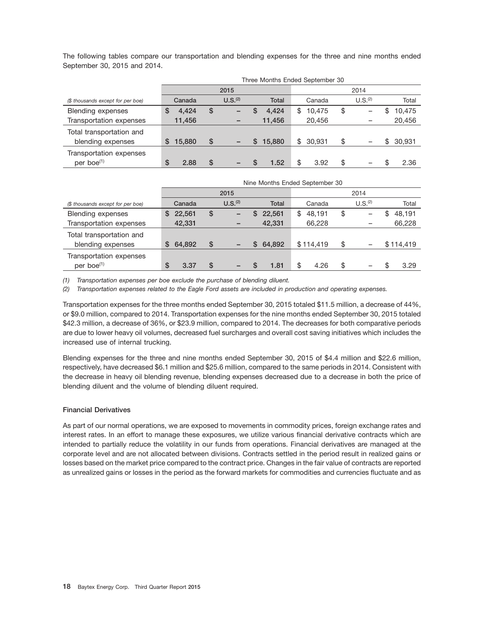The following tables compare our transportation and blending expenses for the three and nine months ended September 30, 2015 and 2014.

|                                   |   | Three Months Ended September 30 |          |                     |   |              |    |        |    |                     |   |        |
|-----------------------------------|---|---------------------------------|----------|---------------------|---|--------------|----|--------|----|---------------------|---|--------|
|                                   |   |                                 |          | 2015                |   |              |    |        |    | 2014                |   |        |
| (\$ thousands except for per boe) |   | Canada                          |          | U.S. <sup>(2)</sup> |   | <b>Total</b> |    | Canada |    | U.S. <sup>(2)</sup> |   | Total  |
| <b>Blending expenses</b>          | S | 4,424                           | S        | -                   |   | 4.424        | \$ | 10.475 | \$ | -                   |   | 10.475 |
| Transportation expenses           |   | 11,456                          |          |                     |   | 11,456       |    | 20.456 |    |                     |   | 20,456 |
| Total transportation and          |   |                                 |          |                     |   |              |    |        |    |                     |   |        |
| blending expenses                 | S | 15,880                          | <b>S</b> | -                   | S | 15,880       | \$ | 30.931 | \$ |                     | S | 30.931 |
| Transportation expenses           |   |                                 |          |                     |   |              |    |        |    |                     |   |        |
| per boe $(1)$                     | S | 2.88                            | S        |                     |   | 1.52         |    | 3.92   | \$ |                     |   | 2.36   |

|                                   |   | Nine Months Ended September 30 |     |                     |    |              |      |           |    |                     |    |           |  |
|-----------------------------------|---|--------------------------------|-----|---------------------|----|--------------|------|-----------|----|---------------------|----|-----------|--|
|                                   |   |                                |     | 2015                |    |              | 2014 |           |    |                     |    |           |  |
| (\$ thousands except for per boe) |   | Canada                         |     | U.S. <sup>(2)</sup> |    | <b>Total</b> |      | Canada    |    | U.S. <sup>(2)</sup> |    | Total     |  |
| <b>Blending expenses</b>          | S | 22,561                         | \$  | -                   | S  | 22,561       | \$   | 48.191    | \$ |                     | \$ | 48.191    |  |
| Transportation expenses           |   | 42,331                         |     |                     |    | 42,331       |      | 66,228    |    |                     |    | 66,228    |  |
| Total transportation and          |   |                                |     |                     |    |              |      |           |    |                     |    |           |  |
| blending expenses                 | S | 64,892                         | \$  | -                   | S. | 64,892       |      | \$114,419 | \$ |                     |    | \$114,419 |  |
| Transportation expenses           |   |                                |     |                     |    |              |      |           |    |                     |    |           |  |
| per boe <sup>(1)</sup>            | S | 3.37                           | \$. | -                   |    | 1.81         | \$   | 4.26      | \$ |                     |    | 3.29      |  |

*(1) Transportation expenses per boe exclude the purchase of blending diluent.*

*(2) Transportation expenses related to the Eagle Ford assets are included in production and operating expenses.*

Transportation expenses for the three months ended September 30, 2015 totaled \$11.5 million, a decrease of 44%, or \$9.0 million, compared to 2014. Transportation expenses for the nine months ended September 30, 2015 totaled \$42.3 million, a decrease of 36%, or \$23.9 million, compared to 2014. The decreases for both comparative periods are due to lower heavy oil volumes, decreased fuel surcharges and overall cost saving initiatives which includes the increased use of internal trucking.

Blending expenses for the three and nine months ended September 30, 2015 of \$4.4 million and \$22.6 million, respectively, have decreased \$6.1 million and \$25.6 million, compared to the same periods in 2014. Consistent with the decrease in heavy oil blending revenue, blending expenses decreased due to a decrease in both the price of blending diluent and the volume of blending diluent required.

#### **Financial Derivatives**

As part of our normal operations, we are exposed to movements in commodity prices, foreign exchange rates and interest rates. In an effort to manage these exposures, we utilize various financial derivative contracts which are intended to partially reduce the volatility in our funds from operations. Financial derivatives are managed at the corporate level and are not allocated between divisions. Contracts settled in the period result in realized gains or losses based on the market price compared to the contract price. Changes in the fair value of contracts are reported as unrealized gains or losses in the period as the forward markets for commodities and currencies fluctuate and as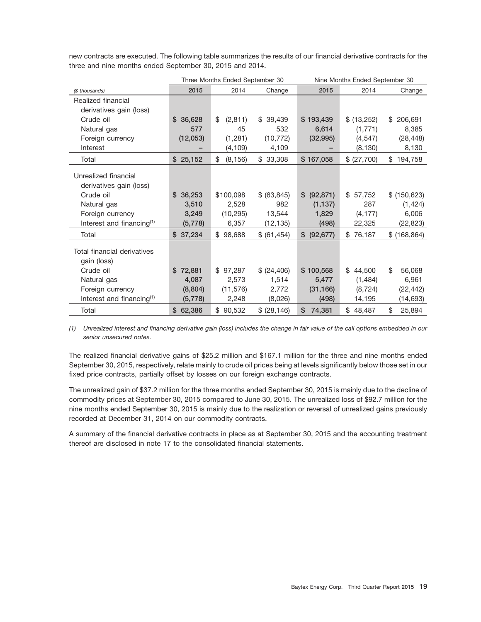|                                       |              | Three Months Ended September 30 |              | Nine Months Ended September 30 |              |               |  |  |
|---------------------------------------|--------------|---------------------------------|--------------|--------------------------------|--------------|---------------|--|--|
| (\$ thousands)                        | 2015         | 2014                            | Change       | 2015                           | 2014         | Change        |  |  |
| Realized financial                    |              |                                 |              |                                |              |               |  |  |
| derivatives gain (loss)               |              |                                 |              |                                |              |               |  |  |
| Crude oil                             | \$36,628     | (2, 811)<br>\$                  | \$39,439     | \$193,439                      | \$ (13,252)  | 206,691<br>\$ |  |  |
| Natural gas                           | 577          | 45                              | 532          | 6,614                          | (1, 771)     | 8,385         |  |  |
| Foreign currency                      | (12,053)     | (1, 281)                        | (10, 772)    | (32, 995)                      | (4, 547)     | (28, 448)     |  |  |
| Interest                              |              | (4, 109)                        | 4,109        |                                | (8, 130)     | 8,130         |  |  |
| Total                                 | \$25,152     | \$<br>(8, 156)                  | \$33,308     | \$167,058                      | \$ (27,700)  | \$<br>194,758 |  |  |
| Unrealized financial                  |              |                                 |              |                                |              |               |  |  |
|                                       |              |                                 |              |                                |              |               |  |  |
| derivatives gain (loss)<br>Crude oil  | 36,253<br>S. | \$100,098                       | \$ (63, 845) | \$                             | \$           | \$ (150,623)  |  |  |
|                                       |              |                                 |              | (92, 871)                      | 57,752       |               |  |  |
| Natural gas                           | 3,510        | 2,528                           | 982          | (1, 137)                       | 287          | (1, 424)      |  |  |
| Foreign currency                      | 3,249        | (10, 295)                       | 13,544       | 1,829                          | (4, 177)     | 6,006         |  |  |
| Interest and financing <sup>(1)</sup> | (5,778)      | 6,357                           | (12, 135)    | (498)                          | 22,325       | (22, 823)     |  |  |
| Total                                 | \$37,234     | \$98,688                        | \$ (61, 454) | (92, 677)<br>\$                | \$<br>76,187 | \$ (168, 864) |  |  |
| Total financial derivatives           |              |                                 |              |                                |              |               |  |  |
| gain (loss)                           |              |                                 |              |                                |              |               |  |  |
| Crude oil                             | \$72.881     |                                 |              |                                | \$           | \$            |  |  |
|                                       |              | \$97,287                        | \$ (24, 406) | \$100,568                      | 44,500       | 56,068        |  |  |
| Natural gas                           | 4,087        | 2,573                           | 1,514        | 5,477                          | (1,484)      | 6,961         |  |  |
| Foreign currency                      | (8,804)      | (11, 576)                       | 2,772        | (31, 166)                      | (8, 724)     | (22, 442)     |  |  |
| Interest and financing <sup>(1)</sup> | (5,778)      | 2,248                           | (8,026)      | (498)                          | 14,195       | (14, 693)     |  |  |
| Total                                 | \$<br>62,386 | \$90,532                        | \$ (28, 146) | \$<br>74,381                   | \$<br>48,487 | \$<br>25,894  |  |  |

new contracts are executed. The following table summarizes the results of our financial derivative contracts for the three and nine months ended September 30, 2015 and 2014.

*(1) Unrealized interest and financing derivative gain (loss) includes the change in fair value of the call options embedded in our senior unsecured notes.*

The realized financial derivative gains of \$25.2 million and \$167.1 million for the three and nine months ended September 30, 2015, respectively, relate mainly to crude oil prices being at levels significantly below those set in our fixed price contracts, partially offset by losses on our foreign exchange contracts.

The unrealized gain of \$37.2 million for the three months ended September 30, 2015 is mainly due to the decline of commodity prices at September 30, 2015 compared to June 30, 2015. The unrealized loss of \$92.7 million for the nine months ended September 30, 2015 is mainly due to the realization or reversal of unrealized gains previously recorded at December 31, 2014 on our commodity contracts.

A summary of the financial derivative contracts in place as at September 30, 2015 and the accounting treatment thereof are disclosed in note 17 to the consolidated financial statements.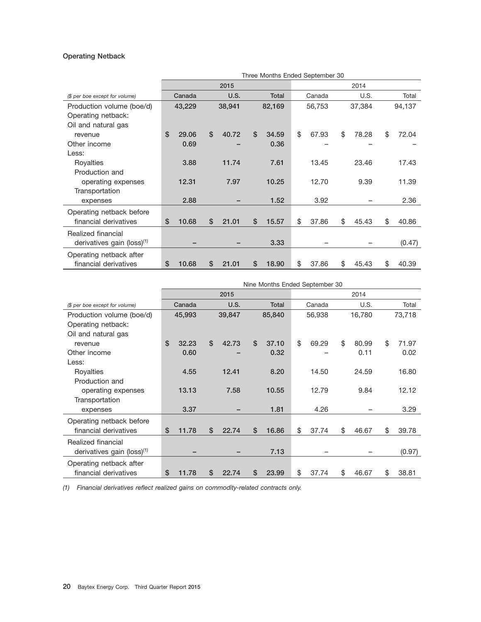## **Operating Netback**

|                                            |    | Three Months Ended September 30 |              |        |    |              |    |        |    |        |    |        |
|--------------------------------------------|----|---------------------------------|--------------|--------|----|--------------|----|--------|----|--------|----|--------|
|                                            |    | 2015                            |              |        |    |              |    | 2014   |    |        |    |        |
| (\$ per boe except for volume)             |    | Canada                          |              | U.S.   |    | <b>Total</b> |    | Canada |    | U.S.   |    | Total  |
| Production volume (boe/d)                  |    | 43,229                          |              | 38,941 |    | 82,169       |    | 56,753 |    | 37,384 |    | 94,137 |
| Operating netback:                         |    |                                 |              |        |    |              |    |        |    |        |    |        |
| Oil and natural gas                        |    |                                 |              |        |    |              |    |        |    |        |    |        |
| revenue                                    | \$ | 29.06                           | $\mathbf{s}$ | 40.72  | \$ | 34.59        | \$ | 67.93  | \$ | 78.28  | \$ | 72.04  |
| Other income                               |    | 0.69                            |              |        |    | 0.36         |    |        |    |        |    |        |
| Less:                                      |    |                                 |              |        |    |              |    |        |    |        |    |        |
| Royalties                                  |    | 3.88                            |              | 11.74  |    | 7.61         |    | 13.45  |    | 23.46  |    | 17.43  |
| Production and                             |    |                                 |              |        |    |              |    |        |    |        |    |        |
| operating expenses                         |    | 12.31                           |              | 7.97   |    | 10.25        |    | 12.70  |    | 9.39   |    | 11.39  |
| Transportation                             |    |                                 |              |        |    |              |    |        |    |        |    |        |
| expenses                                   |    | 2.88                            |              |        |    | 1.52         |    | 3.92   |    |        |    | 2.36   |
| Operating netback before                   |    |                                 |              |        |    |              |    |        |    |        |    |        |
| financial derivatives                      | \$ | 10.68                           | \$           | 21.01  | \$ | 15.57        | \$ | 37.86  | \$ | 45.43  | \$ | 40.86  |
| Realized financial                         |    |                                 |              |        |    |              |    |        |    |        |    |        |
| derivatives gain ( $loss$ ) <sup>(1)</sup> |    |                                 |              |        |    | 3.33         |    |        |    |        |    | (0.47) |
| Operating netback after                    |    |                                 |              |        |    |              |    |        |    |        |    |        |
| financial derivatives                      | S  | 10.68                           | S            | 21.01  | \$ | 18.90        | \$ | 37.86  | \$ | 45.43  | \$ | 40.39  |

|                                            | Nine Months Ended September 30 |    |        |    |              |    |        |    |        |    |        |  |
|--------------------------------------------|--------------------------------|----|--------|----|--------------|----|--------|----|--------|----|--------|--|
|                                            | 2015                           |    |        |    |              |    | 2014   |    |        |    |        |  |
| (\$ per boe except for volume)             | Canada                         |    | U.S.   |    | <b>Total</b> |    | Canada |    | U.S.   |    | Total  |  |
| Production volume (boe/d)                  | 45,993                         |    | 39,847 |    | 85,840       |    | 56,938 |    | 16,780 |    | 73,718 |  |
| Operating netback:                         |                                |    |        |    |              |    |        |    |        |    |        |  |
| Oil and natural gas                        |                                |    |        |    |              |    |        |    |        |    |        |  |
| revenue                                    | \$<br>32.23                    | \$ | 42.73  | \$ | 37.10        | \$ | 69.29  | \$ | 80.99  | \$ | 71.97  |  |
| Other income                               | 0.60                           |    |        |    | 0.32         |    |        |    | 0.11   |    | 0.02   |  |
| Less:                                      |                                |    |        |    |              |    |        |    |        |    |        |  |
| Royalties                                  | 4.55                           |    | 12.41  |    | 8.20         |    | 14.50  |    | 24.59  |    | 16.80  |  |
| Production and                             |                                |    |        |    |              |    |        |    |        |    |        |  |
| operating expenses                         | 13.13                          |    | 7.58   |    | 10.55        |    | 12.79  |    | 9.84   |    | 12.12  |  |
| Transportation                             |                                |    |        |    |              |    |        |    |        |    |        |  |
| expenses                                   | 3.37                           |    |        |    | 1.81         |    | 4.26   |    |        |    | 3.29   |  |
| Operating netback before                   |                                |    |        |    |              |    |        |    |        |    |        |  |
| financial derivatives                      | \$<br>11.78                    | \$ | 22.74  | \$ | 16.86        | \$ | 37.74  | \$ | 46.67  | \$ | 39.78  |  |
| Realized financial                         |                                |    |        |    |              |    |        |    |        |    |        |  |
| derivatives gain ( $loss$ ) <sup>(1)</sup> |                                |    |        |    | 7.13         |    |        |    |        |    | (0.97) |  |
| Operating netback after                    |                                |    |        |    |              |    |        |    |        |    |        |  |
| financial derivatives                      | \$<br>11.78                    | \$ | 22.74  | \$ | 23.99        | \$ | 37.74  | \$ | 46.67  | \$ | 38.81  |  |

*(1) Financial derivatives reflect realized gains on commodity-related contracts only.*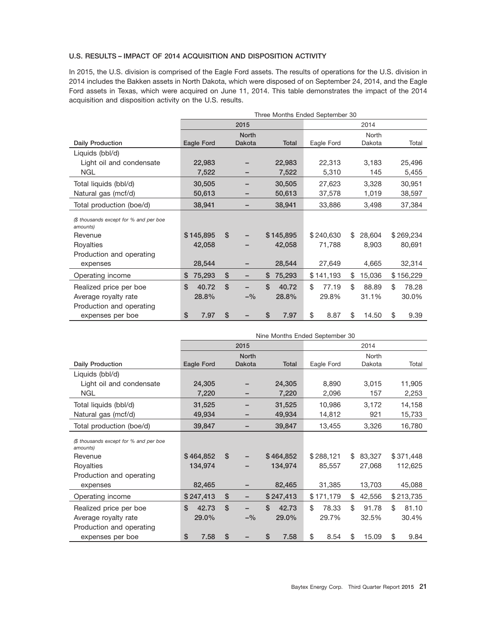#### **U.S. RESULTS – IMPACT OF 2014 ACQUISITION AND DISPOSITION ACTIVITY**

In 2015, the U.S. division is comprised of the Eagle Ford assets. The results of operations for the U.S. division in 2014 includes the Bakken assets in North Dakota, which were disposed of on September 24, 2014, and the Eagle Ford assets in Texas, which were acquired on June 11, 2014. This table demonstrates the impact of the 2014 acquisition and disposition activity on the U.S. results.

|                                                    | Three Months Ended September 30 |                     |              |             |              |             |  |  |  |  |  |
|----------------------------------------------------|---------------------------------|---------------------|--------------|-------------|--------------|-------------|--|--|--|--|--|
|                                                    |                                 | 2015                |              |             | 2014         |             |  |  |  |  |  |
|                                                    |                                 | <b>North</b>        |              |             | North        |             |  |  |  |  |  |
| <b>Daily Production</b>                            | Eagle Ford                      | Dakota              | <b>Total</b> | Eagle Ford  | Dakota       | Total       |  |  |  |  |  |
| Liquids (bbl/d)                                    |                                 |                     |              |             |              |             |  |  |  |  |  |
| Light oil and condensate                           | 22,983                          |                     | 22,983       | 22,313      | 3,183        | 25,496      |  |  |  |  |  |
| <b>NGL</b>                                         | 7,522                           |                     | 7,522        | 5,310       | 145          | 5,455       |  |  |  |  |  |
| Total liquids (bbl/d)                              | 30,505                          |                     | 30,505       | 27,623      | 3.328        | 30.951      |  |  |  |  |  |
| Natural gas (mcf/d)                                | 50,613                          |                     | 50,613       | 37,578      | 1,019        | 38,597      |  |  |  |  |  |
| Total production (boe/d)                           | 38,941                          |                     | 38,941       | 33,886      | 3,498        | 37,384      |  |  |  |  |  |
| (\$ thousands except for % and per boe<br>amounts) |                                 |                     |              |             |              |             |  |  |  |  |  |
| Revenue                                            | \$145,895                       | $\mathbf{s}$<br>-   | \$145,895    | \$240,630   | 28,604<br>\$ | \$269,234   |  |  |  |  |  |
| Royalties                                          | 42,058                          |                     | 42,058       | 71,788      | 8,903        | 80,691      |  |  |  |  |  |
| Production and operating                           |                                 |                     |              |             |              |             |  |  |  |  |  |
| expenses                                           | 28,544                          |                     | 28,544       | 27,649      | 4,665        | 32,314      |  |  |  |  |  |
| Operating income                                   | \$<br>75,293                    | $\mathfrak{s}$<br>- | \$<br>75,293 | \$141,193   | \$<br>15,036 | \$156,229   |  |  |  |  |  |
| Realized price per boe                             | \$<br>40.72                     | \$                  | \$<br>40.72  | \$<br>77.19 | \$<br>88.89  | \$<br>78.28 |  |  |  |  |  |
| Average royalty rate                               | 28.8%                           | $-$ %               | 28.8%        | 29.8%       | 31.1%        | 30.0%       |  |  |  |  |  |
| Production and operating                           |                                 |                     |              |             |              |             |  |  |  |  |  |
| expenses per boe                                   | \$<br>7.97                      | \$                  | 7.97<br>S    | \$<br>8.87  | \$<br>14.50  | \$<br>9.39  |  |  |  |  |  |

|                                                    | Nine Months Ended September 30 |               |              |             |              |             |  |  |  |  |  |
|----------------------------------------------------|--------------------------------|---------------|--------------|-------------|--------------|-------------|--|--|--|--|--|
|                                                    |                                | 2015          |              |             | 2014         |             |  |  |  |  |  |
|                                                    |                                | <b>North</b>  |              | North       |              |             |  |  |  |  |  |
| <b>Daily Production</b>                            | Eagle Ford                     | <b>Dakota</b> | <b>Total</b> | Eagle Ford  | Dakota       | Total       |  |  |  |  |  |
| Liquids (bbl/d)                                    |                                |               |              |             |              |             |  |  |  |  |  |
| Light oil and condensate                           | 24,305                         |               | 24,305       | 8,890       | 3,015        | 11,905      |  |  |  |  |  |
| <b>NGL</b>                                         | 7,220                          |               | 7,220        | 2,096       | 157          | 2,253       |  |  |  |  |  |
| Total liquids (bbl/d)                              | 31,525                         |               | 31,525       | 10,986      | 3,172        | 14,158      |  |  |  |  |  |
| Natural gas (mcf/d)                                | 49,934                         |               | 49,934       | 14,812      | 921          | 15,733      |  |  |  |  |  |
| Total production (boe/d)                           | 39,847                         |               | 39,847       | 13,455      | 3,326        | 16,780      |  |  |  |  |  |
| (\$ thousands except for % and per boe<br>amounts) |                                |               |              |             |              |             |  |  |  |  |  |
| Revenue                                            | \$464,852                      | $\mathbf{s}$  | \$464,852    | \$288,121   | 83,327<br>\$ | \$371,448   |  |  |  |  |  |
| Royalties                                          | 134,974                        |               | 134,974      | 85,557      | 27,068       | 112,625     |  |  |  |  |  |
| Production and operating                           |                                |               |              |             |              |             |  |  |  |  |  |
| expenses                                           | 82,465                         |               | 82,465       | 31,385      | 13,703       | 45,088      |  |  |  |  |  |
| Operating income                                   | \$247,413                      | \$            | \$247,413    | \$171,179   | 42,556<br>\$ | \$213,735   |  |  |  |  |  |
| Realized price per boe                             | \$<br>42.73                    | \$            | \$<br>42.73  | \$<br>78.33 | \$<br>91.78  | \$<br>81.10 |  |  |  |  |  |
| Average royalty rate                               | 29.0%                          | $-$ %         | 29.0%        | 29.7%       | 32.5%        | 30.4%       |  |  |  |  |  |
| Production and operating                           |                                |               |              |             |              |             |  |  |  |  |  |
| expenses per boe                                   | \$<br>7.58                     | \$            | 7.58<br>S    | \$<br>8.54  | \$<br>15.09  | \$<br>9.84  |  |  |  |  |  |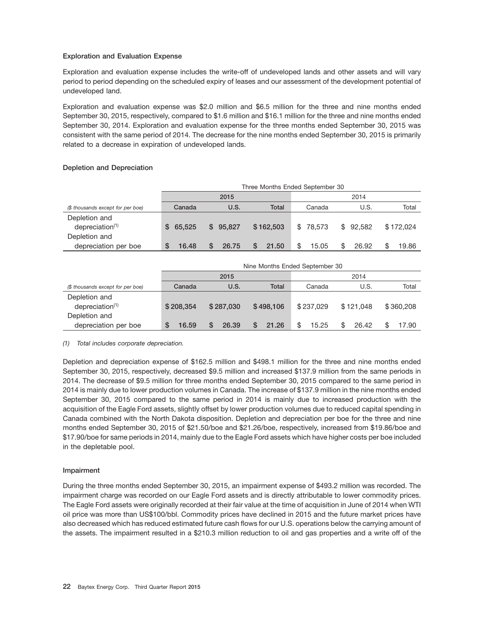#### **Exploration and Evaluation Expense**

Exploration and evaluation expense includes the write-off of undeveloped lands and other assets and will vary period to period depending on the scheduled expiry of leases and our assessment of the development potential of undeveloped land.

Exploration and evaluation expense was \$2.0 million and \$6.5 million for the three and nine months ended September 30, 2015, respectively, compared to \$1.6 million and \$16.1 million for the three and nine months ended September 30, 2014. Exploration and evaluation expense for the three months ended September 30, 2015 was consistent with the same period of 2014. The decrease for the nine months ended September 30, 2015 is primarily related to a decrease in expiration of undeveloped lands.

#### **Depletion and Depreciation**

|                                              |    | Three Months Ended September 30 |          |          |    |              |    |          |    |          |  |           |
|----------------------------------------------|----|---------------------------------|----------|----------|----|--------------|----|----------|----|----------|--|-----------|
|                                              |    | 2015                            |          |          |    | 2014         |    |          |    |          |  |           |
| (\$ thousands except for per boe)            |    | Canada                          |          | U.S.     |    | <b>Total</b> |    | Canada   |    | U.S.     |  | Total     |
| Depletion and<br>depreciation <sup>(1)</sup> | S. | 65.525                          |          | \$95.827 |    | \$162,503    |    | \$78.573 |    | \$92.582 |  | \$172,024 |
| Depletion and                                |    |                                 |          |          |    |              |    |          |    |          |  |           |
| depreciation per boe                         |    | 16.48                           | <b>S</b> | 26.75    | S. | 21.50        | \$ | 15.05    | \$ | 26.92    |  | 19.86     |
|                                              |    |                                 |          |          |    |              |    |          |    |          |  |           |

|                                              |           | Nine Months Ended September 30 |              |           |            |           |  |  |  |
|----------------------------------------------|-----------|--------------------------------|--------------|-----------|------------|-----------|--|--|--|
|                                              |           | 2015                           |              | 2014      |            |           |  |  |  |
| (\$ thousands except for per boe)            | Canada    | U.S.                           | <b>Total</b> | Canada    | U.S.       | Total     |  |  |  |
| Depletion and<br>depreciation <sup>(1)</sup> | \$208.354 | \$287,030                      | \$498,106    | \$237,029 | \$121.048  | \$360,208 |  |  |  |
| Depletion and<br>depreciation per boe        | 16.59     | 26.39                          | 21.26<br>S   | 15.25     | S<br>26.42 | 17.90     |  |  |  |

*(1) Total includes corporate depreciation.*

Depletion and depreciation expense of \$162.5 million and \$498.1 million for the three and nine months ended September 30, 2015, respectively, decreased \$9.5 million and increased \$137.9 million from the same periods in 2014. The decrease of \$9.5 million for three months ended September 30, 2015 compared to the same period in 2014 is mainly due to lower production volumes in Canada. The increase of \$137.9 million in the nine months ended September 30, 2015 compared to the same period in 2014 is mainly due to increased production with the acquisition of the Eagle Ford assets, slightly offset by lower production volumes due to reduced capital spending in Canada combined with the North Dakota disposition. Depletion and depreciation per boe for the three and nine months ended September 30, 2015 of \$21.50/boe and \$21.26/boe, respectively, increased from \$19.86/boe and \$17.90/boe for same periods in 2014, mainly due to the Eagle Ford assets which have higher costs per boe included in the depletable pool.

#### **Impairment**

During the three months ended September 30, 2015, an impairment expense of \$493.2 million was recorded. The impairment charge was recorded on our Eagle Ford assets and is directly attributable to lower commodity prices. The Eagle Ford assets were originally recorded at their fair value at the time of acquisition in June of 2014 when WTI oil price was more than US\$100/bbl. Commodity prices have declined in 2015 and the future market prices have also decreased which has reduced estimated future cash flows for our U.S. operations below the carrying amount of the assets. The impairment resulted in a \$210.3 million reduction to oil and gas properties and a write off of the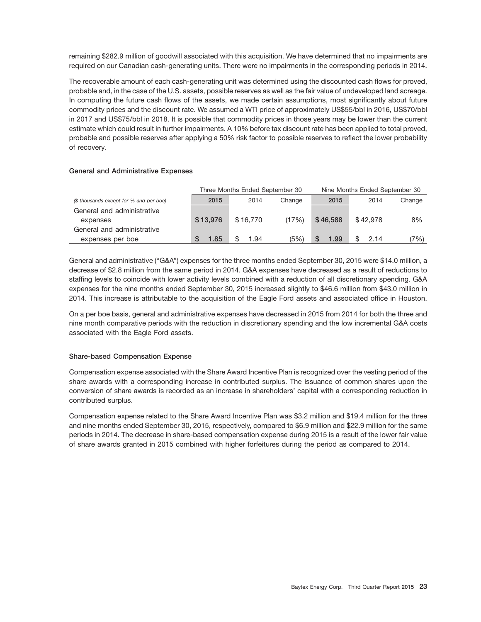remaining \$282.9 million of goodwill associated with this acquisition. We have determined that no impairments are required on our Canadian cash-generating units. There were no impairments in the corresponding periods in 2014.

The recoverable amount of each cash-generating unit was determined using the discounted cash flows for proved, probable and, in the case of the U.S. assets, possible reserves as well as the fair value of undeveloped land acreage. In computing the future cash flows of the assets, we made certain assumptions, most significantly about future commodity prices and the discount rate. We assumed a WTI price of approximately US\$55/bbl in 2016, US\$70/bbl in 2017 and US\$75/bbl in 2018. It is possible that commodity prices in those years may be lower than the current estimate which could result in further impairments. A 10% before tax discount rate has been applied to total proved, probable and possible reserves after applying a 50% risk factor to possible reserves to reflect the lower probability of recovery.

#### **General and Administrative Expenses**

|                                         |          | Three Months Ended September 30 |        | Nine Months Ended September 30 |             |        |  |
|-----------------------------------------|----------|---------------------------------|--------|--------------------------------|-------------|--------|--|
| (\$ thousands except for % and per boe) | 2015     | 2014                            | Change | 2015                           | 2014        | Change |  |
| General and administrative              |          |                                 |        |                                |             |        |  |
| expenses                                | \$13,976 | \$16,770                        | (17%)  | \$46,588                       | \$42,978    | 8%     |  |
| General and administrative              |          |                                 |        |                                |             |        |  |
| expenses per boe                        | 1.85     | 1.94                            | (5%)   | 1.99<br>\$                     | 2 14<br>\$. | (7%)   |  |

General and administrative (''G&A'') expenses for the three months ended September 30, 2015 were \$14.0 million, a decrease of \$2.8 million from the same period in 2014. G&A expenses have decreased as a result of reductions to staffing levels to coincide with lower activity levels combined with a reduction of all discretionary spending. G&A expenses for the nine months ended September 30, 2015 increased slightly to \$46.6 million from \$43.0 million in 2014. This increase is attributable to the acquisition of the Eagle Ford assets and associated office in Houston.

On a per boe basis, general and administrative expenses have decreased in 2015 from 2014 for both the three and nine month comparative periods with the reduction in discretionary spending and the low incremental G&A costs associated with the Eagle Ford assets.

#### **Share-based Compensation Expense**

Compensation expense associated with the Share Award Incentive Plan is recognized over the vesting period of the share awards with a corresponding increase in contributed surplus. The issuance of common shares upon the conversion of share awards is recorded as an increase in shareholders' capital with a corresponding reduction in contributed surplus.

Compensation expense related to the Share Award Incentive Plan was \$3.2 million and \$19.4 million for the three and nine months ended September 30, 2015, respectively, compared to \$6.9 million and \$22.9 million for the same periods in 2014. The decrease in share-based compensation expense during 2015 is a result of the lower fair value of share awards granted in 2015 combined with higher forfeitures during the period as compared to 2014.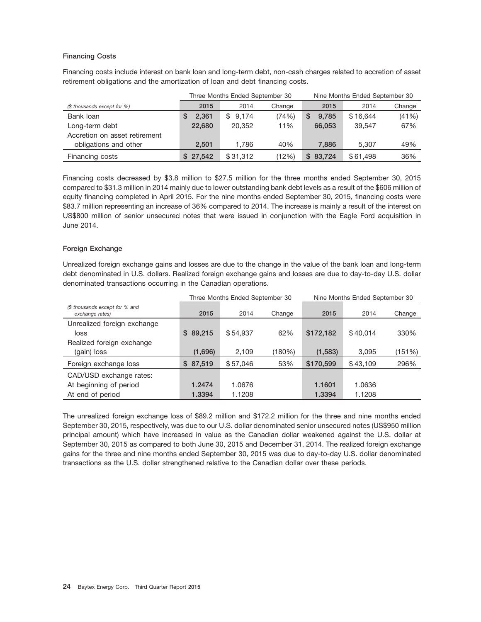#### **Financing Costs**

Financing costs include interest on bank loan and long-term debt, non-cash charges related to accretion of asset retirement obligations and the amortization of loan and debt financing costs.

|                               |             | Three Months Ended September 30 |        | Nine Months Ended September 30 |          |        |  |
|-------------------------------|-------------|---------------------------------|--------|--------------------------------|----------|--------|--|
| (\$ thousands except for %)   | 2015        | 2014                            | Change | 2015                           | 2014     | Change |  |
| Bank loan                     | 2,361       | 9.174<br>\$                     | (74%)  | 9.785<br>S                     | \$16,644 | (41%)  |  |
| Long-term debt                | 22,680      | 20.352                          | 11%    | 66,053                         | 39.547   | 67%    |  |
| Accretion on asset retirement |             |                                 |        |                                |          |        |  |
| obligations and other         | 2.501       | 1.786                           | 40%    | 7.886                          | 5.307    | 49%    |  |
| Financing costs               | 27.542<br>S | \$31,312                        | (12%)  | \$83,724                       | \$61,498 | 36%    |  |

Financing costs decreased by \$3.8 million to \$27.5 million for the three months ended September 30, 2015 compared to \$31.3 million in 2014 mainly due to lower outstanding bank debt levels as a result of the \$606 million of equity financing completed in April 2015. For the nine months ended September 30, 2015, financing costs were \$83.7 million representing an increase of 36% compared to 2014. The increase is mainly a result of the interest on US\$800 million of senior unsecured notes that were issued in conjunction with the Eagle Ford acquisition in June 2014.

#### **Foreign Exchange**

Unrealized foreign exchange gains and losses are due to the change in the value of the bank loan and long-term debt denominated in U.S. dollars. Realized foreign exchange gains and losses are due to day-to-day U.S. dollar denominated transactions occurring in the Canadian operations.

|                                                   |              | Three Months Ended September 30 |        | Nine Months Ended September 30 |          |        |  |
|---------------------------------------------------|--------------|---------------------------------|--------|--------------------------------|----------|--------|--|
| (\$ thousands except for % and<br>exchange rates) | 2015         | 2014                            | Change | 2015                           | 2014     | Change |  |
| Unrealized foreign exchange                       |              |                                 |        |                                |          |        |  |
| loss                                              | \$89,215     | \$54,937                        | 62%    | \$172,182                      | \$40.014 | 330%   |  |
| Realized foreign exchange                         |              |                                 |        |                                |          |        |  |
| (gain) loss                                       | (1,696)      | 2.109                           | (180%) | (1,583)                        | 3.095    | (151%) |  |
| Foreign exchange loss                             | 87,519<br>\$ | \$57,046                        | 53%    | \$170,599                      | \$43,109 | 296%   |  |
| CAD/USD exchange rates:                           |              |                                 |        |                                |          |        |  |
| At beginning of period                            | 1.2474       | 1.0676                          |        | 1.1601                         | 1.0636   |        |  |
| At end of period                                  | 1.3394       | 1.1208                          |        | 1.3394                         | 1.1208   |        |  |

The unrealized foreign exchange loss of \$89.2 million and \$172.2 million for the three and nine months ended September 30, 2015, respectively, was due to our U.S. dollar denominated senior unsecured notes (US\$950 million principal amount) which have increased in value as the Canadian dollar weakened against the U.S. dollar at September 30, 2015 as compared to both June 30, 2015 and December 31, 2014. The realized foreign exchange gains for the three and nine months ended September 30, 2015 was due to day-to-day U.S. dollar denominated transactions as the U.S. dollar strengthened relative to the Canadian dollar over these periods.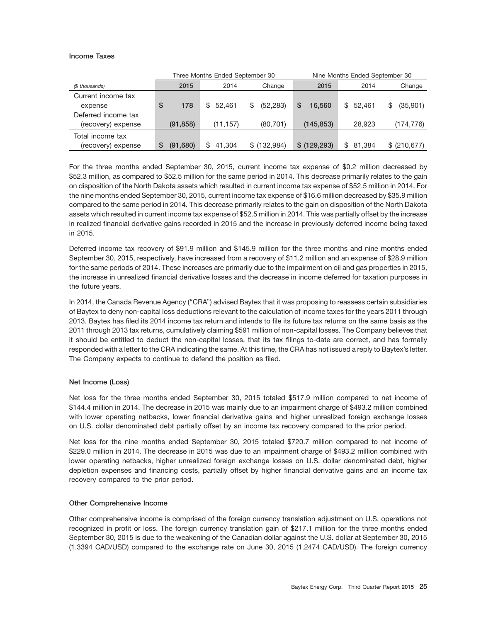#### **Income Taxes**

|                     |               | Three Months Ended September 30 |                 | Nine Months Ended September 30 |             |               |  |
|---------------------|---------------|---------------------------------|-----------------|--------------------------------|-------------|---------------|--|
| (\$ thousands)      | 2015          | 2014                            | Change          | 2015                           | 2014        | Change        |  |
| Current income tax  |               |                                 |                 |                                |             |               |  |
| expense             | 178<br>S      | 52.461<br>\$.                   | (52, 283)<br>\$ | S<br>16.560                    | \$52,461    | (35,901)<br>S |  |
| Deferred income tax |               |                                 |                 |                                |             |               |  |
| (recovery) expense  | (91, 858)     | (11, 157)                       | (80, 701)       | (145, 853)                     | 28,923      | (174, 776)    |  |
| Total income tax    |               |                                 |                 |                                |             |               |  |
| (recovery) expense  | (91,680)<br>S | 41.304                          | \$ (132,984)    | \$(129, 293)                   | 81.384<br>S | \$ (210, 677) |  |

For the three months ended September 30, 2015, current income tax expense of \$0.2 million decreased by \$52.3 million, as compared to \$52.5 million for the same period in 2014. This decrease primarily relates to the gain on disposition of the North Dakota assets which resulted in current income tax expense of \$52.5 million in 2014. For the nine months ended September 30, 2015, current income tax expense of \$16.6 million decreased by \$35.9 million compared to the same period in 2014. This decrease primarily relates to the gain on disposition of the North Dakota assets which resulted in current income tax expense of \$52.5 million in 2014. This was partially offset by the increase in realized financial derivative gains recorded in 2015 and the increase in previously deferred income being taxed in 2015.

Deferred income tax recovery of \$91.9 million and \$145.9 million for the three months and nine months ended September 30, 2015, respectively, have increased from a recovery of \$11.2 million and an expense of \$28.9 million for the same periods of 2014. These increases are primarily due to the impairment on oil and gas properties in 2015, the increase in unrealized financial derivative losses and the decrease in income deferred for taxation purposes in the future years.

In 2014, the Canada Revenue Agency ("CRA") advised Baytex that it was proposing to reassess certain subsidiaries of Baytex to deny non-capital loss deductions relevant to the calculation of income taxes for the years 2011 through 2013. Baytex has filed its 2014 income tax return and intends to file its future tax returns on the same basis as the 2011 through 2013 tax returns, cumulatively claiming \$591 million of non-capital losses. The Company believes that it should be entitled to deduct the non-capital losses, that its tax filings to-date are correct, and has formally responded with a letter to the CRA indicating the same. At this time, the CRA has not issued a reply to Baytex's letter. The Company expects to continue to defend the position as filed.

#### **Net Income (Loss)**

Net loss for the three months ended September 30, 2015 totaled \$517.9 million compared to net income of \$144.4 million in 2014. The decrease in 2015 was mainly due to an impairment charge of \$493.2 million combined with lower operating netbacks, lower financial derivative gains and higher unrealized foreign exchange losses on U.S. dollar denominated debt partially offset by an income tax recovery compared to the prior period.

Net loss for the nine months ended September 30, 2015 totaled \$720.7 million compared to net income of \$229.0 million in 2014. The decrease in 2015 was due to an impairment charge of \$493.2 million combined with lower operating netbacks, higher unrealized foreign exchange losses on U.S. dollar denominated debt, higher depletion expenses and financing costs, partially offset by higher financial derivative gains and an income tax recovery compared to the prior period.

#### **Other Comprehensive Income**

Other comprehensive income is comprised of the foreign currency translation adjustment on U.S. operations not recognized in profit or loss. The foreign currency translation gain of \$217.1 million for the three months ended September 30, 2015 is due to the weakening of the Canadian dollar against the U.S. dollar at September 30, 2015 (1.3394 CAD/USD) compared to the exchange rate on June 30, 2015 (1.2474 CAD/USD). The foreign currency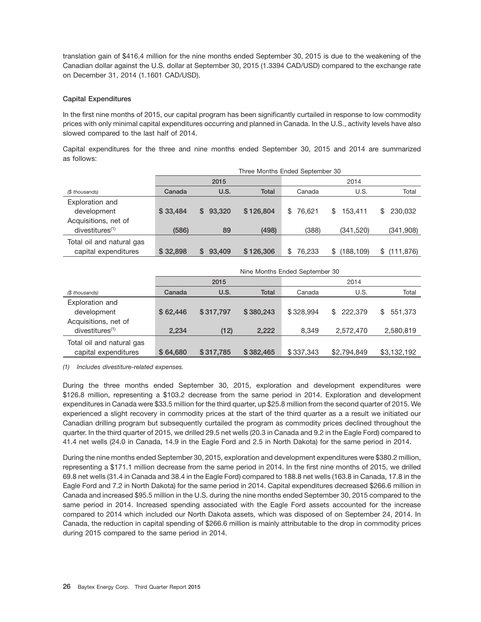translation gain of \$416.4 million for the nine months ended September 30, 2015 is due to the weakening of the Canadian dollar against the U.S. dollar at September 30, 2015 (1.3394 CAD/USD) compared to the exchange rate on December 31, 2014 (1.1601 CAD/USD).

#### **Capital Expenditures**

In the first nine months of 2015, our capital program has been significantly curtailed in response to low commodity prices with only minimal capital expenditures occurring and planned in Canada. In the U.S., activity levels have also slowed compared to the last half of 2014.

Capital expenditures for the three and nine months ended September 30, 2015 and 2014 are summarized as follows:

|                             |          | Three Months Ended September 30 |              |              |                  |                 |  |  |  |
|-----------------------------|----------|---------------------------------|--------------|--------------|------------------|-----------------|--|--|--|
|                             |          | 2015                            |              | 2014         |                  |                 |  |  |  |
| (\$ thousands)              | Canada   | U.S.                            | <b>Total</b> | Canada       | U.S.             | Total           |  |  |  |
| Exploration and             |          |                                 |              |              |                  |                 |  |  |  |
| development                 | \$33.484 | 93,320<br>S.                    | \$126,804    | 76.621<br>\$ | 153.411<br>\$    | 230,032<br>S    |  |  |  |
| Acquisitions, net of        |          |                                 |              |              |                  |                 |  |  |  |
| divestitures <sup>(1)</sup> | (586)    | 89                              | (498)        | (388)        | (341, 520)       | (341,908)       |  |  |  |
| Total oil and natural gas   |          |                                 |              |              |                  |                 |  |  |  |
| capital expenditures        | \$32,898 | 93,409<br>SS.                   | \$126,306    | 76,233<br>S  | (188, 109)<br>\$ | (111, 876)<br>S |  |  |  |

|                                                        | Nine Months Ended September 30 |           |              |           |               |               |  |  |
|--------------------------------------------------------|--------------------------------|-----------|--------------|-----------|---------------|---------------|--|--|
|                                                        |                                | 2015      |              | 2014      |               |               |  |  |
| (\$ thousands)                                         | Canada                         | U.S.      | <b>Total</b> | Canada    | U.S.          | Total         |  |  |
| Exploration and<br>development<br>Acquisitions, net of | \$62,446                       | \$317,797 | \$380,243    | \$328,994 | 222.379<br>\$ | 551,373<br>\$ |  |  |
| divestitures <sup>(1)</sup>                            | 2.234                          | (12)      | 2.222        | 8.349     | 2,572,470     | 2,580,819     |  |  |
| Total oil and natural gas<br>capital expenditures      | \$64,680                       | \$317,785 | \$382,465    | \$337,343 | \$2,794,849   | \$3,132,192   |  |  |

*(1) Includes divestiture-related expenses.*

During the three months ended September 30, 2015, exploration and development expenditures were \$126.8 million, representing a \$103.2 decrease from the same period in 2014. Exploration and development expenditures in Canada were \$33.5 million for the third quarter, up \$25.8 million from the second quarter of 2015. We experienced a slight recovery in commodity prices at the start of the third quarter as a a result we initiated our Canadian drilling program but subsequently curtailed the program as commodity prices declined throughout the quarter. In the third quarter of 2015, we drilled 29.5 net wells (20.3 in Canada and 9.2 in the Eagle Ford) compared to 41.4 net wells (24.0 in Canada, 14.9 in the Eagle Ford and 2.5 in North Dakota) for the same period in 2014.

During the nine months ended September 30, 2015, exploration and development expenditures were \$380.2 million, representing a \$171.1 million decrease from the same period in 2014. In the first nine months of 2015, we drilled 69.8 net wells (31.4 in Canada and 38.4 in the Eagle Ford) compared to 188.8 net wells (163.8 in Canada, 17.8 in the Eagle Ford and 7.2 in North Dakota) for the same period in 2014. Capital expenditures decreased \$266.6 million in Canada and increased \$95.5 million in the U.S. during the nine months ended September 30, 2015 compared to the same period in 2014. Increased spending associated with the Eagle Ford assets accounted for the increase compared to 2014 which included our North Dakota assets, which was disposed of on September 24, 2014. In Canada, the reduction in capital spending of \$266.6 million is mainly attributable to the drop in commodity prices during 2015 compared to the same period in 2014.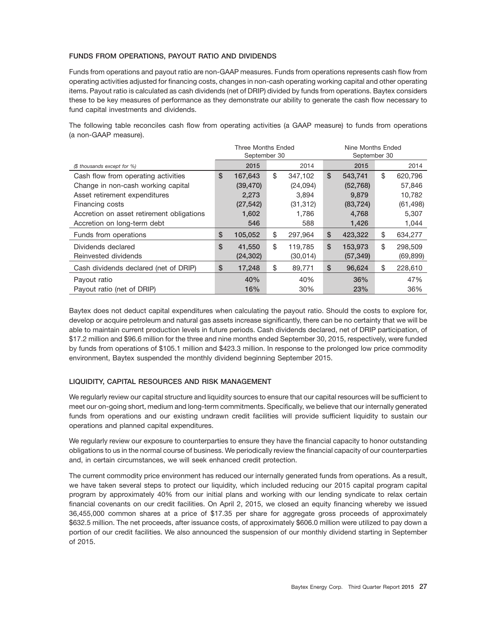#### **FUNDS FROM OPERATIONS, PAYOUT RATIO AND DIVIDENDS**

Funds from operations and payout ratio are non-GAAP measures. Funds from operations represents cash flow from operating activities adjusted for financing costs, changes in non-cash operating working capital and other operating items. Payout ratio is calculated as cash dividends (net of DRIP) divided by funds from operations. Baytex considers these to be key measures of performance as they demonstrate our ability to generate the cash flow necessary to fund capital investments and dividends.

The following table reconciles cash flow from operating activities (a GAAP measure) to funds from operations (a non-GAAP measure).

|                                           | Three Months Ended |           |    |           | Nine Months Ended |           |    |           |
|-------------------------------------------|--------------------|-----------|----|-----------|-------------------|-----------|----|-----------|
|                                           | September 30       |           |    |           | September 30      |           |    |           |
| (\$ thousands except for %)               |                    | 2015      |    | 2014      |                   | 2015      |    | 2014      |
| Cash flow from operating activities       | \$                 | 167,643   | \$ | 347,102   | \$                | 543,741   | \$ | 620,796   |
| Change in non-cash working capital        |                    | (39, 470) |    | (24,094)  |                   | (52, 768) |    | 57,846    |
| Asset retirement expenditures             |                    | 2,273     |    | 3,894     |                   | 9,879     |    | 10,782    |
| Financing costs                           |                    | (27, 542) |    | (31, 312) |                   | (83, 724) |    | (61, 498) |
| Accretion on asset retirement obligations |                    | 1,602     |    | 1,786     |                   | 4,768     |    | 5,307     |
| Accretion on long-term debt               |                    | 546       |    | 588       |                   | 1,426     |    | 1,044     |
| Funds from operations                     | \$                 | 105,052   | \$ | 297,964   | \$                | 423,322   | \$ | 634,277   |
| Dividends declared                        | \$                 | 41,550    | \$ | 119,785   | \$                | 153,973   | \$ | 298,509   |
| Reinvested dividends                      |                    | (24, 302) |    | (30,014)  |                   | (57, 349) |    | (69, 899) |
| Cash dividends declared (net of DRIP)     | \$                 | 17,248    | \$ | 89,771    | \$                | 96.624    | \$ | 228,610   |
| Payout ratio                              |                    | 40%       |    | 40%       |                   | 36%       |    | 47%       |
| Payout ratio (net of DRIP)                |                    | 16%       |    | 30%       |                   | 23%       |    | 36%       |

Baytex does not deduct capital expenditures when calculating the payout ratio. Should the costs to explore for, develop or acquire petroleum and natural gas assets increase significantly, there can be no certainty that we will be able to maintain current production levels in future periods. Cash dividends declared, net of DRIP participation, of \$17.2 million and \$96.6 million for the three and nine months ended September 30, 2015, respectively, were funded by funds from operations of \$105.1 million and \$423.3 million. In response to the prolonged low price commodity environment, Baytex suspended the monthly dividend beginning September 2015.

#### **LIQUIDITY, CAPITAL RESOURCES AND RISK MANAGEMENT**

We regularly review our capital structure and liquidity sources to ensure that our capital resources will be sufficient to meet our on-going short, medium and long-term commitments. Specifically, we believe that our internally generated funds from operations and our existing undrawn credit facilities will provide sufficient liquidity to sustain our operations and planned capital expenditures.

We regularly review our exposure to counterparties to ensure they have the financial capacity to honor outstanding obligations to us in the normal course of business. We periodically review the financial capacity of our counterparties and, in certain circumstances, we will seek enhanced credit protection.

The current commodity price environment has reduced our internally generated funds from operations. As a result, we have taken several steps to protect our liquidity, which included reducing our 2015 capital program capital program by approximately 40% from our initial plans and working with our lending syndicate to relax certain financial covenants on our credit facilities. On April 2, 2015, we closed an equity financing whereby we issued 36,455,000 common shares at a price of \$17.35 per share for aggregate gross proceeds of approximately \$632.5 million. The net proceeds, after issuance costs, of approximately \$606.0 million were utilized to pay down a portion of our credit facilities. We also announced the suspension of our monthly dividend starting in September of 2015.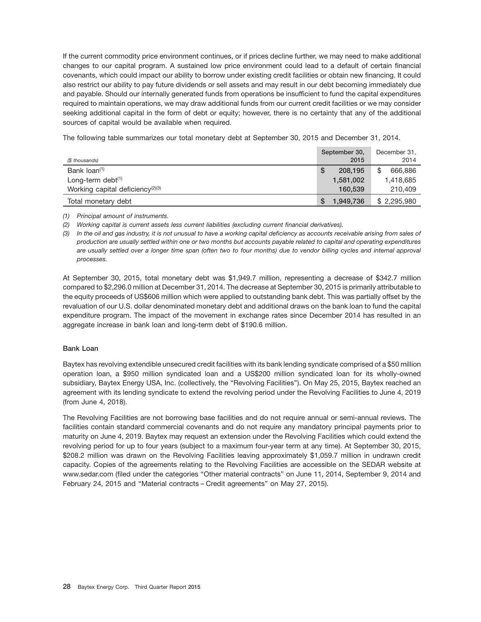If the current commodity price environment continues, or if prices decline further, we may need to make additional changes to our capital program. A sustained low price environment could lead to a default of certain financial covenants, which could impact our ability to borrow under existing credit facilities or obtain new financing. It could also restrict our ability to pay future dividends or sell assets and may result in our debt becoming immediately due and payable. Should our internally generated funds from operations be insufficient to fund the capital expenditures required to maintain operations, we may draw additional funds from our current credit facilities or we may consider seeking additional capital in the form of debt or equity; however, there is no certainty that any of the additional sources of capital would be available when required.

The following table summarizes our total monetary debt at September 30, 2015 and December 31, 2014.

|                                              | September 30,  | December 31.  |
|----------------------------------------------|----------------|---------------|
| (\$ thousands)                               | 2015           | 2014          |
| Bank $\text{Ioan}^{(1)}$                     | 208.195<br>\$  | \$<br>666,886 |
| Long-term debt $(1)$                         | 1,581,002      | 1,418,685     |
| Working capital deficiency <sup>(2)(3)</sup> | 160,539        | 210,409       |
| Total monetary debt                          | 1,949,736<br>S | \$2.295.980   |

*(1) Principal amount of instruments.*

*(2) Working capital is current assets less current liabilities (excluding current financial derivatives).*

*(3) In the oil and gas industry, it is not unusual to have a working capital deficiency as accounts receivable arising from sales of production are usually settled within one or two months but accounts payable related to capital and operating expenditures are usually settled over a longer time span (often two to four months) due to vendor billing cycles and internal approval processes.*

At September 30, 2015, total monetary debt was \$1,949.7 million, representing a decrease of \$342.7 million compared to \$2,296.0 million at December 31, 2014. The decrease at September 30, 2015 is primarily attributable to the equity proceeds of US\$606 million which were applied to outstanding bank debt. This was partially offset by the revaluation of our U.S. dollar denominated monetary debt and additional draws on the bank loan to fund the capital expenditure program. The impact of the movement in exchange rates since December 2014 has resulted in an aggregate increase in bank loan and long-term debt of \$190.6 million.

#### **Bank Loan**

Baytex has revolving extendible unsecured credit facilities with its bank lending syndicate comprised of a \$50 million operation loan, a \$950 million syndicated loan and a US\$200 million syndicated loan for its wholly-owned subsidiary, Baytex Energy USA, Inc. (collectively, the ''Revolving Facilities''). On May 25, 2015, Baytex reached an agreement with its lending syndicate to extend the revolving period under the Revolving Facilities to June 4, 2019 (from June 4, 2018).

The Revolving Facilities are not borrowing base facilities and do not require annual or semi-annual reviews. The facilities contain standard commercial covenants and do not require any mandatory principal payments prior to maturity on June 4, 2019. Baytex may request an extension under the Revolving Facilities which could extend the revolving period for up to four years (subject to a maximum four-year term at any time). At September 30, 2015, \$208.2 million was drawn on the Revolving Facilities leaving approximately \$1,059.7 million in undrawn credit capacity. Copies of the agreements relating to the Revolving Facilities are accessible on the SEDAR website at www.sedar.com (filed under the categories "Other material contracts" on June 11, 2014, September 9, 2014 and February 24, 2015 and ''Material contracts – Credit agreements'' on May 27, 2015).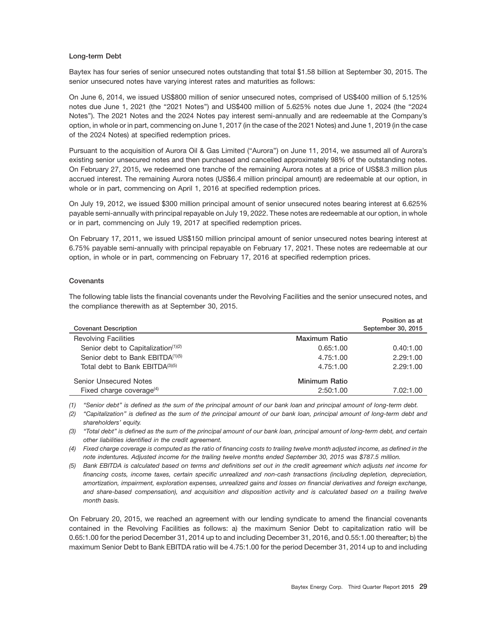#### **Long-term Debt**

Baytex has four series of senior unsecured notes outstanding that total \$1.58 billion at September 30, 2015. The senior unsecured notes have varying interest rates and maturities as follows:

On June 6, 2014, we issued US\$800 million of senior unsecured notes, comprised of US\$400 million of 5.125% notes due June 1, 2021 (the ''2021 Notes'') and US\$400 million of 5.625% notes due June 1, 2024 (the ''2024 Notes''). The 2021 Notes and the 2024 Notes pay interest semi-annually and are redeemable at the Company's option, in whole or in part, commencing on June 1, 2017 (in the case of the 2021 Notes) and June 1, 2019 (in the case of the 2024 Notes) at specified redemption prices.

Pursuant to the acquisition of Aurora Oil & Gas Limited (''Aurora'') on June 11, 2014, we assumed all of Aurora's existing senior unsecured notes and then purchased and cancelled approximately 98% of the outstanding notes. On February 27, 2015, we redeemed one tranche of the remaining Aurora notes at a price of US\$8.3 million plus accrued interest. The remaining Aurora notes (US\$6.4 million principal amount) are redeemable at our option, in whole or in part, commencing on April 1, 2016 at specified redemption prices.

On July 19, 2012, we issued \$300 million principal amount of senior unsecured notes bearing interest at 6.625% payable semi-annually with principal repayable on July 19, 2022. These notes are redeemable at our option, in whole or in part, commencing on July 19, 2017 at specified redemption prices.

On February 17, 2011, we issued US\$150 million principal amount of senior unsecured notes bearing interest at 6.75% payable semi-annually with principal repayable on February 17, 2021. These notes are redeemable at our option, in whole or in part, commencing on February 17, 2016 at specified redemption prices.

#### **Covenants**

The following table lists the financial covenants under the Revolving Facilities and the senior unsecured notes, and the compliance therewith as at September 30, 2015.

|                                                 |                      | Position as at     |
|-------------------------------------------------|----------------------|--------------------|
| <b>Covenant Description</b>                     |                      | September 30, 2015 |
| <b>Revolving Facilities</b>                     | <b>Maximum Ratio</b> |                    |
| Senior debt to Capitalization <sup>(1)(2)</sup> | 0.65:1.00            | 0.40:1.00          |
| Senior debt to Bank EBITDA <sup>(1)(5)</sup>    | 4.75:1.00            | 2.29:1.00          |
| Total debt to Bank EBITDA(3)(5)                 | 4.75:1.00            | 2.29:1.00          |
| <b>Senior Unsecured Notes</b>                   | <b>Minimum Ratio</b> |                    |
| Fixed charge coverage <sup>(4)</sup>            | 2:50:1.00            | 7.02:1.00          |

*(1) ''Senior debt'' is defined as the sum of the principal amount of our bank loan and principal amount of long-term debt.*

*(2) ''Capitalization'' is defined as the sum of the principal amount of our bank loan, principal amount of long-term debt and shareholders' equity.*

*(3) ''Total debt'' is defined as the sum of the principal amount of our bank loan, principal amount of long-term debt, and certain other liabilities identified in the credit agreement.*

*(4) Fixed charge coverage is computed as the ratio of financing costs to trailing twelve month adjusted income, as defined in the note indentures. Adjusted income for the trailing twelve months ended September 30, 2015 was \$787.5 million.*

*(5) Bank EBITDA is calculated based on terms and definitions set out in the credit agreement which adjusts net income for financing costs, income taxes, certain specific unrealized and non-cash transactions (including depletion, depreciation, amortization, impairment, exploration expenses, unrealized gains and losses on financial derivatives and foreign exchange, and share-based compensation), and acquisition and disposition activity and is calculated based on a trailing twelve month basis.*

On February 20, 2015, we reached an agreement with our lending syndicate to amend the financial covenants contained in the Revolving Facilities as follows: a) the maximum Senior Debt to capitalization ratio will be 0.65:1.00 for the period December 31, 2014 up to and including December 31, 2016, and 0.55:1.00 thereafter; b) the maximum Senior Debt to Bank EBITDA ratio will be 4.75:1.00 for the period December 31, 2014 up to and including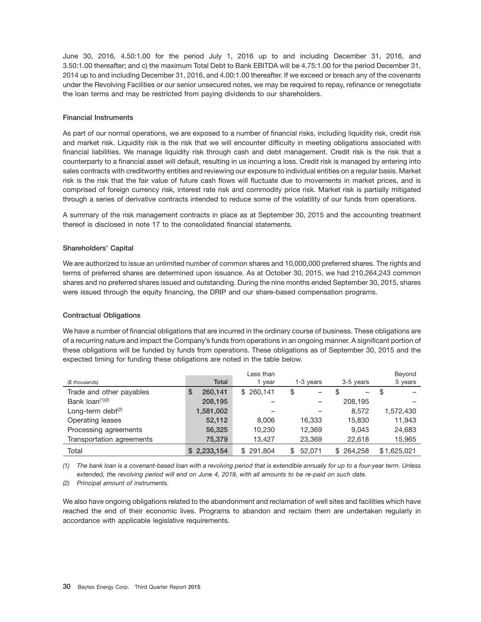June 30, 2016, 4.50:1.00 for the period July 1, 2016 up to and including December 31, 2016, and 3.50:1.00 thereafter; and c) the maximum Total Debt to Bank EBITDA will be 4.75:1.00 for the period December 31, 2014 up to and including December 31, 2016, and 4.00:1.00 thereafter. If we exceed or breach any of the covenants under the Revolving Facilities or our senior unsecured notes, we may be required to repay, refinance or renegotiate the loan terms and may be restricted from paying dividends to our shareholders.

#### **Financial Instruments**

As part of our normal operations, we are exposed to a number of financial risks, including liquidity risk, credit risk and market risk. Liquidity risk is the risk that we will encounter difficulty in meeting obligations associated with financial liabilities. We manage liquidity risk through cash and debt management. Credit risk is the risk that a counterparty to a financial asset will default, resulting in us incurring a loss. Credit risk is managed by entering into sales contracts with creditworthy entities and reviewing our exposure to individual entities on a regular basis. Market risk is the risk that the fair value of future cash flows will fluctuate due to movements in market prices, and is comprised of foreign currency risk, interest rate risk and commodity price risk. Market risk is partially mitigated through a series of derivative contracts intended to reduce some of the volatility of our funds from operations.

A summary of the risk management contracts in place as at September 30, 2015 and the accounting treatment thereof is disclosed in note 17 to the consolidated financial statements.

#### **Shareholders' Capital**

We are authorized to issue an unlimited number of common shares and 10,000,000 preferred shares. The rights and terms of preferred shares are determined upon issuance. As at October 30, 2015, we had 210,264,243 common shares and no preferred shares issued and outstanding. During the nine months ended September 30, 2015, shares were issued through the equity financing, the DRIP and our share-based compensation programs.

#### **Contractual Obligations**

We have a number of financial obligations that are incurred in the ordinary course of business. These obligations are of a recurring nature and impact the Company's funds from operations in an ongoing manner. A significant portion of these obligations will be funded by funds from operations. These obligations as of September 30, 2015 and the expected timing for funding these obligations are noted in the table below.

|                             |               | Less than      |              |                | Beyond      |
|-----------------------------|---------------|----------------|--------------|----------------|-------------|
| (\$ thousands)              | <b>Total</b>  | vear           | 1-3 years    | 3-5 years      | 5 years     |
| Trade and other payables    | \$<br>260.141 | 260,141<br>\$  | \$           |                | \$          |
| Bank $\text{Ioan}^{(1)(2)}$ | 208,195       |                |              | 208.195        |             |
| Long-term debt $(2)$        | 1,581,002     |                |              | 8.572          | 1,572,430   |
| Operating leases            | 52,112        | 8.006          | 16.333       | 15,830         | 11,943      |
| Processing agreements       | 56,325        | 10,230         | 12,369       | 9.043          | 24,683      |
| Transportation agreements   | 75,379        | 13,427         | 23,369       | 22,618         | 15,965      |
| Total                       | \$2,233,154   | 291,804<br>\$. | 52.071<br>\$ | 264,258<br>\$. | \$1,625,021 |

*(1) The bank loan is a covenant-based loan with a revolving period that is extendible annually for up to a four-year term. Unless extended, the revolving period will end on June 4, 2019, with all amounts to be re-paid on such date.*

*(2) Principal amount of instruments.*

We also have ongoing obligations related to the abandonment and reclamation of well sites and facilities which have reached the end of their economic lives. Programs to abandon and reclaim them are undertaken regularly in accordance with applicable legislative requirements.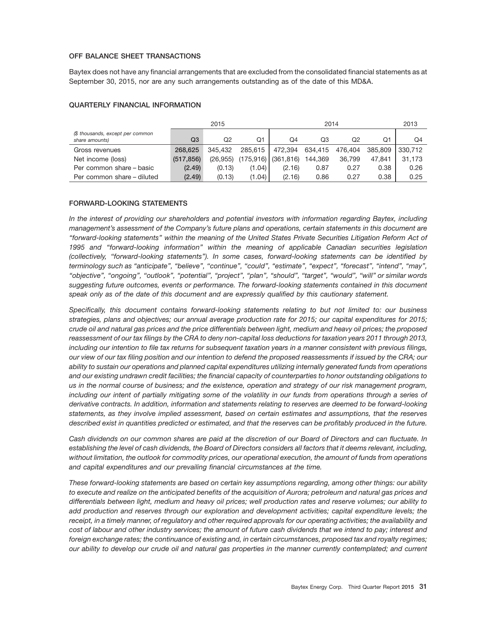#### **OFF BALANCE SHEET TRANSACTIONS**

Baytex does not have any financial arrangements that are excluded from the consolidated financial statements as at September 30, 2015, nor are any such arrangements outstanding as of the date of this MD&A.

#### **QUARTERLY FINANCIAL INFORMATION**

|                                                    |            | 2015      |         | 2014                  |         |         |         | 2013    |
|----------------------------------------------------|------------|-----------|---------|-----------------------|---------|---------|---------|---------|
| (\$ thousands, except per common<br>share amounts) | Q3         | Q2        | Q1      | Q4                    | Q3      | Q2      | Q1      | Q4      |
| Gross revenues                                     | 268.625    | 345,432   | 285.615 | 472,394               | 634,415 | 476,404 | 385.809 | 330,712 |
| Net income (loss)                                  | (517, 856) | (26, 955) |         | $(175.916)$ (361,816) | 144,369 | 36.799  | 47.841  | 31,173  |
| Per common share – basic                           | (2.49)     | (0.13)    | (1.04)  | (2.16)                | 0.87    | 0.27    | 0.38    | 0.26    |
| Per common share – diluted                         | (2.49)     | (0.13)    | (1.04)  | (2.16)                | 0.86    | 0.27    | 0.38    | 0.25    |

#### **FORWARD-LOOKING STATEMENTS**

*In the interest of providing our shareholders and potential investors with information regarding Baytex, including management's assessment of the Company's future plans and operations, certain statements in this document are ''forward-looking statements'' within the meaning of the United States Private Securities Litigation Reform Act of 1995 and ''forward-looking information'' within the meaning of applicable Canadian securities legislation (collectively, ''forward-looking statements''). In some cases, forward-looking statements can be identified by terminology such as ''anticipate'', ''believe'', ''continue'', ''could'', ''estimate'', ''expect'', ''forecast'', ''intend'', ''may'', ''objective'', ''ongoing'', ''outlook'', ''potential'', ''project'', ''plan'', ''should'', ''target'', ''would'', ''will'' or similar words suggesting future outcomes, events or performance. The forward-looking statements contained in this document speak only as of the date of this document and are expressly qualified by this cautionary statement.*

*Specifically, this document contains forward-looking statements relating to but not limited to: our business strategies, plans and objectives; our annual average production rate for 2015; our capital expenditures for 2015; crude oil and natural gas prices and the price differentials between light, medium and heavy oil prices; the proposed reassessment of our tax filings by the CRA to deny non-capital loss deductions for taxation years 2011 through 2013, including our intention to file tax returns for subsequent taxation years in a manner consistent with previous filings, our view of our tax filing position and our intention to defend the proposed reassessments if issued by the CRA; our ability to sustain our operations and planned capital expenditures utilizing internally generated funds from operations and our existing undrawn credit facilities; the financial capacity of counterparties to honor outstanding obligations to us in the normal course of business; and the existence, operation and strategy of our risk management program, including our intent of partially mitigating some of the volatility in our funds from operations through a series of derivative contracts. In addition, information and statements relating to reserves are deemed to be forward-looking statements, as they involve implied assessment, based on certain estimates and assumptions, that the reserves described exist in quantities predicted or estimated, and that the reserves can be profitably produced in the future.*

*Cash dividends on our common shares are paid at the discretion of our Board of Directors and can fluctuate. In establishing the level of cash dividends, the Board of Directors considers all factors that it deems relevant, including, without limitation, the outlook for commodity prices, our operational execution, the amount of funds from operations and capital expenditures and our prevailing financial circumstances at the time.*

*These forward-looking statements are based on certain key assumptions regarding, among other things: our ability to execute and realize on the anticipated benefits of the acquisition of Aurora; petroleum and natural gas prices and differentials between light, medium and heavy oil prices; well production rates and reserve volumes; our ability to add production and reserves through our exploration and development activities; capital expenditure levels; the receipt, in a timely manner, of regulatory and other required approvals for our operating activities; the availability and cost of labour and other industry services; the amount of future cash dividends that we intend to pay; interest and foreign exchange rates; the continuance of existing and, in certain circumstances, proposed tax and royalty regimes; our ability to develop our crude oil and natural gas properties in the manner currently contemplated; and current*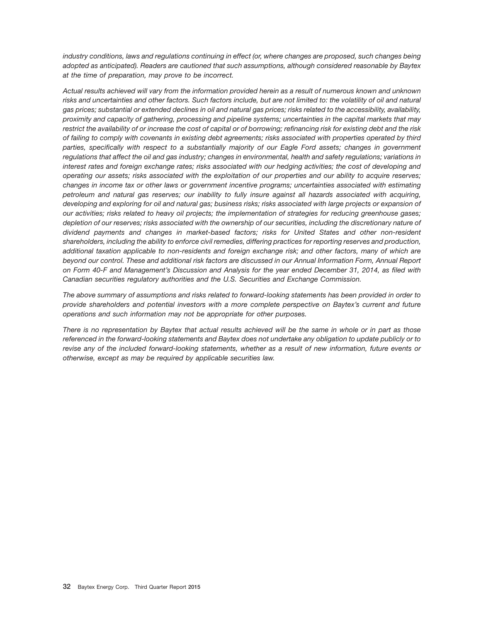*industry conditions, laws and regulations continuing in effect (or, where changes are proposed, such changes being adopted as anticipated). Readers are cautioned that such assumptions, although considered reasonable by Baytex at the time of preparation, may prove to be incorrect.*

*Actual results achieved will vary from the information provided herein as a result of numerous known and unknown risks and uncertainties and other factors. Such factors include, but are not limited to: the volatility of oil and natural gas prices; substantial or extended declines in oil and natural gas prices; risks related to the accessibility, availability, proximity and capacity of gathering, processing and pipeline systems; uncertainties in the capital markets that may restrict the availability of or increase the cost of capital or of borrowing; refinancing risk for existing debt and the risk of failing to comply with covenants in existing debt agreements; risks associated with properties operated by third parties, specifically with respect to a substantially majority of our Eagle Ford assets; changes in government regulations that affect the oil and gas industry; changes in environmental, health and safety regulations; variations in interest rates and foreign exchange rates; risks associated with our hedging activities; the cost of developing and operating our assets; risks associated with the exploitation of our properties and our ability to acquire reserves; changes in income tax or other laws or government incentive programs; uncertainties associated with estimating petroleum and natural gas reserves; our inability to fully insure against all hazards associated with acquiring, developing and exploring for oil and natural gas; business risks; risks associated with large projects or expansion of our activities; risks related to heavy oil projects; the implementation of strategies for reducing greenhouse gases; depletion of our reserves; risks associated with the ownership of our securities, including the discretionary nature of dividend payments and changes in market-based factors; risks for United States and other non-resident shareholders, including the ability to enforce civil remedies, differing practices for reporting reserves and production, additional taxation applicable to non-residents and foreign exchange risk; and other factors, many of which are beyond our control. These and additional risk factors are discussed in our Annual Information Form, Annual Report on Form 40-F and Management's Discussion and Analysis for the year ended December 31, 2014, as filed with Canadian securities regulatory authorities and the U.S. Securities and Exchange Commission.*

*The above summary of assumptions and risks related to forward-looking statements has been provided in order to provide shareholders and potential investors with a more complete perspective on Baytex's current and future operations and such information may not be appropriate for other purposes.*

*There is no representation by Baytex that actual results achieved will be the same in whole or in part as those referenced in the forward-looking statements and Baytex does not undertake any obligation to update publicly or to revise any of the included forward-looking statements, whether as a result of new information, future events or otherwise, except as may be required by applicable securities law.*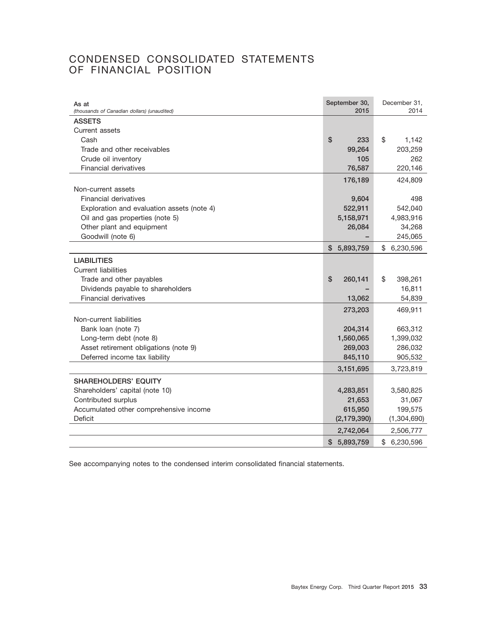# CONDENSED CONSOLIDATED STATEMENTS OF FINANCIAL POSITION

| As at<br>(thousands of Canadian dollars) (unaudited) | September 30,<br>2015 | December 31,<br>2014 |
|------------------------------------------------------|-----------------------|----------------------|
| <b>ASSETS</b>                                        |                       |                      |
| Current assets                                       |                       |                      |
| Cash                                                 | \$<br>233             | \$<br>1,142          |
| Trade and other receivables                          | 99,264                | 203,259              |
| Crude oil inventory                                  | 105                   | 262                  |
| <b>Financial derivatives</b>                         | 76,587                | 220,146              |
|                                                      | 176,189               | 424,809              |
| Non-current assets                                   |                       |                      |
| <b>Financial derivatives</b>                         | 9,604                 | 498                  |
| Exploration and evaluation assets (note 4)           | 522,911               | 542,040              |
| Oil and gas properties (note 5)                      | 5,158,971             | 4,983,916            |
| Other plant and equipment                            | 26,084                | 34,268               |
| Goodwill (note 6)                                    |                       | 245,065              |
|                                                      | 5,893,759<br>S        | \$<br>6,230,596      |
| <b>LIABILITIES</b>                                   |                       |                      |
| <b>Current liabilities</b>                           |                       |                      |
| Trade and other payables                             | \$<br>260,141         | \$<br>398,261        |
| Dividends payable to shareholders                    |                       | 16,811               |
| <b>Financial derivatives</b>                         | 13,062                | 54,839               |
|                                                      | 273,203               | 469,911              |
| Non-current liabilities                              |                       |                      |
| Bank loan (note 7)                                   | 204,314               | 663,312              |
| Long-term debt (note 8)                              | 1,560,065             | 1,399,032            |
| Asset retirement obligations (note 9)                | 269,003               | 286,032              |
| Deferred income tax liability                        | 845,110               | 905,532              |
|                                                      | 3,151,695             | 3,723,819            |
| <b>SHAREHOLDERS' EQUITY</b>                          |                       |                      |
| Shareholders' capital (note 10)                      | 4,283,851             | 3,580,825            |
| Contributed surplus                                  | 21,653                | 31,067               |
| Accumulated other comprehensive income               | 615,950               | 199,575              |
| <b>Deficit</b>                                       | (2, 179, 390)         | (1,304,690)          |
|                                                      | 2,742,064             | 2,506,777            |
|                                                      | \$5,893,759           | 6,230,596<br>\$      |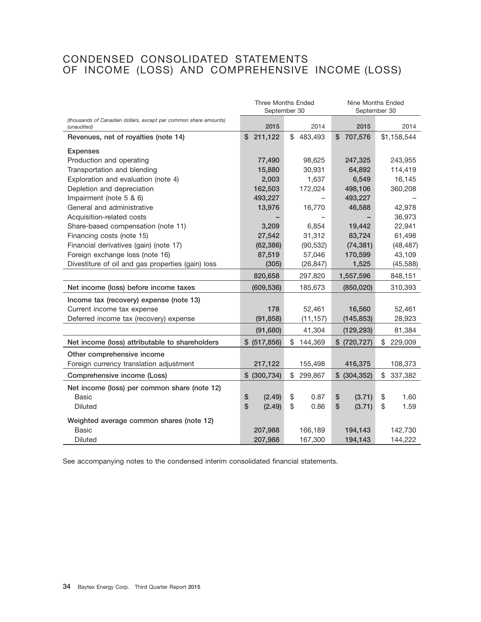# CONDENSED CONSOLIDATED STATEMENTS OF INCOME (LOSS) AND COMPREHENSIVE INCOME (LOSS)

|                                                                                 |               | <b>Three Months Ended</b><br>September 30 | Nine Months Ended<br>September 30 |               |  |
|---------------------------------------------------------------------------------|---------------|-------------------------------------------|-----------------------------------|---------------|--|
| (thousands of Canadian dollars, except per common share amounts)<br>(unaudited) | 2015          | 2014                                      | 2015                              | 2014          |  |
| Revenues, net of royalties (note 14)                                            | \$211,122     | \$<br>483,493                             | 707,576<br>\$                     | \$1,158,544   |  |
| <b>Expenses</b>                                                                 |               |                                           |                                   |               |  |
| Production and operating                                                        | 77,490        | 98,625                                    | 247,325                           | 243,955       |  |
| Transportation and blending                                                     | 15,880        | 30,931                                    | 64,892                            | 114,419       |  |
| Exploration and evaluation (note 4)                                             | 2,003         | 1,637                                     | 6,549                             | 16,145        |  |
| Depletion and depreciation                                                      | 162,503       | 172,024                                   | 498,106                           | 360,208       |  |
| Impairment (note 5 & 6)                                                         | 493,227       |                                           | 493,227                           |               |  |
| General and administrative                                                      | 13,976        | 16,770                                    | 46,588                            | 42,978        |  |
| Acquisition-related costs                                                       |               |                                           |                                   | 36,973        |  |
| Share-based compensation (note 11)                                              | 3,209         | 6,854                                     | 19,442                            | 22,941        |  |
| Financing costs (note 15)                                                       | 27,542        | 31,312                                    | 83,724                            | 61,498        |  |
| Financial derivatives (gain) (note 17)                                          | (62, 386)     | (90, 532)                                 | (74, 381)                         | (48, 487)     |  |
| Foreign exchange loss (note 16)                                                 | 87,519        | 57,046                                    | 170,599                           | 43,109        |  |
| Divestiture of oil and gas properties (gain) loss                               | (305)         | (26, 847)                                 | 1,525                             | (45, 588)     |  |
|                                                                                 | 820,658       | 297,820                                   | 1,557,596                         | 848,151       |  |
| Net income (loss) before income taxes                                           | (609, 536)    | 185,673                                   | (850, 020)                        | 310,393       |  |
| Income tax (recovery) expense (note 13)                                         |               |                                           |                                   |               |  |
| Current income tax expense                                                      | 178           | 52,461                                    | 16,560                            | 52,461        |  |
| Deferred income tax (recovery) expense                                          | (91, 858)     | (11, 157)                                 | (145, 853)                        | 28,923        |  |
|                                                                                 | (91,680)      | 41,304                                    | (129, 293)                        | 81,384        |  |
| Net income (loss) attributable to shareholders                                  | \$ (517, 856) | \$<br>144,369                             | \$ (720, 727)                     | \$<br>229,009 |  |
| Other comprehensive income                                                      |               |                                           |                                   |               |  |
| Foreign currency translation adjustment                                         | 217,122       | 155,498                                   | 416,375                           | 108,373       |  |
| Comprehensive income (Loss)                                                     | \$ (300, 734) | \$<br>299,867                             | (304, 352)<br>S.                  | \$<br>337,382 |  |
| Net income (loss) per common share (note 12)                                    |               |                                           |                                   |               |  |
| <b>Basic</b>                                                                    | \$<br>(2.49)  | \$<br>0.87                                | \$<br>(3.71)                      | \$<br>1.60    |  |
| <b>Diluted</b>                                                                  | \$<br>(2.49)  | \$<br>0.86                                | $\mathsf{\$}$<br>(3.71)           | \$<br>1.59    |  |
| Weighted average common shares (note 12)                                        |               |                                           |                                   |               |  |
| <b>Basic</b>                                                                    | 207,988       | 166,189                                   | 194,143                           | 142,730       |  |
| <b>Diluted</b>                                                                  | 207,988       | 167,300                                   | 194,143                           | 144,222       |  |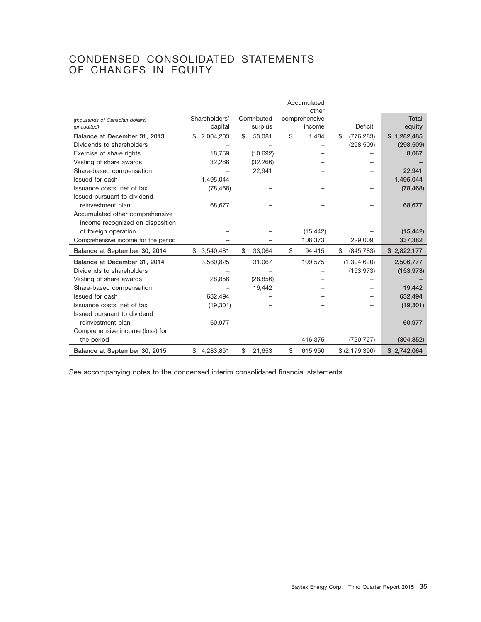# CONDENSED CONSOLIDATED STATEMENTS OF CHANGES IN EQUITY

|                                     | Accumulated     |              |               |                  |              |  |
|-------------------------------------|-----------------|--------------|---------------|------------------|--------------|--|
|                                     |                 |              | other         |                  |              |  |
| (thousands of Canadian dollars)     | Shareholders'   | Contributed  | comprehensive |                  | <b>Total</b> |  |
| (unaudited)                         | capital         | surplus      | income        | <b>Deficit</b>   | equity       |  |
| Balance at December 31, 2013        | 2,004,203<br>\$ | \$<br>53,081 | \$<br>1,484   | \$<br>(776, 283) | \$1,282,485  |  |
| Dividends to shareholders           |                 |              |               | (298, 509)       | (298, 509)   |  |
| Exercise of share rights            | 18,759          | (10, 692)    |               |                  | 8,067        |  |
| Vesting of share awards             | 32,266          | (32, 266)    |               |                  |              |  |
| Share-based compensation            |                 | 22,941       |               |                  | 22,941       |  |
| Issued for cash                     | 1,495,044       |              |               |                  | 1,495,044    |  |
| Issuance costs, net of tax          | (78, 468)       |              |               |                  | (78, 468)    |  |
| Issued pursuant to dividend         |                 |              |               |                  |              |  |
| reinvestment plan                   | 68,677          |              |               |                  | 68,677       |  |
| Accumulated other comprehensive     |                 |              |               |                  |              |  |
| income recognized on disposition    |                 |              |               |                  |              |  |
| of foreign operation                |                 |              | (15, 442)     |                  | (15, 442)    |  |
| Comprehensive income for the period |                 |              | 108,373       | 229,009          | 337,382      |  |
| Balance at September 30, 2014       | \$<br>3,540,481 | \$<br>33,064 | \$<br>94,415  | \$<br>(845, 783) | \$2,822,177  |  |
| Balance at December 31, 2014        | 3,580,825       | 31,067       | 199,575       | (1,304,690)      | 2,506,777    |  |
| Dividends to shareholders           |                 |              |               | (153, 973)       | (153, 973)   |  |
| Vesting of share awards             | 28,856          | (28, 856)    |               |                  |              |  |
| Share-based compensation            |                 | 19,442       |               |                  | 19,442       |  |
| Issued for cash                     | 632,494         |              |               |                  | 632,494      |  |
| Issuance costs, net of tax          | (19, 301)       |              |               |                  | (19, 301)    |  |
| Issued pursuant to dividend         |                 |              |               |                  |              |  |
| reinvestment plan                   | 60,977          |              |               |                  | 60,977       |  |
| Comprehensive income (loss) for     |                 |              |               |                  |              |  |
| the period                          |                 |              | 416,375       | (720, 727)       | (304, 352)   |  |
| Balance at September 30, 2015       | 4,283,851<br>\$ | \$<br>21,653 | \$<br>615,950 | \$ (2, 179, 390) | \$2,742,064  |  |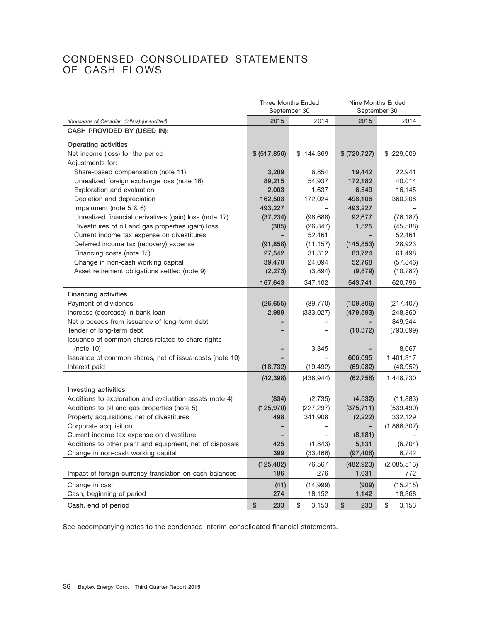# CONDENSED CONSOLIDATED STATEMENTS OF CASH FLOWS

|                                                          | <b>Three Months Ended</b><br>September 30 |             | Nine Months Ended<br>September 30 |             |  |
|----------------------------------------------------------|-------------------------------------------|-------------|-----------------------------------|-------------|--|
| (thousands of Canadian dollars) (unaudited)              | 2015                                      | 2014        | 2015                              | 2014        |  |
| CASH PROVIDED BY (USED IN):                              |                                           |             |                                   |             |  |
|                                                          |                                           |             |                                   |             |  |
| <b>Operating activities</b>                              |                                           |             |                                   |             |  |
| Net income (loss) for the period<br>Adjustments for:     | \$ (517, 856)                             | \$144,369   | \$ (720, 727)                     | \$229,009   |  |
| Share-based compensation (note 11)                       | 3,209                                     | 6,854       | 19,442                            | 22,941      |  |
| Unrealized foreign exchange loss (note 16)               | 89,215                                    | 54,937      | 172,182                           | 40,014      |  |
| Exploration and evaluation                               | 2,003                                     | 1,637       | 6,549                             | 16,145      |  |
| Depletion and depreciation                               | 162,503                                   | 172,024     | 498,106                           | 360,208     |  |
| Impairment (note 5 & 6)                                  | 493,227                                   |             | 493,227                           |             |  |
| Unrealized financial derivatives (gain) loss (note 17)   | (37, 234)                                 | (98, 688)   | 92,677                            | (76, 187)   |  |
| Divestitures of oil and gas properties (gain) loss       | (305)                                     | (26, 847)   | 1,525                             | (45, 588)   |  |
| Current income tax expense on divestitures               |                                           | 52,461      |                                   | 52,461      |  |
| Deferred income tax (recovery) expense                   | (91, 858)                                 | (11, 157)   | (145, 853)                        | 28,923      |  |
| Financing costs (note 15)                                | 27,542                                    | 31,312      | 83,724                            | 61,498      |  |
| Change in non-cash working capital                       | 39,470                                    | 24,094      | 52,768                            | (57, 846)   |  |
| Asset retirement obligations settled (note 9)            | (2, 273)                                  | (3,894)     | (9,879)                           | (10, 782)   |  |
|                                                          | 167,643                                   | 347,102     | 543,741                           | 620,796     |  |
| <b>Financing activities</b>                              |                                           |             |                                   |             |  |
| Payment of dividends                                     | (26, 655)                                 | (89, 770)   | (109, 806)                        | (217, 407)  |  |
| Increase (decrease) in bank loan                         | 2,989                                     | (333, 027)  | (479,593)                         | 248,860     |  |
| Net proceeds from issuance of long-term debt             |                                           |             |                                   | 849,944     |  |
| Tender of long-term debt                                 |                                           |             | (10, 372)                         | (793,099)   |  |
| Issuance of common shares related to share rights        |                                           |             |                                   |             |  |
| (note 10)                                                |                                           | 3,345       |                                   | 8,067       |  |
| Issuance of common shares, net of issue costs (note 10)  |                                           |             | 606,095                           | 1,401,317   |  |
| Interest paid                                            | (18, 732)                                 | (19, 492)   | (69,082)                          | (48, 952)   |  |
|                                                          | (42, 398)                                 | (438, 944)  | (62, 758)                         | 1,448,730   |  |
| Investing activities                                     |                                           |             |                                   |             |  |
| Additions to exploration and evaluation assets (note 4)  | (834)                                     | (2,735)     | (4, 532)                          | (11, 883)   |  |
| Additions to oil and gas properties (note 5)             | (125, 970)                                | (227, 297)  | (375, 711)                        | (539, 490)  |  |
| Property acquisitions, net of divestitures               | 498                                       | 341,908     | (2, 222)                          | 332,129     |  |
| Corporate acquisition                                    |                                           |             |                                   | (1,866,307) |  |
| Current income tax expense on divestiture                |                                           |             | (8, 181)                          |             |  |
| Additions to other plant and equipment, net of disposals | 425                                       | (1, 843)    | 5,131                             | (6,704)     |  |
| Change in non-cash working capital                       | 399                                       | (33, 466)   | (97, 408)                         | 6,742       |  |
|                                                          | (125, 482)                                | 76,567      | (482, 923)                        | (2,085,513) |  |
| Impact of foreign currency translation on cash balances  | 196                                       | 276         | 1,031                             | 772         |  |
| Change in cash                                           | (41)                                      | (14,999)    | (909)                             | (15, 215)   |  |
| Cash, beginning of period                                | 274                                       | 18,152      | 1,142                             | 18,368      |  |
| Cash, end of period                                      | \$<br>233                                 | \$<br>3,153 | \$<br>233                         | \$<br>3,153 |  |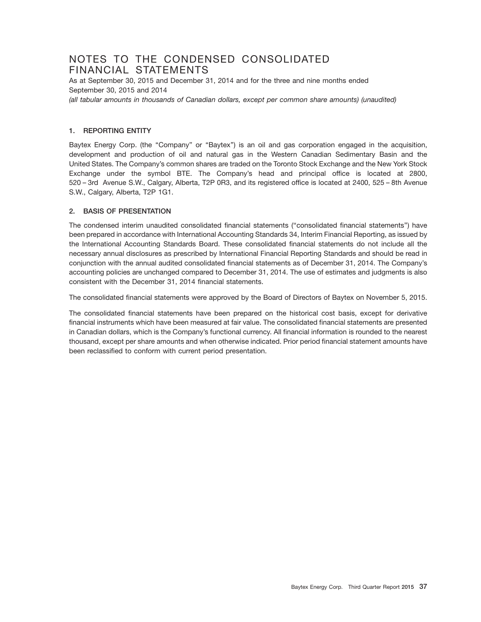# NOTES TO THE CONDENSED CONSOLIDATED FINANCIAL STATEMENTS

As at September 30, 2015 and December 31, 2014 and for the three and nine months ended September 30, 2015 and 2014

*(all tabular amounts in thousands of Canadian dollars, except per common share amounts) (unaudited)*

#### **1. REPORTING ENTITY**

Baytex Energy Corp. (the "Company" or "Baytex") is an oil and gas corporation engaged in the acquisition, development and production of oil and natural gas in the Western Canadian Sedimentary Basin and the United States. The Company's common shares are traded on the Toronto Stock Exchange and the New York Stock Exchange under the symbol BTE. The Company's head and principal office is located at 2800, 520 – 3rd Avenue S.W., Calgary, Alberta, T2P 0R3, and its registered office is located at 2400, 525 – 8th Avenue S.W., Calgary, Alberta, T2P 1G1.

#### **2. BASIS OF PRESENTATION**

The condensed interim unaudited consolidated financial statements (''consolidated financial statements'') have been prepared in accordance with International Accounting Standards 34, Interim Financial Reporting, as issued by the International Accounting Standards Board. These consolidated financial statements do not include all the necessary annual disclosures as prescribed by International Financial Reporting Standards and should be read in conjunction with the annual audited consolidated financial statements as of December 31, 2014. The Company's accounting policies are unchanged compared to December 31, 2014. The use of estimates and judgments is also consistent with the December 31, 2014 financial statements.

The consolidated financial statements were approved by the Board of Directors of Baytex on November 5, 2015.

The consolidated financial statements have been prepared on the historical cost basis, except for derivative financial instruments which have been measured at fair value. The consolidated financial statements are presented in Canadian dollars, which is the Company's functional currency. All financial information is rounded to the nearest thousand, except per share amounts and when otherwise indicated. Prior period financial statement amounts have been reclassified to conform with current period presentation.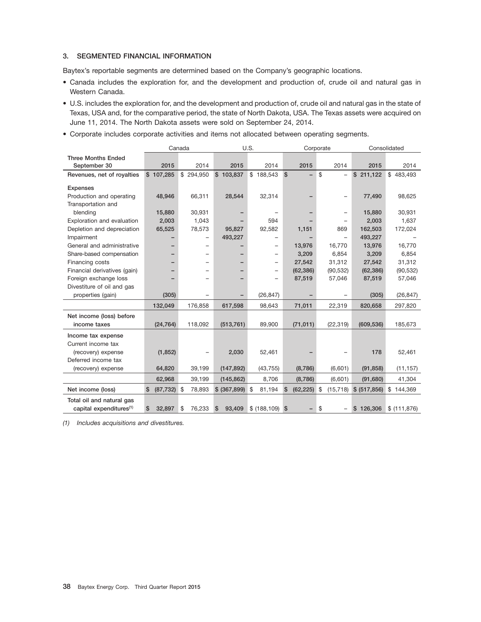#### **3. SEGMENTED FINANCIAL INFORMATION**

Baytex's reportable segments are determined based on the Company's geographic locations.

- Canada includes the exploration for, and the development and production of, crude oil and natural gas in Western Canada.
- U.S. includes the exploration for, and the development and production of, crude oil and natural gas in the state of Texas, USA and, for the comparative period, the state of North Dakota, USA. The Texas assets were acquired on June 11, 2014. The North Dakota assets were sold on September 24, 2014.
- Corporate includes corporate activities and items not allocated between operating segments.

|                                     |                 | Canada       |              | U.S.                     | Corporate                      |                                | Consolidated  |               |
|-------------------------------------|-----------------|--------------|--------------|--------------------------|--------------------------------|--------------------------------|---------------|---------------|
| <b>Three Months Ended</b>           |                 |              |              |                          |                                |                                |               |               |
| September 30                        | 2015            | 2014         | 2015         | 2014                     | 2015                           | 2014                           | 2015          | 2014          |
| Revenues, net of royalties          | \$107,285       | \$294.950    | \$103,837    | \$188,543                | \$<br>$\overline{\phantom{0}}$ | \$<br>$\overline{\phantom{0}}$ | \$211,122     | \$483,493     |
| <b>Expenses</b>                     |                 |              |              |                          |                                |                                |               |               |
| Production and operating            | 48,946          | 66,311       | 28,544       | 32,314                   |                                |                                | 77,490        | 98,625        |
| Transportation and                  |                 |              |              |                          |                                |                                |               |               |
| blending                            | 15,880          | 30,931       |              |                          |                                | $\overline{\phantom{0}}$       | 15,880        | 30,931        |
| Exploration and evaluation          | 2,003           | 1,043        |              | 594                      |                                |                                | 2,003         | 1,637         |
| Depletion and depreciation          | 65,525          | 78,573       | 95,827       | 92,582                   | 1,151                          | 869                            | 162,503       | 172,024       |
| Impairment                          |                 | -            | 493,227      | —                        |                                | $\overline{\phantom{0}}$       | 493,227       |               |
| General and administrative          |                 |              |              | $\qquad \qquad -$        | 13,976                         | 16,770                         | 13,976        | 16,770        |
| Share-based compensation            |                 |              |              | $\overline{\phantom{0}}$ | 3,209                          | 6,854                          | 3,209         | 6,854         |
| Financing costs                     |                 |              |              |                          | 27,542                         | 31,312                         | 27,542        | 31,312        |
| Financial derivatives (gain)        |                 |              |              | -                        | (62, 386)                      | (90, 532)                      | (62, 386)     | (90, 532)     |
| Foreign exchange loss               |                 |              |              |                          | 87,519                         | 57,046                         | 87,519        | 57,046        |
| Divestiture of oil and gas          |                 |              |              |                          |                                |                                |               |               |
| properties (gain)                   | (305)           |              |              | (26, 847)                |                                |                                | (305)         | (26, 847)     |
|                                     | 132,049         | 176,858      | 617,598      | 98,643                   | 71,011                         | 22,319                         | 820,658       | 297,820       |
| Net income (loss) before            |                 |              |              |                          |                                |                                |               |               |
| income taxes                        | (24, 764)       | 118,092      | (513, 761)   | 89,900                   | (71, 011)                      | (22, 319)                      | (609, 536)    | 185,673       |
| Income tax expense                  |                 |              |              |                          |                                |                                |               |               |
| Current income tax                  |                 |              |              |                          |                                |                                |               |               |
| (recovery) expense                  | (1, 852)        |              | 2,030        | 52,461                   |                                |                                | 178           | 52,461        |
| Deferred income tax                 |                 |              |              |                          |                                |                                |               |               |
| (recovery) expense                  | 64,820          | 39,199       | (147, 892)   | (43, 755)                | (8,786)                        | (6,601)                        | (91, 858)     | (11, 157)     |
|                                     | 62,968          | 39,199       | (145, 862)   | 8,706                    | (8,786)                        | (6,601)                        | (91,680)      | 41,304        |
| Net income (loss)                   | \$<br>(87, 732) | \$<br>78,893 | \$ (367,899) | \$<br>81,194             | \$<br>(62, 225)                | \$<br>(15, 718)                | \$ (517, 856) | \$<br>144,369 |
| Total oil and natural gas           |                 |              |              |                          |                                |                                |               |               |
| capital expenditures <sup>(1)</sup> | 32,897<br>\$    | 76.233<br>\$ | 93.409<br>\$ | \$ (188, 109) \$         |                                | \$                             | \$126.306     | \$(111, 876)  |

*(1) Includes acquisitions and divestitures.*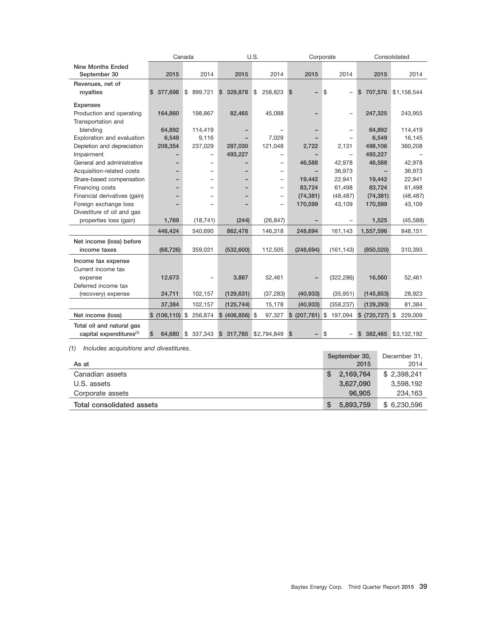|                                                |              | Canada                    |                   | U.S.           |                          |                         | Corporate       |                  | Consolidated |
|------------------------------------------------|--------------|---------------------------|-------------------|----------------|--------------------------|-------------------------|-----------------|------------------|--------------|
| <b>Nine Months Ended</b>                       |              |                           |                   |                |                          |                         |                 |                  |              |
| September 30                                   | 2015         | 2014                      | 2015              |                | 2014                     | 2015                    | 2014            | 2015             | 2014         |
| Revenues, net of                               |              |                           |                   |                |                          |                         |                 |                  |              |
| royalties                                      | \$377,698    | \$ 899,721                | \$329,878         | \$             | 258,823 \$               |                         | \$              | \$<br>707,576    | \$1,158,544  |
| <b>Expenses</b>                                |              |                           |                   |                |                          |                         |                 |                  |              |
| Production and operating                       | 164,860      | 198,867                   | 82,465            |                | 45,088                   |                         |                 | 247,325          | 243,955      |
| Transportation and                             |              |                           |                   |                |                          |                         |                 |                  |              |
| blending                                       | 64,892       | 114,419                   |                   |                |                          |                         |                 | 64,892           | 114,419      |
| Exploration and evaluation                     | 6,549        | 9,116                     |                   |                | 7,029                    |                         |                 | 6,549            | 16,145       |
| Depletion and depreciation                     | 208,354      | 237,029                   | 287,030           |                | 121,048                  | 2,722                   | 2,131           | 498,106          | 360,208      |
| Impairment                                     |              | $\overline{\phantom{0}}$  | 493,227           |                | $\qquad \qquad -$        |                         |                 | 493,227          |              |
| General and administrative                     |              | $\overline{\phantom{0}}$  |                   |                | $\overline{\phantom{0}}$ | 46,588                  | 42,978          | 46,588           | 42,978       |
| Acquisition-related costs                      |              |                           |                   |                | $\overline{\phantom{0}}$ |                         | 36,973          |                  | 36,973       |
| Share-based compensation                       |              |                           |                   |                | -                        | 19,442                  | 22,941          | 19,442           | 22,941       |
| Financing costs                                |              |                           |                   |                |                          | 83,724                  | 61,498          | 83,724           | 61,498       |
| Financial derivatives (gain)                   |              |                           |                   |                | $\overline{\phantom{0}}$ | (74, 381)               | (48, 487)       | (74, 381)        | (48, 487)    |
| Foreign exchange loss                          |              |                           |                   |                | $\overline{\phantom{0}}$ | 170,599                 | 43,109          | 170,599          | 43,109       |
| Divestiture of oil and gas                     |              |                           |                   |                |                          |                         |                 |                  |              |
| properties loss (gain)                         | 1,769        | (18, 741)                 | (244)             |                | (26, 847)                |                         |                 | 1,525            | (45, 588)    |
|                                                | 446,424      | 540,690                   | 862,478           |                | 146,318                  | 248,694                 | 161,143         | 1,557,596        | 848,151      |
| Net income (loss) before                       |              |                           |                   |                |                          |                         |                 |                  |              |
| income taxes                                   | (68, 726)    | 359,031                   | (532,600)         |                | 112,505                  | (248, 694)              | (161, 143)      | (850, 020)       | 310,393      |
| Income tax expense                             |              |                           |                   |                |                          |                         |                 |                  |              |
| Current income tax                             |              |                           |                   |                |                          |                         |                 |                  |              |
| expense                                        | 12,673       |                           | 3,887             |                | 52,461                   |                         | (322, 286)      | 16,560           | 52,461       |
| Deferred income tax                            |              |                           |                   |                |                          |                         |                 |                  |              |
| (recovery) expense                             | 24,711       | 102,157                   | (129, 631)        |                | (37, 283)                | (40, 933)               | (35, 951)       | (145, 853)       | 28,923       |
|                                                | 37,384       | 102,157                   | (125, 744)        |                | 15,178                   | (40, 933)               | (358, 237)      | (129, 293)       | 81,384       |
| Net income (loss)                              |              | $$$ (106,110) $$$ 256,874 | $$ (406, 856)$ \$ |                | 97,327                   | \$ (207,761) \$ 197,094 |                 | \$ (720, 727) \$ | 229,009      |
| Total oil and natural gas                      |              |                           |                   |                |                          |                         |                 |                  |              |
| capital expenditures <sup>(1)</sup>            | \$<br>64,680 | $\frac{1}{2}$ 337,343     | \$ 317,785        | \$2,794,849 \$ |                          |                         | ∣\$             | \$382,465        | \$3,132,192  |
|                                                |              |                           |                   |                |                          |                         |                 |                  |              |
| (1)<br>Includes acquisitions and divestitures. |              |                           |                   |                |                          |                         | September 30,   |                  | December 31, |
| As at                                          |              |                           |                   |                |                          |                         |                 | 2015             | 2014         |
| Canadian assets                                |              |                           |                   |                |                          |                         | \$<br>2,169,764 |                  | \$2,398,241  |
| U.S. assets                                    |              |                           |                   |                |                          |                         | 3,627,090       |                  | 3,598,192    |
|                                                |              |                           |                   |                |                          |                         |                 |                  |              |
| Corporate assets                               |              |                           |                   |                |                          |                         |                 | 96,905           | 234,163      |

**Total consolidated assets 6,230,596** \$ 6,230,596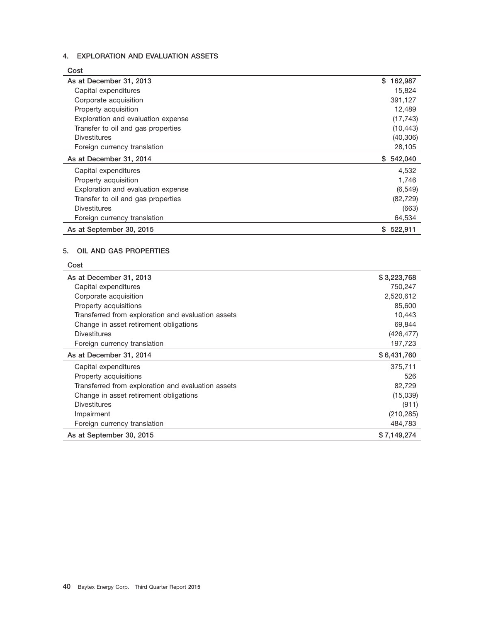## **4. EXPLORATION AND EVALUATION ASSETS**

| Cost                               |               |
|------------------------------------|---------------|
| As at December 31, 2013            | \$<br>162,987 |
| Capital expenditures               | 15,824        |
| Corporate acquisition              | 391,127       |
| Property acquisition               | 12,489        |
| Exploration and evaluation expense | (17, 743)     |
| Transfer to oil and gas properties | (10, 443)     |
| Divestitures                       | (40, 306)     |
| Foreign currency translation       | 28,105        |
| As at December 31, 2014            | 542,040<br>S. |
| Capital expenditures               | 4,532         |
| Property acquisition               | 1,746         |
| Exploration and evaluation expense | (6, 549)      |
| Transfer to oil and gas properties | (82, 729)     |
| <b>Divestitures</b>                | (663)         |
| Foreign currency translation       | 64,534        |
| As at September 30, 2015           | \$<br>522,911 |

#### **5. OIL AND GAS PROPERTIES**

| Cost                                               |             |
|----------------------------------------------------|-------------|
| As at December 31, 2013                            | \$3,223,768 |
| Capital expenditures                               | 750,247     |
| Corporate acquisition                              | 2,520,612   |
| Property acquisitions                              | 85,600      |
| Transferred from exploration and evaluation assets | 10,443      |
| Change in asset retirement obligations             | 69,844      |
| <b>Divestitures</b>                                | (426, 477)  |
| Foreign currency translation                       | 197,723     |
| As at December 31, 2014                            | \$6,431,760 |
| Capital expenditures                               | 375,711     |
| Property acquisitions                              | 526         |
| Transferred from exploration and evaluation assets | 82,729      |
| Change in asset retirement obligations             | (15,039)    |
| <b>Divestitures</b>                                | (911)       |
| Impairment                                         | (210, 285)  |
| Foreign currency translation                       | 484,783     |
| As at September 30, 2015                           | \$7,149,274 |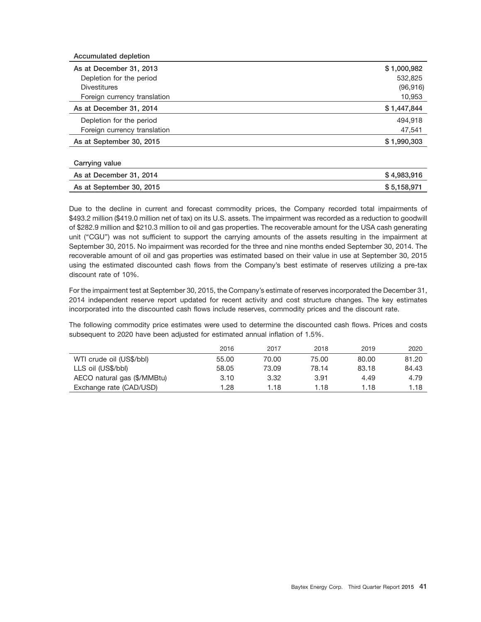| Accumulated depletion        |             |
|------------------------------|-------------|
| As at December 31, 2013      | \$1,000,982 |
| Depletion for the period     | 532,825     |
| <b>Divestitures</b>          | (96, 916)   |
| Foreign currency translation | 10,953      |
| As at December 31, 2014      | \$1,447,844 |
| Depletion for the period     | 494.918     |
| Foreign currency translation | 47,541      |
| As at September 30, 2015     | \$1,990,303 |
|                              |             |
| Carrying value               |             |
| As at December 31, 2014      | \$4,983,916 |
| As at September 30, 2015     | \$5,158,971 |

Due to the decline in current and forecast commodity prices, the Company recorded total impairments of \$493.2 million (\$419.0 million net of tax) on its U.S. assets. The impairment was recorded as a reduction to goodwill of \$282.9 million and \$210.3 million to oil and gas properties. The recoverable amount for the USA cash generating unit (''CGU'') was not sufficient to support the carrying amounts of the assets resulting in the impairment at September 30, 2015. No impairment was recorded for the three and nine months ended September 30, 2014. The recoverable amount of oil and gas properties was estimated based on their value in use at September 30, 2015 using the estimated discounted cash flows from the Company's best estimate of reserves utilizing a pre-tax discount rate of 10%.

For the impairment test at September 30, 2015, the Company's estimate of reserves incorporated the December 31, 2014 independent reserve report updated for recent activity and cost structure changes. The key estimates incorporated into the discounted cash flows include reserves, commodity prices and the discount rate.

The following commodity price estimates were used to determine the discounted cash flows. Prices and costs subsequent to 2020 have been adjusted for estimated annual inflation of 1.5%.

|                             | 2016  | 2017  | 2018  | 2019  | 2020  |
|-----------------------------|-------|-------|-------|-------|-------|
| WTI crude oil (US\$/bbl)    | 55.00 | 70.00 | 75.00 | 80.00 | 81.20 |
| LLS oil (US\$/bbl)          | 58.05 | 73.09 | 78.14 | 83.18 | 84.43 |
| AECO natural gas (\$/MMBtu) | 3.10  | 3.32  | 3.91  | 4.49  | 4.79  |
| Exchange rate (CAD/USD)     | 1.28  | 1.18  | 1.18  | 1.18  | 1.18  |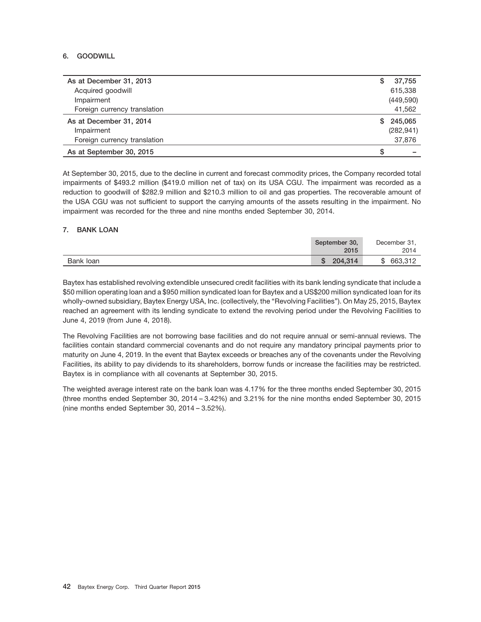#### **6. GOODWILL**

| As at December 31, 2013      | S  | 37,755     |
|------------------------------|----|------------|
| Acquired goodwill            |    | 615,338    |
| Impairment                   |    | (449, 590) |
| Foreign currency translation |    | 41,562     |
| As at December 31, 2014      | S  | 245.065    |
| Impairment                   |    | (282, 941) |
| Foreign currency translation |    | 37,876     |
| As at September 30, 2015     | -S |            |

At September 30, 2015, due to the decline in current and forecast commodity prices, the Company recorded total impairments of \$493.2 million (\$419.0 million net of tax) on its USA CGU. The impairment was recorded as a reduction to goodwill of \$282.9 million and \$210.3 million to oil and gas properties. The recoverable amount of the USA CGU was not sufficient to support the carrying amounts of the assets resulting in the impairment. No impairment was recorded for the three and nine months ended September 30, 2014.

#### **7. BANK LOAN**

|           | September 30,<br>2015 | December 31,<br>2014 |
|-----------|-----------------------|----------------------|
| Bank loan | 204.314<br>ົ<br>D     | 663.312<br>J         |

Baytex has established revolving extendible unsecured credit facilities with its bank lending syndicate that include a \$50 million operating loan and a \$950 million syndicated loan for Baytex and a US\$200 million syndicated loan for its wholly-owned subsidiary, Baytex Energy USA, Inc. (collectively, the ''Revolving Facilities''). On May 25, 2015, Baytex reached an agreement with its lending syndicate to extend the revolving period under the Revolving Facilities to June 4, 2019 (from June 4, 2018).

The Revolving Facilities are not borrowing base facilities and do not require annual or semi-annual reviews. The facilities contain standard commercial covenants and do not require any mandatory principal payments prior to maturity on June 4, 2019. In the event that Baytex exceeds or breaches any of the covenants under the Revolving Facilities, its ability to pay dividends to its shareholders, borrow funds or increase the facilities may be restricted. Baytex is in compliance with all covenants at September 30, 2015.

The weighted average interest rate on the bank loan was 4.17% for the three months ended September 30, 2015 (three months ended September 30, 2014 – 3.42%) and 3.21% for the nine months ended September 30, 2015 (nine months ended September 30, 2014 – 3.52%).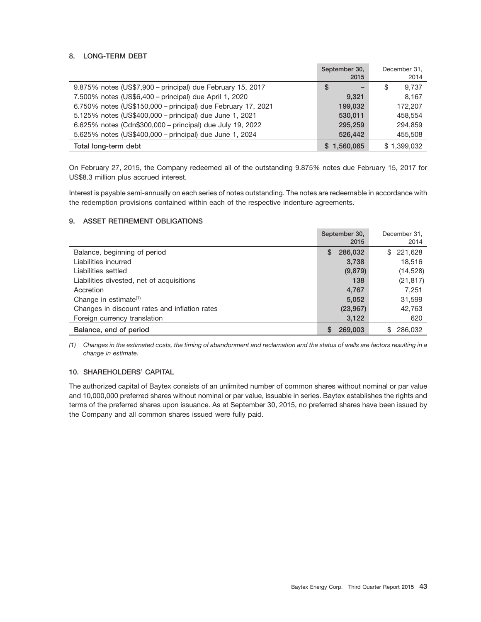#### **8. LONG-TERM DEBT**

|                                                              | September 30,<br>2015 | December 31.<br>2014 |
|--------------------------------------------------------------|-----------------------|----------------------|
| 9.875% notes (US\$7,900 – principal) due February 15, 2017   | \$                    | 9.737<br>\$          |
| 7.500% notes (US\$6,400 - principal) due April 1, 2020       | 9.321                 | 8.167                |
| 6.750% notes (US\$150,000 - principal) due February 17, 2021 | 199.032               | 172.207              |
| 5.125% notes (US\$400,000 - principal) due June 1, 2021      | 530,011               | 458.554              |
| 6.625% notes (Cdn\$300,000 - principal) due July 19, 2022    | 295,259               | 294.859              |
| 5.625% notes (US\$400,000 - principal) due June 1, 2024      | 526,442               | 455,508              |
| Total long-term debt                                         | 1,560,065<br>S        | \$1,399,032          |

On February 27, 2015, the Company redeemed all of the outstanding 9.875% notes due February 15, 2017 for US\$8.3 million plus accrued interest.

Interest is payable semi-annually on each series of notes outstanding. The notes are redeemable in accordance with the redemption provisions contained within each of the respective indenture agreements.

#### **9. ASSET RETIREMENT OBLIGATIONS**

|                                               | September 30,<br>2015 | December 31,<br>2014 |
|-----------------------------------------------|-----------------------|----------------------|
| Balance, beginning of period                  | S<br>286,032          | 221,628<br>SS.       |
| Liabilities incurred                          | 3,738                 | 18,516               |
| Liabilities settled                           | (9,879)               | (14, 528)            |
| Liabilities divested, net of acquisitions     | 138                   | (21, 817)            |
| Accretion                                     | 4,767                 | 7,251                |
| Change in estimate $(1)$                      | 5,052                 | 31,599               |
| Changes in discount rates and inflation rates | (23, 967)             | 42,763               |
| Foreign currency translation                  | 3,122                 | 620                  |
| Balance, end of period                        | S<br>269,003          | 286.032<br>£.        |

*(1) Changes in the estimated costs, the timing of abandonment and reclamation and the status of wells are factors resulting in a change in estimate.*

#### **10. SHAREHOLDERS' CAPITAL**

The authorized capital of Baytex consists of an unlimited number of common shares without nominal or par value and 10,000,000 preferred shares without nominal or par value, issuable in series. Baytex establishes the rights and terms of the preferred shares upon issuance. As at September 30, 2015, no preferred shares have been issued by the Company and all common shares issued were fully paid.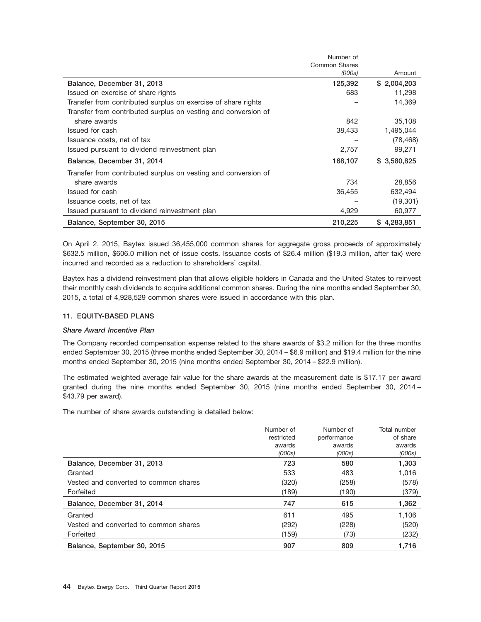|                                                                | Number of     |              |
|----------------------------------------------------------------|---------------|--------------|
|                                                                | Common Shares |              |
|                                                                | (000s)        | Amount       |
| Balance, December 31, 2013                                     | 125,392       | \$2,004,203  |
| Issued on exercise of share rights                             | 683           | 11,298       |
| Transfer from contributed surplus on exercise of share rights  |               | 14,369       |
| Transfer from contributed surplus on vesting and conversion of |               |              |
| share awards                                                   | 842           | 35,108       |
| Issued for cash                                                | 38,433        | 1,495,044    |
| Issuance costs, net of tax                                     |               | (78, 468)    |
| Issued pursuant to dividend reinvestment plan                  | 2,757         | 99,271       |
| Balance, December 31, 2014                                     | 168,107       | \$ 3,580,825 |
| Transfer from contributed surplus on vesting and conversion of |               |              |
| share awards                                                   | 734           | 28,856       |
| Issued for cash                                                | 36,455        | 632,494      |
| Issuance costs, net of tax                                     |               | (19, 301)    |
| Issued pursuant to dividend reinvestment plan                  | 4,929         | 60,977       |
| Balance, September 30, 2015                                    | 210,225       | \$4,283,851  |

On April 2, 2015, Baytex issued 36,455,000 common shares for aggregate gross proceeds of approximately \$632.5 million, \$606.0 million net of issue costs. Issuance costs of \$26.4 million (\$19.3 million, after tax) were incurred and recorded as a reduction to shareholders' capital.

Baytex has a dividend reinvestment plan that allows eligible holders in Canada and the United States to reinvest their monthly cash dividends to acquire additional common shares. During the nine months ended September 30, 2015, a total of 4,928,529 common shares were issued in accordance with this plan.

#### **11. EQUITY-BASED PLANS**

#### *Share Award Incentive Plan*

The Company recorded compensation expense related to the share awards of \$3.2 million for the three months ended September 30, 2015 (three months ended September 30, 2014 – \$6.9 million) and \$19.4 million for the nine months ended September 30, 2015 (nine months ended September 30, 2014 – \$22.9 million).

The estimated weighted average fair value for the share awards at the measurement date is \$17.17 per award granted during the nine months ended September 30, 2015 (nine months ended September 30, 2014 – \$43.79 per award).

The number of share awards outstanding is detailed below:

|                                       | Number of  | Number of   | Total number |
|---------------------------------------|------------|-------------|--------------|
|                                       | restricted | performance | of share     |
|                                       | awards     | awards      | awards       |
|                                       | (000s)     | (000s)      | (000s)       |
| Balance, December 31, 2013            | 723        | 580         | 1,303        |
| Granted                               | 533        | 483         | 1.016        |
| Vested and converted to common shares | (320)      | (258)       | (578)        |
| Forfeited                             | (189)      | (190)       | (379)        |
| Balance, December 31, 2014            | 747        | 615         | 1,362        |
| Granted                               | 611        | 495         | 1,106        |
| Vested and converted to common shares | (292)      | (228)       | (520)        |
| Forfeited                             | (159)      | (73)        | (232)        |
| Balance, September 30, 2015           | 907        | 809         | 1,716        |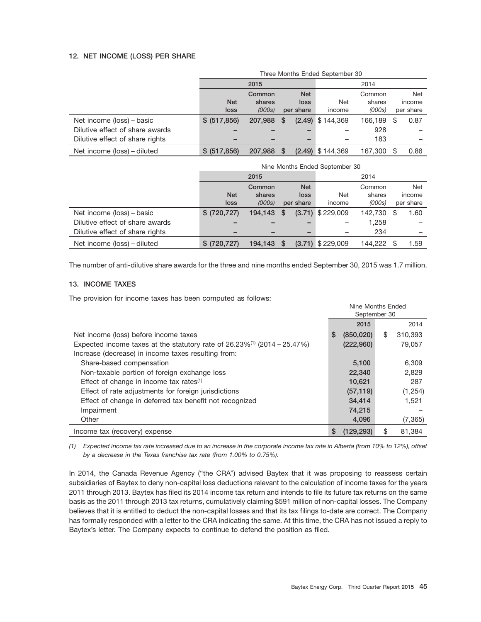#### **12. NET INCOME (LOSS) PER SHARE**

|                                 | Three Months Ended September 30 |         |          |            |                     |         |   |           |  |  |
|---------------------------------|---------------------------------|---------|----------|------------|---------------------|---------|---|-----------|--|--|
|                                 | 2015                            |         |          |            |                     | 2014    |   |           |  |  |
|                                 |                                 | Common  |          | <b>Net</b> |                     | Common  |   | Net       |  |  |
|                                 | <b>Net</b>                      | shares  |          | loss       | <b>Net</b>          | shares  |   | income    |  |  |
|                                 | loss                            | (000s)  |          | per share  | income              | (000s)  |   | per share |  |  |
| Net income (loss) – basic       | \$ (517, 856)                   | 207,988 | <b>S</b> |            | $(2.49)$ \$144,369  | 166,189 | S | 0.87      |  |  |
| Dilutive effect of share awards | -                               |         |          |            |                     | 928     |   |           |  |  |
| Dilutive effect of share rights | -                               |         |          |            |                     | 183     |   |           |  |  |
| Net income (loss) – diluted     | \$ (517, 856)                   | 207.988 | -S       |            | $(2.49)$ \$ 144,369 | 167,300 |   | 0.86      |  |  |

|                                 | Nine Months Ended September 30 |            |            |                     |         |             |  |  |  |  |
|---------------------------------|--------------------------------|------------|------------|---------------------|---------|-------------|--|--|--|--|
|                                 |                                | 2015       |            |                     | 2014    |             |  |  |  |  |
|                                 |                                | Common     | <b>Net</b> |                     | Common  | <b>Net</b>  |  |  |  |  |
|                                 | <b>Net</b>                     | shares     | loss       | Net                 | shares  | income      |  |  |  |  |
|                                 | loss                           | (000s)     | per share  | income              | (000s)  | per share   |  |  |  |  |
| Net income (loss) – basic       | \$ (720, 727)                  | 194,143 \$ |            | $(3.71)$ \$ 229,009 | 142,730 | 1.60<br>-\$ |  |  |  |  |
| Dilutive effect of share awards |                                |            |            |                     | 1.258   |             |  |  |  |  |
| Dilutive effect of share rights |                                |            |            |                     | 234     |             |  |  |  |  |
| Net income (loss) – diluted     | \$ (720.727)                   | 194,143 \$ |            | $(3.71)$ \$ 229,009 | 144.222 | 1.59<br>\$. |  |  |  |  |

The number of anti-dilutive share awards for the three and nine months ended September 30, 2015 was 1.7 million.

#### **13. INCOME TAXES**

The provision for income taxes has been computed as follows:

|                                                                              |    | Nine Months Ended<br>September 30 |               |
|------------------------------------------------------------------------------|----|-----------------------------------|---------------|
|                                                                              |    | 2015                              | 2014          |
| Net income (loss) before income taxes                                        | \$ | (850, 020)                        | \$<br>310,393 |
| Expected income taxes at the statutory rate of $26.23\%/10}$ (2014 – 25.47%) |    | (222,960)                         | 79,057        |
| Increase (decrease) in income taxes resulting from:                          |    |                                   |               |
| Share-based compensation                                                     |    | 5,100                             | 6,309         |
| Non-taxable portion of foreign exchange loss                                 |    | 22,340                            | 2.829         |
| Effect of change in income tax rates <sup>(1)</sup>                          |    | 10,621                            | 287           |
| Effect of rate adjustments for foreign jurisdictions                         |    | (57, 119)                         | (1,254)       |
| Effect of change in deferred tax benefit not recognized                      |    | 34,414                            | 1.521         |
| Impairment                                                                   |    | 74,215                            |               |
| Other                                                                        |    | 4,096                             | (7, 365)      |
| Income tax (recovery) expense                                                | S  | (129, 293)                        | \$<br>81,384  |

*(1) Expected income tax rate increased due to an increase in the corporate income tax rate in Alberta (from 10% to 12%), offset by a decrease in the Texas franchise tax rate (from 1.00% to 0.75%).*

In 2014, the Canada Revenue Agency ("the CRA") advised Baytex that it was proposing to reassess certain subsidiaries of Baytex to deny non-capital loss deductions relevant to the calculation of income taxes for the years 2011 through 2013. Baytex has filed its 2014 income tax return and intends to file its future tax returns on the same basis as the 2011 through 2013 tax returns, cumulatively claiming \$591 million of non-capital losses. The Company believes that it is entitled to deduct the non-capital losses and that its tax filings to-date are correct. The Company has formally responded with a letter to the CRA indicating the same. At this time, the CRA has not issued a reply to Baytex's letter. The Company expects to continue to defend the position as filed.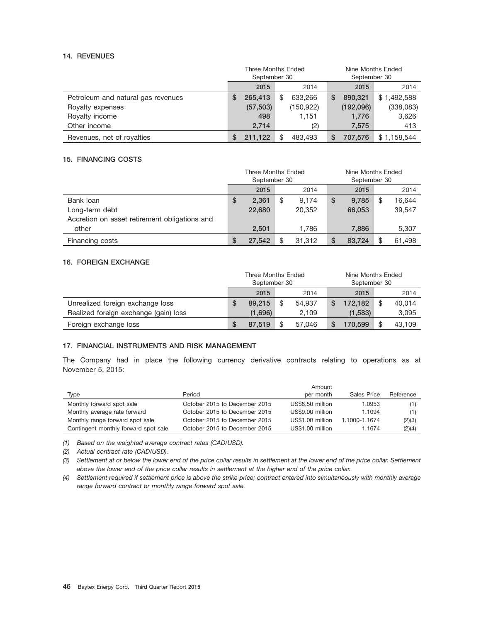#### **14. REVENUES**

|                                    | Three Months Ended<br>September 30 |           |   | Nine Months Ended<br>September 30 |   |           |             |
|------------------------------------|------------------------------------|-----------|---|-----------------------------------|---|-----------|-------------|
|                                    |                                    | 2015      |   | 2014                              |   | 2015      | 2014        |
| Petroleum and natural gas revenues |                                    | 265,413   | S | 633,266                           | S | 890,321   | \$1,492,588 |
| Royalty expenses                   |                                    | (57, 503) |   | (150, 922)                        |   | (192,096) | (338,083)   |
| Royalty income                     |                                    | 498       |   | 1,151                             |   | 1,776     | 3,626       |
| Other income                       |                                    | 2,714     |   | (2)                               |   | 7,575     | 413         |
| Revenues, net of royalties         |                                    | 211.122   |   | 483,493                           | S | 707.576   | \$1.158.544 |

#### **15. FINANCING COSTS**

|                                               | Three Months Ended |              |    | Nine Months Ended |              |        |    |        |
|-----------------------------------------------|--------------------|--------------|----|-------------------|--------------|--------|----|--------|
|                                               |                    | September 30 |    |                   | September 30 |        |    |        |
|                                               |                    | 2015         |    | 2014              |              | 2015   |    | 2014   |
| Bank loan                                     | S                  | 2.361        | \$ | 9.174             | \$           | 9.785  | \$ | 16.644 |
| Long-term debt                                |                    | 22,680       |    | 20,352            |              | 66,053 |    | 39,547 |
| Accretion on asset retirement obligations and |                    |              |    |                   |              |        |    |        |
| other                                         |                    | 2.501        |    | 1,786             |              | 7,886  |    | 5,307  |
| Financing costs                               | S                  | 27.542       | \$ | 31.312            | \$           | 83.724 | \$ | 61.498 |

#### **16. FOREIGN EXCHANGE**

|                                       | Three Months Ended<br>September 30 |         |  | Nine Months Ended<br>September 30 |    |         |    |        |
|---------------------------------------|------------------------------------|---------|--|-----------------------------------|----|---------|----|--------|
|                                       |                                    | 2015    |  | 2014                              |    | 2015    |    | 2014   |
| Unrealized foreign exchange loss      |                                    | 89.215  |  | 54.937                            | \$ | 172.182 |    | 40,014 |
| Realized foreign exchange (gain) loss |                                    | (1,696) |  | 2.109                             |    | (1,583) |    | 3,095  |
| Foreign exchange loss                 |                                    | 87.519  |  | 57.046                            | S  | 170,599 | \$ | 43.109 |

#### **17. FINANCIAL INSTRUMENTS AND RISK MANAGEMENT**

The Company had in place the following currency derivative contracts relating to operations as at November 5, 2015:

|                                      |                               | Amount           |                    |           |
|--------------------------------------|-------------------------------|------------------|--------------------|-----------|
| Type                                 | Period                        | per month        | <b>Sales Price</b> | Reference |
| Monthly forward spot sale            | October 2015 to December 2015 | US\$8.50 million | 1.0953             |           |
| Monthly average rate forward         | October 2015 to December 2015 | US\$9.00 million | 1.1094             |           |
| Monthly range forward spot sale      | October 2015 to December 2015 | US\$1.00 million | 1.1000-1.1674      | (2)(3)    |
| Contingent monthly forward spot sale | October 2015 to December 2015 | US\$1.00 million | 1.1674             | (2)(4)    |

*(1) Based on the weighted average contract rates (CAD/USD).*

*(2) Actual contract rate (CAD/USD).*

*(3) Settlement at or below the lower end of the price collar results in settlement at the lower end of the price collar. Settlement above the lower end of the price collar results in settlement at the higher end of the price collar.*

*(4) Settlement required if settlement price is above the strike price; contract entered into simultaneously with monthly average range forward contract or monthly range forward spot sale.*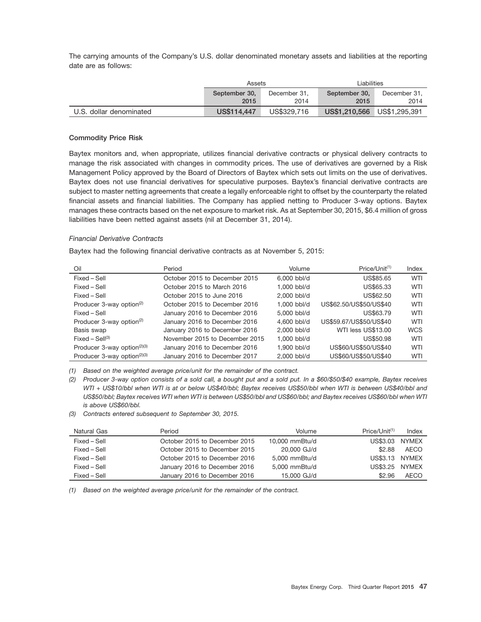The carrying amounts of the Company's U.S. dollar denominated monetary assets and liabilities at the reporting date are as follows:

|                         | Assets        |              | ∟iabilities   |               |
|-------------------------|---------------|--------------|---------------|---------------|
|                         | September 30. | December 31. | September 30. | December 31.  |
|                         | 2015          | 2014         | 2015          | 2014          |
| U.S. dollar denominated | US\$114,447   | US\$329.716  | US\$1,210,566 | US\$1,295,391 |

#### **Commodity Price Risk**

Baytex monitors and, when appropriate, utilizes financial derivative contracts or physical delivery contracts to manage the risk associated with changes in commodity prices. The use of derivatives are governed by a Risk Management Policy approved by the Board of Directors of Baytex which sets out limits on the use of derivatives. Baytex does not use financial derivatives for speculative purposes. Baytex's financial derivative contracts are subject to master netting agreements that create a legally enforceable right to offset by the counterparty the related financial assets and financial liabilities. The Company has applied netting to Producer 3-way options. Baytex manages these contracts based on the net exposure to market risk. As at September 30, 2015, \$6.4 million of gross liabilities have been netted against assets (nil at December 31, 2014).

#### *Financial Derivative Contracts*

Baytex had the following financial derivative contracts as at November 5, 2015:

| Oil                                                     | Period                         | Volume      | Price/Unit <sup>(1)</sup> | Index      |
|---------------------------------------------------------|--------------------------------|-------------|---------------------------|------------|
| Fixed - Sell                                            | October 2015 to December 2015  | 6.000 bbl/d | US\$85.65                 | <b>WTI</b> |
| Fixed - Sell                                            | October 2015 to March 2016     | 1.000 bbl/d | US\$65.33                 | <b>WTI</b> |
| Fixed - Sell                                            | October 2015 to June 2016      | 2.000 bbl/d | US\$62.50                 | <b>WTI</b> |
| Producer 3-way option <sup>(2)</sup>                    | October 2015 to December 2016  | 1.000 bbl/d | US\$62.50/US\$50/US\$40   | <b>WTI</b> |
| Fixed - Sell                                            | January 2016 to December 2016  | 5,000 bbl/d | US\$63.79                 | <b>WTI</b> |
| Producer 3-way option <sup>(2)</sup>                    | January 2016 to December 2016  | 4.600 bbl/d | US\$59.67/US\$50/US\$40   | <b>WTI</b> |
| Basis swap                                              | January 2016 to December 2016  | 2.000 bbl/d | WTI less US\$13.00        | <b>WCS</b> |
| $Fixed - Sell^{(3)}$                                    | November 2015 to December 2015 | 1.000 bbl/d | US\$50.98                 | <b>WTI</b> |
| Producer $3$ -way option <sup><math>(2)(3)</math></sup> | January 2016 to December 2016  | 1.900 bbl/d | US\$60/US\$50/US\$40      | <b>WTI</b> |
| Producer $3$ -way option <sup><math>(2)(3)</math></sup> | January 2016 to December 2017  | 2.000 bbl/d | US\$60/US\$50/US\$40      | <b>WTI</b> |

*(1) Based on the weighted average price/unit for the remainder of the contract.*

*(2) Producer 3-way option consists of a sold call, a bought put and a sold put. In a \$60/\$50/\$40 example, Baytex receives WTI + US\$10/bbl when WTI is at or below US\$40/bbl; Baytex receives US\$50/bbl when WTI is between US\$40/bbl and US\$50/bbl; Baytex receives WTI when WTI is between US\$50/bbl and US\$60/bbl; and Baytex receives US\$60/bbl when WTI is above US\$60/bbl.*

*(3) Contracts entered subsequent to September 30, 2015.*

| Natural Gas  | Period                        | Volume         | Price/Unit <sup>(1)</sup> | Index        |
|--------------|-------------------------------|----------------|---------------------------|--------------|
| Fixed – Sell | October 2015 to December 2015 | 10,000 mmBtu/d | US\$3.03                  | <b>NYMEX</b> |
| Fixed – Sell | October 2015 to December 2015 | 20,000 GJ/d    | \$2.88                    | AECO         |
| Fixed – Sell | October 2015 to December 2016 | 5,000 mmBtu/d  | US\$3.13 NYMEX            |              |
| Fixed – Sell | January 2016 to December 2016 | 5,000 mmBtu/d  | US\$3.25                  | <b>NYMEX</b> |
| Fixed – Sell | January 2016 to December 2016 | 15,000 GJ/d    | \$2.96                    | AECO         |

*(1) Based on the weighted average price/unit for the remainder of the contract.*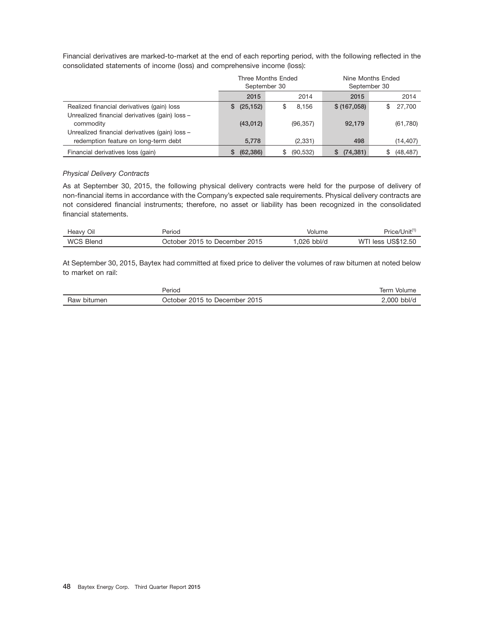Financial derivatives are marked-to-market at the end of each reporting period, with the following reflected in the consolidated statements of income (loss) and comprehensive income (loss):

|                                                                                        |                 | Three Months Ended<br>September 30 | Nine Months Ended<br>September 30 |                |  |
|----------------------------------------------------------------------------------------|-----------------|------------------------------------|-----------------------------------|----------------|--|
|                                                                                        | 2015            | 2014                               | 2015                              | 2014           |  |
| Realized financial derivatives (gain) loss                                             | (25, 152)<br>S. | 8.156<br>\$                        | \$(167,058)                       | 27,700<br>S    |  |
| Unrealized financial derivatives (gain) loss -<br>commodity                            | (43,012)        | (96, 357)                          | 92,179                            | (61,780)       |  |
| Unrealized financial derivatives (gain) loss -<br>redemption feature on long-term debt |                 |                                    | 498                               |                |  |
|                                                                                        | 5,778           | (2, 331)                           |                                   | (14, 407)      |  |
| Financial derivatives loss (gain)                                                      | (62, 386)<br>S  | (90, 532)                          | (74, 381)                         | (48, 487)<br>S |  |

#### *Physical Delivery Contracts*

As at September 30, 2015, the following physical delivery contracts were held for the purpose of delivery of non-financial items in accordance with the Company's expected sale requirements. Physical delivery contracts are not considered financial instruments; therefore, no asset or liability has been recognized in the consolidated financial statements.

| Heavy Oil        | Period                        | Volume     | Price/Unit <sup>(1</sup> |
|------------------|-------------------------------|------------|--------------------------|
| <b>WCS Blend</b> | October 2015 to December 2015 | .026 bbl/d | WTI less US\$12.50       |

At September 30, 2015, Baytex had committed at fixed price to deliver the volumes of raw bitumen at noted below to market on rail:

|             | Period                        | Term<br>Volume |
|-------------|-------------------------------|----------------|
| Raw bitumen | October 2015 to December 2015 | 2.000 bbl/d    |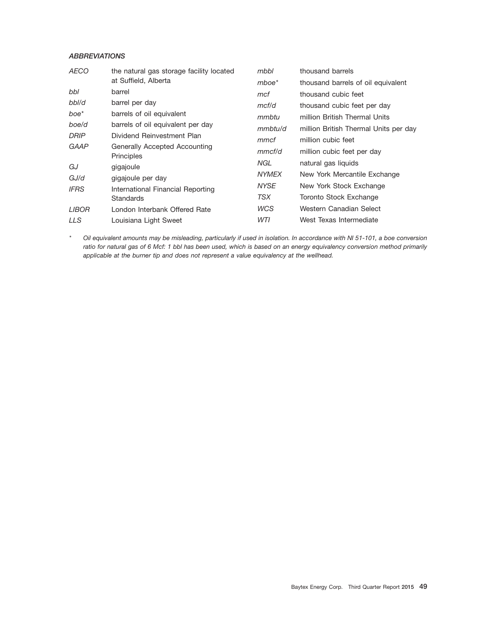## *ABBREVIATIONS*

| <b>AECO</b>  | the natural gas storage facility located | mbbl         | thousand barrels                      |
|--------------|------------------------------------------|--------------|---------------------------------------|
|              | at Suffield, Alberta                     | $m$ boe $*$  | thousand barrels of oil equivalent    |
| bbl          | barrel                                   | mcf          | thousand cubic feet                   |
| bbl/d        | barrel per day                           | mcf/d        | thousand cubic feet per day           |
| boe*         | barrels of oil equivalent                | mmbtu        | million British Thermal Units         |
| boe/d        | barrels of oil equivalent per day        | mmbtu/d      | million British Thermal Units per day |
| DRIP         | Dividend Reinvestment Plan               | mmcf         | million cubic feet                    |
| GAAP         | Generally Accepted Accounting            | mmcf/d       |                                       |
|              | <b>Principles</b>                        |              | million cubic feet per day            |
| GJ           | gigajoule                                | NGL          | natural gas liquids                   |
| GJ/d         | gigajoule per day                        | <b>NYMEX</b> | New York Mercantile Exchange          |
| <b>IFRS</b>  | International Financial Reporting        | NYSE         | New York Stock Exchange               |
|              | <b>Standards</b>                         | TSX          | <b>Toronto Stock Exchange</b>         |
| <b>LIBOR</b> | London Interbank Offered Rate            | <b>WCS</b>   | Western Canadian Select               |
| <b>LLS</b>   | Louisiana Light Sweet                    | WTI          | West Texas Intermediate               |

*\* Oil equivalent amounts may be misleading, particularly if used in isolation. In accordance with NI 51-101, a boe conversion ratio for natural gas of 6 Mcf: 1 bbl has been used, which is based on an energy equivalency conversion method primarily applicable at the burner tip and does not represent a value equivalency at the wellhead.*